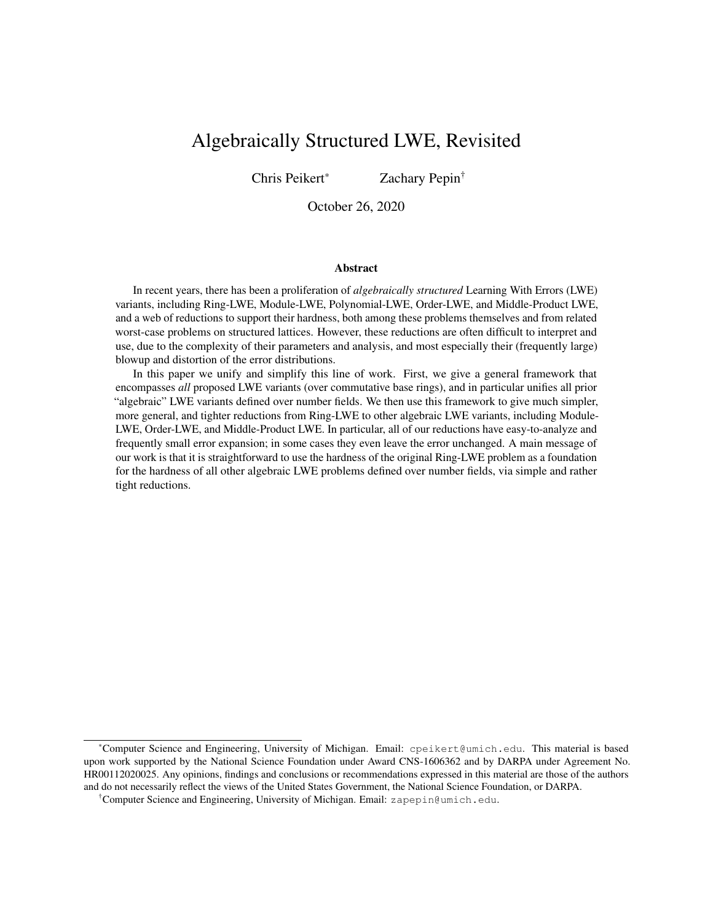# Algebraically Structured LWE, Revisited

Chris Peikert\* Zachary Pepin†

October 26, 2020

#### Abstract

In recent years, there has been a proliferation of *algebraically structured* Learning With Errors (LWE) variants, including Ring-LWE, Module-LWE, Polynomial-LWE, Order-LWE, and Middle-Product LWE, and a web of reductions to support their hardness, both among these problems themselves and from related worst-case problems on structured lattices. However, these reductions are often difficult to interpret and use, due to the complexity of their parameters and analysis, and most especially their (frequently large) blowup and distortion of the error distributions.

In this paper we unify and simplify this line of work. First, we give a general framework that encompasses *all* proposed LWE variants (over commutative base rings), and in particular unifies all prior "algebraic" LWE variants defined over number fields. We then use this framework to give much simpler, more general, and tighter reductions from Ring-LWE to other algebraic LWE variants, including Module-LWE, Order-LWE, and Middle-Product LWE. In particular, all of our reductions have easy-to-analyze and frequently small error expansion; in some cases they even leave the error unchanged. A main message of our work is that it is straightforward to use the hardness of the original Ring-LWE problem as a foundation for the hardness of all other algebraic LWE problems defined over number fields, via simple and rather tight reductions.

<sup>\*</sup>Computer Science and Engineering, University of Michigan. Email: cpeikert@umich.edu. This material is based upon work supported by the National Science Foundation under Award CNS-1606362 and by DARPA under Agreement No. HR00112020025. Any opinions, findings and conclusions or recommendations expressed in this material are those of the authors and do not necessarily reflect the views of the United States Government, the National Science Foundation, or DARPA.

<sup>†</sup>Computer Science and Engineering, University of Michigan. Email: zapepin@umich.edu.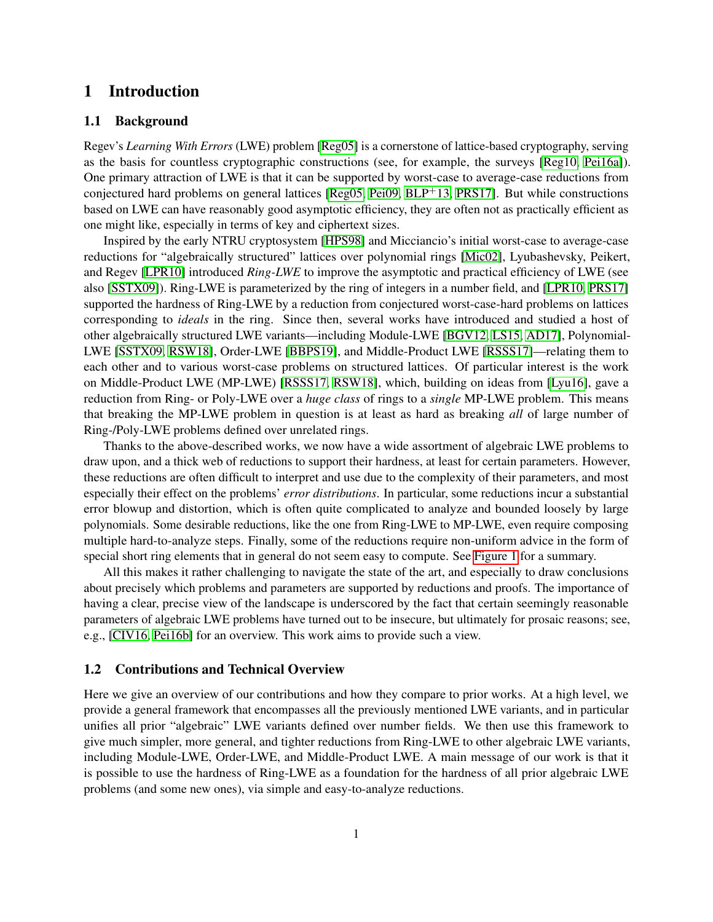# 1 Introduction

### 1.1 Background

Regev's *Learning With Errors* (LWE) problem [\[Reg05\]](#page-29-0) is a cornerstone of lattice-based cryptography, serving as the basis for countless cryptographic constructions (see, for example, the surveys [\[Reg10,](#page-29-1) [Pei16a\]](#page-29-2)). One primary attraction of LWE is that it can be supported by worst-case to average-case reductions from conjectured hard problems on general lattices  $[Reg05, Pei09, BLP<sup>+</sup>13, PRS17]$  $[Reg05, Pei09, BLP<sup>+</sup>13, PRS17]$  $[Reg05, Pei09, BLP<sup>+</sup>13, PRS17]$  $[Reg05, Pei09, BLP<sup>+</sup>13, PRS17]$  $[Reg05, Pei09, BLP<sup>+</sup>13, PRS17]$  $[Reg05, Pei09, BLP<sup>+</sup>13, PRS17]$  $[Reg05, Pei09, BLP<sup>+</sup>13, PRS17]$ . But while constructions based on LWE can have reasonably good asymptotic efficiency, they are often not as practically efficient as one might like, especially in terms of key and ciphertext sizes.

Inspired by the early NTRU cryptosystem [\[HPS98\]](#page-28-1) and Micciancio's initial worst-case to average-case reductions for "algebraically structured" lattices over polynomial rings [\[Mic02\]](#page-29-5), Lyubashevsky, Peikert, and Regev [\[LPR10\]](#page-28-2) introduced *Ring-LWE* to improve the asymptotic and practical efficiency of LWE (see also [\[SSTX09\]](#page-29-6)). Ring-LWE is parameterized by the ring of integers in a number field, and [\[LPR10,](#page-28-2) [PRS17\]](#page-29-4) supported the hardness of Ring-LWE by a reduction from conjectured worst-case-hard problems on lattices corresponding to *ideals* in the ring. Since then, several works have introduced and studied a host of other algebraically structured LWE variants—including Module-LWE [\[BGV12,](#page-28-3) [LS15,](#page-29-7) [AD17\]](#page-28-4), Polynomial-LWE [\[SSTX09,](#page-29-6) [RSW18\]](#page-29-8), Order-LWE [\[BBPS19\]](#page-28-5), and Middle-Product LWE [\[RSSS17\]](#page-29-9)—relating them to each other and to various worst-case problems on structured lattices. Of particular interest is the work on Middle-Product LWE (MP-LWE) [\[RSSS17,](#page-29-9) [RSW18\]](#page-29-8), which, building on ideas from [\[Lyu16\]](#page-29-10), gave a reduction from Ring- or Poly-LWE over a *huge class* of rings to a *single* MP-LWE problem. This means that breaking the MP-LWE problem in question is at least as hard as breaking *all* of large number of Ring-/Poly-LWE problems defined over unrelated rings.

Thanks to the above-described works, we now have a wide assortment of algebraic LWE problems to draw upon, and a thick web of reductions to support their hardness, at least for certain parameters. However, these reductions are often difficult to interpret and use due to the complexity of their parameters, and most especially their effect on the problems' *error distributions*. In particular, some reductions incur a substantial error blowup and distortion, which is often quite complicated to analyze and bounded loosely by large polynomials. Some desirable reductions, like the one from Ring-LWE to MP-LWE, even require composing multiple hard-to-analyze steps. Finally, some of the reductions require non-uniform advice in the form of special short ring elements that in general do not seem easy to compute. See [Figure 1](#page-4-0) for a summary.

All this makes it rather challenging to navigate the state of the art, and especially to draw conclusions about precisely which problems and parameters are supported by reductions and proofs. The importance of having a clear, precise view of the landscape is underscored by the fact that certain seemingly reasonable parameters of algebraic LWE problems have turned out to be insecure, but ultimately for prosaic reasons; see, e.g., [\[CIV16,](#page-28-6) [Pei16b\]](#page-29-11) for an overview. This work aims to provide such a view.

### 1.2 Contributions and Technical Overview

Here we give an overview of our contributions and how they compare to prior works. At a high level, we provide a general framework that encompasses all the previously mentioned LWE variants, and in particular unifies all prior "algebraic" LWE variants defined over number fields. We then use this framework to give much simpler, more general, and tighter reductions from Ring-LWE to other algebraic LWE variants, including Module-LWE, Order-LWE, and Middle-Product LWE. A main message of our work is that it is possible to use the hardness of Ring-LWE as a foundation for the hardness of all prior algebraic LWE problems (and some new ones), via simple and easy-to-analyze reductions.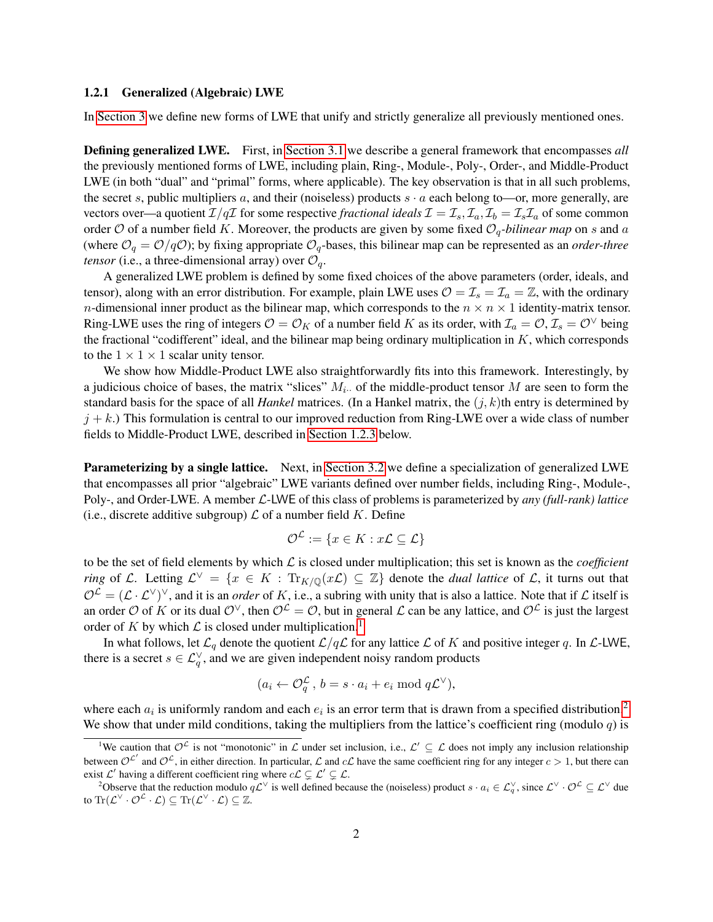#### 1.2.1 Generalized (Algebraic) LWE

In [Section 3](#page-13-0) we define new forms of LWE that unify and strictly generalize all previously mentioned ones.

Defining generalized LWE. First, in [Section 3.1](#page-13-1) we describe a general framework that encompasses *all* the previously mentioned forms of LWE, including plain, Ring-, Module-, Poly-, Order-, and Middle-Product LWE (in both "dual" and "primal" forms, where applicable). The key observation is that in all such problems, the secret s, public multipliers a, and their (noiseless) products  $s \cdot a$  each belong to—or, more generally, are vectors over—a quotient  $\mathcal{I}/q\mathcal{I}$  for some respective *fractional ideals*  $\mathcal{I} = \mathcal{I}_s$ ,  $\mathcal{I}_a$ ,  $\mathcal{I}_b = \mathcal{I}_s \mathcal{I}_a$  of some common order  $O$  of a number field K. Moreover, the products are given by some fixed  $O_q$ -bilinear map on s and a (where  $\mathcal{O}_q = \mathcal{O}/q\mathcal{O}$ ); by fixing appropriate  $\mathcal{O}_q$ -bases, this bilinear map can be represented as an *order-three tensor* (i.e., a three-dimensional array) over  $\mathcal{O}_q$ .

A generalized LWE problem is defined by some fixed choices of the above parameters (order, ideals, and tensor), along with an error distribution. For example, plain LWE uses  $\mathcal{O} = \mathcal{I}_s = \mathcal{I}_a = \mathbb{Z}$ , with the ordinary *n*-dimensional inner product as the bilinear map, which corresponds to the  $n \times n \times 1$  identity-matrix tensor. Ring-LWE uses the ring of integers  $O = O_K$  of a number field K as its order, with  $\mathcal{I}_a = O, \mathcal{I}_s = O^{\vee}$  being the fractional "codifferent" ideal, and the bilinear map being ordinary multiplication in  $K$ , which corresponds to the  $1 \times 1 \times 1$  scalar unity tensor.

We show how Middle-Product LWE also straightforwardly fits into this framework. Interestingly, by a judicious choice of bases, the matrix "slices"  $M_i$ . of the middle-product tensor M are seen to form the standard basis for the space of all *Hankel* matrices. (In a Hankel matrix, the  $(j, k)$ th entry is determined by  $j + k$ .) This formulation is central to our improved reduction from Ring-LWE over a wide class of number fields to Middle-Product LWE, described in [Section 1.2.3](#page-5-0) below.

Parameterizing by a single lattice. Next, in [Section 3.2](#page-14-0) we define a specialization of generalized LWE that encompasses all prior "algebraic" LWE variants defined over number fields, including Ring-, Module-, Poly-, and Order-LWE. A member L-LWE of this class of problems is parameterized by *any (full-rank) lattice* (i.e., discrete additive subgroup)  $\mathcal L$  of a number field K. Define

$$
\mathcal{O}^{\mathcal{L}} := \{ x \in K : x \mathcal{L} \subseteq \mathcal{L} \}
$$

to be the set of field elements by which  $\mathcal L$  is closed under multiplication; this set is known as the *coefficient ring* of L. Letting  $\mathcal{L}^{\vee} = \{x \in K : \text{Tr}_{K/\mathbb{Q}}(xL) \subseteq \mathbb{Z}\}\$  denote the *dual lattice* of L, it turns out that  $\mathcal{O}^{\mathcal{L}}=(\mathcal{L}\cdot\mathcal{L}^{\vee})^{\vee}$ , and it is an *order* of K, i.e., a subring with unity that is also a lattice. Note that if  $\mathcal L$  itself is an order O of K or its dual O<sup> $\vee$ </sup>, then  $\mathcal{O}^{\mathcal{L}} = \mathcal{O}$ , but in general L can be any lattice, and  $\mathcal{O}^{\mathcal{L}}$  is just the largest order of K by which  $\mathcal L$  is closed under multiplication.<sup>[1](#page-2-0)</sup>

In what follows, let  $\mathcal{L}_q$  denote the quotient  $\mathcal{L}/q\mathcal{L}$  for any lattice  $\mathcal L$  of  $K$  and positive integer q. In  $\mathcal{L}\text{-LWE}$ , there is a secret  $s \in \mathcal{L}_q^{\vee}$ , and we are given independent noisy random products

$$
(a_i \leftarrow \mathcal{O}_q^{\mathcal{L}}, \, b = s \cdot a_i + e_i \bmod q\mathcal{L}^{\vee}),
$$

where each  $a_i$  is uniformly random and each  $e_i$  is an error term that is drawn from a specified distribution.<sup>[2](#page-2-1)</sup> We show that under mild conditions, taking the multipliers from the lattice's coefficient ring (modulo  $q$ ) is

<span id="page-2-0"></span><sup>&</sup>lt;sup>1</sup>We caution that  $\mathcal{O}^{\mathcal{L}}$  is not "monotonic" in  $\mathcal{L}$  under set inclusion, i.e.,  $\mathcal{L}' \subseteq \mathcal{L}$  does not imply any inclusion relationship between  $\mathcal{O}^{\mathcal{L}'}$  and  $\mathcal{O}^{\mathcal{L}}$ , in either direction. In particular,  $\mathcal{L}$  and  $c\mathcal{L}$  have the same coefficient ring for any integer  $c > 1$ , but there can exist  $\mathcal{L}'$  having a different coefficient ring where  $c\mathcal{L} \subsetneq \mathcal{L}' \subsetneq \mathcal{L}$ .

<span id="page-2-1"></span><sup>&</sup>lt;sup>2</sup>Observe that the reduction modulo  $qL^{\vee}$  is well defined because the (noiseless) product  $s \cdot a_i \in L_q^{\vee}$ , since  $L^{\vee} \cdot Q^{\mathcal{L}} \subseteq L^{\vee}$  due to  $\text{Tr}(\mathcal{L}^{\vee}\cdot \mathcal{O}^{\mathcal{L}}\cdot \mathcal{L})\subseteq \text{Tr}(\mathcal{L}^{\vee}\cdot \mathcal{L})\subseteq \mathbb{Z}.$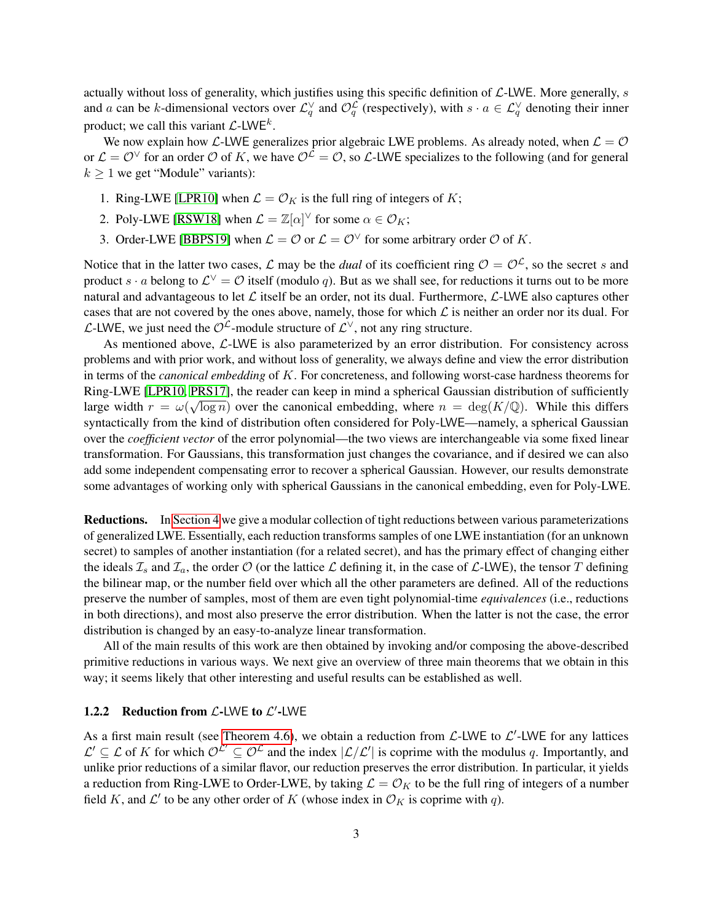actually without loss of generality, which justifies using this specific definition of  $\mathcal{L}\text{-LWE}$ . More generally, s and a can be k-dimensional vectors over  $\mathcal{L}_q^{\vee}$  and  $\mathcal{O}_q^{\mathcal{L}}$  (respectively), with  $s \cdot a \in \mathcal{L}_q^{\vee}$  denoting their inner product; we call this variant  $\mathcal{L}\text{-LWE}^k$ .

We now explain how L-LWE generalizes prior algebraic LWE problems. As already noted, when  $\mathcal{L} = \mathcal{O}$ or  $\mathcal{L} = \mathcal{O}^{\vee}$  for an order  $\mathcal{O}$  of K, we have  $\mathcal{O}^{\mathcal{L}} = \mathcal{O}$ , so  $\mathcal{L}$ -LWE specializes to the following (and for general  $k \geq 1$  we get "Module" variants):

- 1. Ring-LWE [\[LPR10\]](#page-28-2) when  $\mathcal{L} = \mathcal{O}_K$  is the full ring of integers of K;
- 2. Poly-LWE [\[RSW18\]](#page-29-8) when  $\mathcal{L} = \mathbb{Z}[\alpha]^\vee$  for some  $\alpha \in \mathcal{O}_K$ ;
- 3. Order-LWE [\[BBPS19\]](#page-28-5) when  $\mathcal{L} = \mathcal{O}$  or  $\mathcal{L} = \mathcal{O}^{\vee}$  for some arbitrary order  $\mathcal{O}$  of K.

Notice that in the latter two cases, L may be the *dual* of its coefficient ring  $\mathcal{O} = \mathcal{O}^{\mathcal{L}}$ , so the secret s and product  $s \cdot a$  belong to  $\mathcal{L}^{\vee} = \mathcal{O}$  itself (modulo q). But as we shall see, for reductions it turns out to be more natural and advantageous to let  $\mathcal L$  itself be an order, not its dual. Furthermore,  $\mathcal L$ -LWE also captures other cases that are not covered by the ones above, namely, those for which  $\mathcal L$  is neither an order nor its dual. For  $\mathcal{L}\text{-LWE}$ , we just need the  $\mathcal{O}^{\mathcal{L}}\text{-module}$  structure of  $\mathcal{L}^{\vee}$ , not any ring structure.

As mentioned above,  $\mathcal{L}\text{-LWE}$  is also parameterized by an error distribution. For consistency across problems and with prior work, and without loss of generality, we always define and view the error distribution in terms of the *canonical embedding* of K. For concreteness, and following worst-case hardness theorems for Ring-LWE [\[LPR10,](#page-28-2) [PRS17\]](#page-29-4), the reader can keep in mind a spherical Gaussian distribution of sufficiently large width  $r = \omega(\sqrt{\log n})$  over the canonical embedding, where  $n = \deg(K/\mathbb{Q})$ . While this differs syntactically from the kind of distribution often considered for Poly-LWE—namely, a spherical Gaussian over the *coefficient vector* of the error polynomial—the two views are interchangeable via some fixed linear transformation. For Gaussians, this transformation just changes the covariance, and if desired we can also add some independent compensating error to recover a spherical Gaussian. However, our results demonstrate some advantages of working only with spherical Gaussians in the canonical embedding, even for Poly-LWE.

Reductions. In [Section 4](#page-15-0) we give a modular collection of tight reductions between various parameterizations of generalized LWE. Essentially, each reduction transforms samples of one LWE instantiation (for an unknown secret) to samples of another instantiation (for a related secret), and has the primary effect of changing either the ideals  $\mathcal{I}_s$  and  $\mathcal{I}_a$ , the order  $\mathcal O$  (or the lattice  $\mathcal L$  defining it, in the case of  $\mathcal L$ -LWE), the tensor  $T$  defining the bilinear map, or the number field over which all the other parameters are defined. All of the reductions preserve the number of samples, most of them are even tight polynomial-time *equivalences* (i.e., reductions in both directions), and most also preserve the error distribution. When the latter is not the case, the error distribution is changed by an easy-to-analyze linear transformation.

All of the main results of this work are then obtained by invoking and/or composing the above-described primitive reductions in various ways. We next give an overview of three main theorems that we obtain in this way; it seems likely that other interesting and useful results can be established as well.

### 1.2.2 Reduction from  $\mathcal{L}\text{-LWE}$  to  $\mathcal{L}'\text{-LWE}$

As a first main result (see [Theorem 4.6\)](#page-18-0), we obtain a reduction from  $\mathcal{L}\text{-LWE}$  to  $\mathcal{L}'\text{-LWE}$  for any lattices  $\mathcal{L}' \subseteq \mathcal{L}$  of K for which  $\mathcal{O}^{\mathcal{L}'} \subseteq \mathcal{O}^{\mathcal{L}}$  and the index  $|\mathcal{L}/\mathcal{L}'|$  is coprime with the modulus q. Importantly, and unlike prior reductions of a similar flavor, our reduction preserves the error distribution. In particular, it yields a reduction from Ring-LWE to Order-LWE, by taking  $\mathcal{L} = \mathcal{O}_K$  to be the full ring of integers of a number field K, and  $\mathcal{L}'$  to be any other order of K (whose index in  $\mathcal{O}_K$  is coprime with q).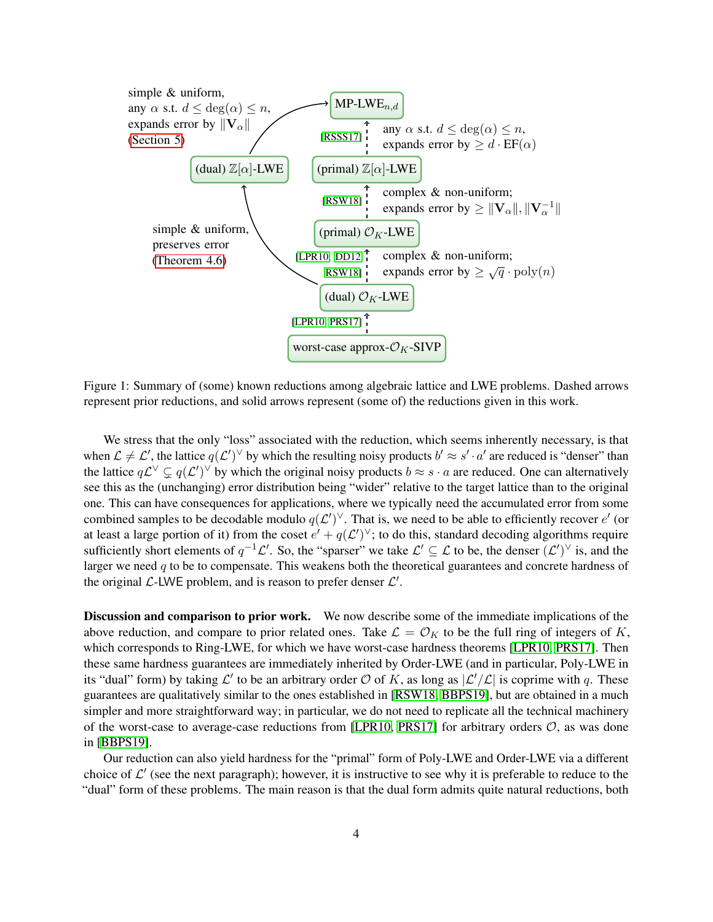<span id="page-4-0"></span>

Figure 1: Summary of (some) known reductions among algebraic lattice and LWE problems. Dashed arrows represent prior reductions, and solid arrows represent (some of) the reductions given in this work.

We stress that the only "loss" associated with the reduction, which seems inherently necessary, is that when  $\mathcal{L} \neq \mathcal{L}'$ , the lattice  $q(\mathcal{L}')^{\vee}$  by which the resulting noisy products  $b' \approx s' \cdot a'$  are reduced is "denser" than the lattice  $q\mathcal{L}^{\vee} \subsetneq q(\mathcal{L}')^{\vee}$  by which the original noisy products  $b \approx s \cdot a$  are reduced. One can alternatively see this as the (unchanging) error distribution being "wider" relative to the target lattice than to the original one. This can have consequences for applications, where we typically need the accumulated error from some combined samples to be decodable modulo  $q(\mathcal{L}')^{\vee}$ . That is, we need to be able to efficiently recover  $e'$  (or at least a large portion of it) from the coset  $e' + q(\mathcal{L}')^{\vee}$ ; to do this, standard decoding algorithms require sufficiently short elements of  $q^{-1}\mathcal{L}'$ . So, the "sparser" we take  $\mathcal{L}' \subseteq \mathcal{L}$  to be, the denser  $(\mathcal{L}')^\vee$  is, and the larger we need  $q$  to be to compensate. This weakens both the theoretical guarantees and concrete hardness of the original  $\mathcal{L}\text{-LWE}$  problem, and is reason to prefer denser  $\mathcal{L}'$ .

Discussion and comparison to prior work. We now describe some of the immediate implications of the above reduction, and compare to prior related ones. Take  $\mathcal{L} = \mathcal{O}_K$  to be the full ring of integers of K, which corresponds to Ring-LWE, for which we have worst-case hardness theorems [\[LPR10,](#page-28-2) [PRS17\]](#page-29-4). Then these same hardness guarantees are immediately inherited by Order-LWE (and in particular, Poly-LWE in its "dual" form) by taking  $\mathcal{L}'$  to be an arbitrary order  $\mathcal{O}$  of K, as long as  $|\mathcal{L}'/\mathcal{L}|$  is coprime with q. These guarantees are qualitatively similar to the ones established in [\[RSW18,](#page-29-8) [BBPS19\]](#page-28-5), but are obtained in a much simpler and more straightforward way; in particular, we do not need to replicate all the technical machinery of the worst-case to average-case reductions from [\[LPR10,](#page-28-2) [PRS17\]](#page-29-4) for arbitrary orders  $\mathcal{O}$ , as was done in [\[BBPS19\]](#page-28-5).

Our reduction can also yield hardness for the "primal" form of Poly-LWE and Order-LWE via a different choice of  $\mathcal{L}'$  (see the next paragraph); however, it is instructive to see why it is preferable to reduce to the "dual" form of these problems. The main reason is that the dual form admits quite natural reductions, both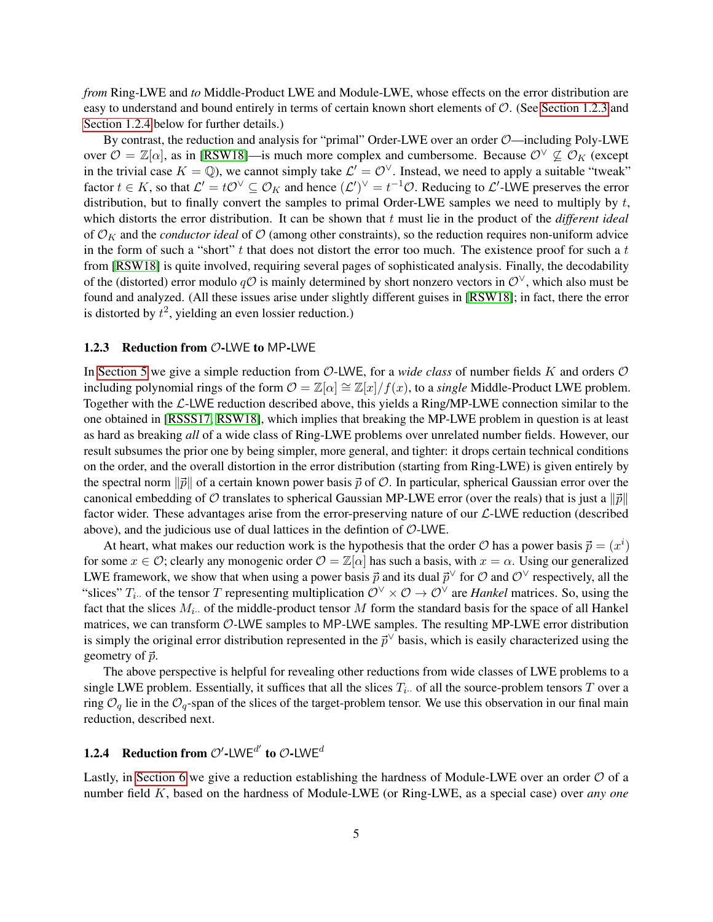*from* Ring-LWE and *to* Middle-Product LWE and Module-LWE, whose effects on the error distribution are easy to understand and bound entirely in terms of certain known short elements of O. (See [Section 1.2.3](#page-5-0) and [Section 1.2.4](#page-5-1) below for further details.)

By contrast, the reduction and analysis for "primal" Order-LWE over an order  $\mathcal{O}$ —including Poly-LWE over  $\mathcal{O} = \mathbb{Z}[\alpha]$ , as in [\[RSW18\]](#page-29-8)—is much more complex and cumbersome. Because  $\mathcal{O}^{\vee} \not\subseteq \mathcal{O}_K$  (except in the trivial case  $K = \mathbb{Q}$ ), we cannot simply take  $\mathcal{L}' = \mathcal{O}^{\vee}$ . Instead, we need to apply a suitable "tweak" factor  $t \in K$ , so that  $\mathcal{L}' = t\mathcal{O}^{\vee} \subseteq \mathcal{O}_K$  and hence  $(\mathcal{L}')^{\vee} = t^{-1}\mathcal{O}$ . Reducing to  $\mathcal{L}'$ -LWE preserves the error distribution, but to finally convert the samples to primal Order-LWE samples we need to multiply by  $t$ , which distorts the error distribution. It can be shown that t must lie in the product of the *different ideal* of  $\mathcal{O}_K$  and the *conductor ideal* of  $\mathcal{O}$  (among other constraints), so the reduction requires non-uniform advice in the form of such a "short"  $t$  that does not distort the error too much. The existence proof for such a  $t$ from [\[RSW18\]](#page-29-8) is quite involved, requiring several pages of sophisticated analysis. Finally, the decodability of the (distorted) error modulo  $qO$  is mainly determined by short nonzero vectors in  $O^{\vee}$ , which also must be found and analyzed. (All these issues arise under slightly different guises in [\[RSW18\]](#page-29-8); in fact, there the error is distorted by  $t^2$ , yielding an even lossier reduction.)

### <span id="page-5-0"></span>1.2.3 Reduction from  $O$ -LWE to MP-LWE

In [Section 5](#page-22-0) we give a simple reduction from  $\mathcal{O}\text{-LWE}$ , for a *wide class* of number fields K and orders  $\mathcal O$ including polynomial rings of the form  $\mathcal{O} = \mathbb{Z}[\alpha] \cong \mathbb{Z}[x]/f(x)$ , to a *single* Middle-Product LWE problem. Together with the  $\mathcal{L}\text{-LWE}$  reduction described above, this yields a Ring/MP-LWE connection similar to the one obtained in [\[RSSS17,](#page-29-9) [RSW18\]](#page-29-8), which implies that breaking the MP-LWE problem in question is at least as hard as breaking *all* of a wide class of Ring-LWE problems over unrelated number fields. However, our result subsumes the prior one by being simpler, more general, and tighter: it drops certain technical conditions on the order, and the overall distortion in the error distribution (starting from Ring-LWE) is given entirely by the spectral norm  $\|\vec{p}\|$  of a certain known power basis  $\vec{p}$  of O. In particular, spherical Gaussian error over the canonical embedding of  $\mathcal O$  translates to spherical Gaussian MP-LWE error (over the reals) that is just a  $\|\vec{p}\|$ factor wider. These advantages arise from the error-preserving nature of our  $\mathcal{L}\text{-LWE}$  reduction (described above), and the judicious use of dual lattices in the defintion of  $O$ -LWE.

At heart, what makes our reduction work is the hypothesis that the order  $O$  has a power basis  $\vec{p} = (x^i)$ for some  $x \in \mathcal{O}$ ; clearly any monogenic order  $\mathcal{O} = \mathbb{Z}[\alpha]$  has such a basis, with  $x = \alpha$ . Using our generalized LWE framework, we show that when using a power basis  $\vec{p}$  and its dual  $\vec{p}^\vee$  for  $\hat{O}$  and  $\hat{O}^\vee$  respectively, all the "slices"  $T_i$ . of the tensor T representing multiplication  $\mathcal{O}^{\vee} \times \mathcal{O} \to \mathcal{O}^{\vee}$  are *Hankel* matrices. So, using the fact that the slices  $M_i$ . of the middle-product tensor M form the standard basis for the space of all Hankel matrices, we can transform O-LWE samples to MP-LWE samples. The resulting MP-LWE error distribution is simply the original error distribution represented in the  $\vec{p}^{\vee}$  basis, which is easily characterized using the geometry of  $\vec{p}$ .

The above perspective is helpful for revealing other reductions from wide classes of LWE problems to a single LWE problem. Essentially, it suffices that all the slices  $T_i$ . of all the source-problem tensors T over a ring  $\mathcal{O}_q$  lie in the  $\mathcal{O}_q$ -span of the slices of the target-problem tensor. We use this observation in our final main reduction, described next.

# <span id="page-5-1"></span>**1.2.4** Reduction from  $\mathcal{O}'$ -LWE<sup>d'</sup> to  $\mathcal{O}$ -LWE<sup>d</sup>

Lastly, in [Section 6](#page-26-0) we give a reduction establishing the hardness of Module-LWE over an order  $\mathcal O$  of a number field K, based on the hardness of Module-LWE (or Ring-LWE, as a special case) over *any one*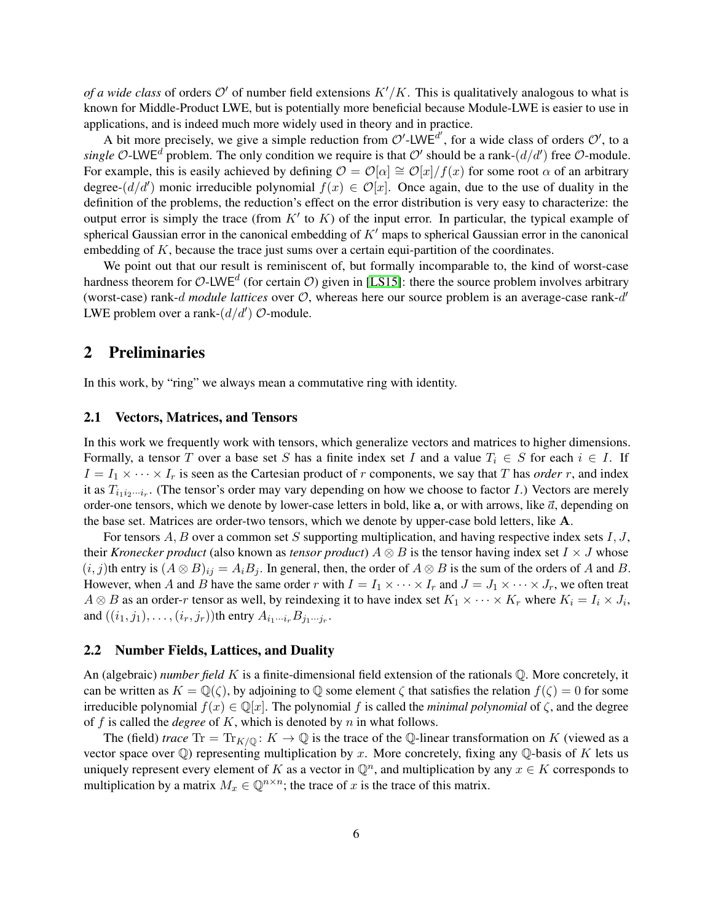*of a wide class* of orders  $O'$  of number field extensions  $K'/K$ . This is qualitatively analogous to what is known for Middle-Product LWE, but is potentially more beneficial because Module-LWE is easier to use in applications, and is indeed much more widely used in theory and in practice.

A bit more precisely, we give a simple reduction from  $\mathcal{O}'$ -LWE<sup>d'</sup>, for a wide class of orders  $\mathcal{O}'$ , to a single O-LWE<sup>d</sup> problem. The only condition we require is that O' should be a rank- $(d/d')$  free O-module. For example, this is easily achieved by defining  $\mathcal{O} = \mathcal{O}[\alpha] \cong \mathcal{O}[x]/f(x)$  for some root  $\alpha$  of an arbitrary degree- $(d/d')$  monic irreducible polynomial  $f(x) \in \mathcal{O}[x]$ . Once again, due to the use of duality in the definition of the problems, the reduction's effect on the error distribution is very easy to characterize: the output error is simply the trace (from  $K'$  to  $K$ ) of the input error. In particular, the typical example of spherical Gaussian error in the canonical embedding of  $K<sup>'</sup>$  maps to spherical Gaussian error in the canonical embedding of  $K$ , because the trace just sums over a certain equi-partition of the coordinates.

We point out that our result is reminiscent of, but formally incomparable to, the kind of worst-case hardness theorem for O-LWE<sup>d</sup> (for certain O) given in [\[LS15\]](#page-29-7): there the source problem involves arbitrary (worst-case) rank- $d$  module lattices over  $O$ , whereas here our source problem is an average-case rank- $d'$ LWE problem over a rank- $(d/d')$   $O$ -module.

# 2 Preliminaries

In this work, by "ring" we always mean a commutative ring with identity.

#### 2.1 Vectors, Matrices, and Tensors

In this work we frequently work with tensors, which generalize vectors and matrices to higher dimensions. Formally, a tensor T over a base set S has a finite index set I and a value  $T_i \in S$  for each  $i \in I$ . If  $I = I_1 \times \cdots \times I_r$  is seen as the Cartesian product of r components, we say that T has *order* r, and index it as  $T_{i_1 i_2 \cdots i_r}$ . (The tensor's order may vary depending on how we choose to factor I.) Vectors are merely order-one tensors, which we denote by lower-case letters in bold, like a, or with arrows, like  $\vec{a}$ , depending on the base set. Matrices are order-two tensors, which we denote by upper-case bold letters, like A.

For tensors  $A, B$  over a common set S supporting multiplication, and having respective index sets  $I, J$ , their *Kronecker product* (also known as *tensor product*)  $A \otimes B$  is the tensor having index set  $I \times J$  whose  $(i, j)$ th entry is  $(A \otimes B)_{ij} = A_i B_j$ . In general, then, the order of  $A \otimes B$  is the sum of the orders of A and B. However, when A and B have the same order r with  $I = I_1 \times \cdots \times I_r$  and  $J = J_1 \times \cdots \times J_r$ , we often treat  $A \otimes B$  as an order-r tensor as well, by reindexing it to have index set  $K_1 \times \cdots \times K_r$  where  $K_i = I_i \times J_i$ , and  $((i_1, j_1), \ldots, (i_r, j_r))$ th entry  $A_{i_1\cdots i_r}B_{j_1\cdots j_r}$ .

### 2.2 Number Fields, Lattices, and Duality

An (algebraic) *number field* K is a finite-dimensional field extension of the rationals Q. More concretely, it can be written as  $K = \mathbb{Q}(\zeta)$ , by adjoining to  $\mathbb Q$  some element  $\zeta$  that satisfies the relation  $f(\zeta) = 0$  for some irreducible polynomial  $f(x) \in \mathbb{Q}[x]$ . The polynomial f is called the *minimal polynomial* of  $\zeta$ , and the degree of  $f$  is called the *degree* of  $K$ , which is denoted by  $n$  in what follows.

The (field) *trace* Tr = Tr<sub>K/Q</sub>:  $K \to \mathbb{Q}$  is the trace of the Q-linear transformation on K (viewed as a vector space over  $\mathbb Q$ ) representing multiplication by x. More concretely, fixing any  $\mathbb Q$ -basis of K lets us uniquely represent every element of K as a vector in  $\mathbb{Q}^n$ , and multiplication by any  $x \in K$  corresponds to multiplication by a matrix  $M_x \in \mathbb{Q}^{n \times n}$ ; the trace of x is the trace of this matrix.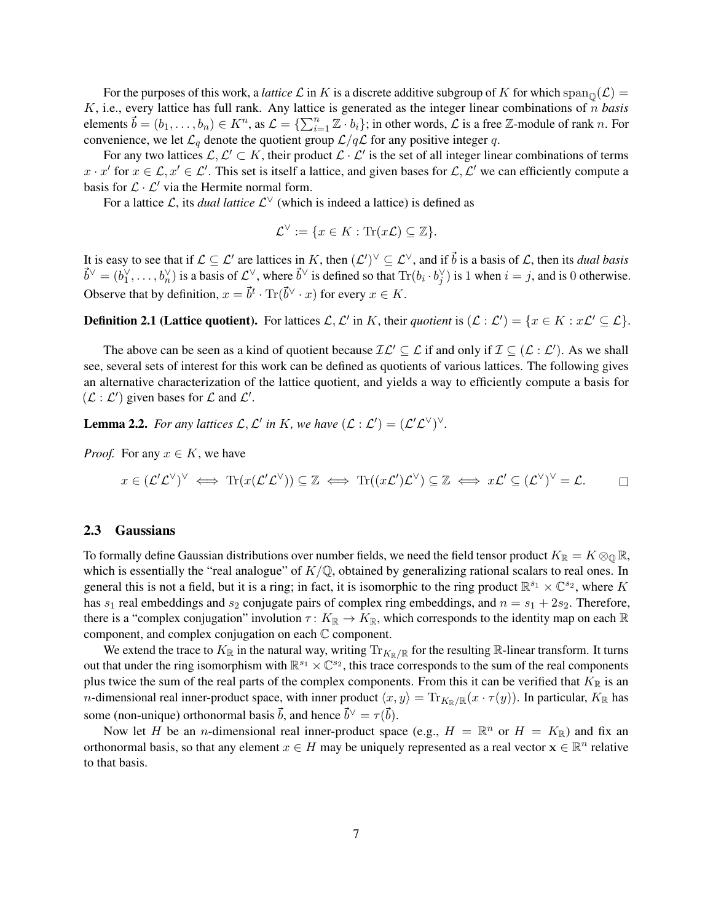For the purposes of this work, a *lattice*  $\mathcal L$  in K is a discrete additive subgroup of K for which span<sub>0</sub> $(\mathcal L)$  = K, i.e., every lattice has full rank. Any lattice is generated as the integer linear combinations of n *basis* elements  $\vec{b} = (b_1, \ldots, b_n) \in K^n$ , as  $\mathcal{L} = \{\sum_{i=1}^n \mathbb{Z} \cdot b_i\}$ ; in other words,  $\mathcal{L}$  is a free  $\mathbb{Z}$ -module of rank n. For convenience, we let  $\mathcal{L}_q$  denote the quotient group  $\mathcal{L}/q\mathcal{L}$  for any positive integer q.

For any two lattices  $\mathcal{L}, \mathcal{L}' \subset K$ , their product  $\mathcal{L} \cdot \mathcal{L}'$  is the set of all integer linear combinations of terms  $x \cdot x'$  for  $x \in \mathcal{L}, x' \in \mathcal{L}'$ . This set is itself a lattice, and given bases for  $\mathcal{L}, \mathcal{L}'$  we can efficiently compute a basis for  $\mathcal{L} \cdot \mathcal{L}'$  via the Hermite normal form.

For a lattice  $\mathcal{L}$ , its *dual lattice*  $\mathcal{L}^{\vee}$  (which is indeed a lattice) is defined as

$$
\mathcal{L}^{\vee} := \{ x \in K : \text{Tr}(x\mathcal{L}) \subseteq \mathbb{Z} \}.
$$

It is easy to see that if  $\mathcal{L} \subseteq \mathcal{L}'$  are lattices in K, then  $(\mathcal{L}')^\vee \subseteq \mathcal{L}^\vee$ , and if  $\vec{b}$  is a basis of  $\mathcal{L}$ , then its *dual basis*  $\vec{b}^{\vee} = (b_1^{\vee}, \dots, b_n^{\vee})$  is a basis of  $\mathcal{L}^{\vee}$ , where  $\vec{b}^{\vee}$  is defined so that  $\text{Tr}(b_i \cdot b_j^{\vee})$  is 1 when  $i = j$ , and is 0 otherwise. Observe that by definition,  $x = \vec{b}^t \cdot \text{Tr}(\vec{b}^{\vee} \cdot x)$  for every  $x \in K$ .

<span id="page-7-0"></span>**Definition 2.1 (Lattice quotient).** For lattices  $\mathcal{L}, \mathcal{L}'$  in K, their *quotient* is  $(\mathcal{L} : \mathcal{L}') = \{x \in K : x\mathcal{L}' \subseteq \mathcal{L}\}.$ 

The above can be seen as a kind of quotient because  $\mathcal{IL}' \subseteq \mathcal{L}$  if and only if  $\mathcal{I} \subseteq (\mathcal{L} : \mathcal{L}')$ . As we shall see, several sets of interest for this work can be defined as quotients of various lattices. The following gives an alternative characterization of the lattice quotient, and yields a way to efficiently compute a basis for  $(\mathcal{L} : \mathcal{L}')$  given bases for  $\mathcal{L}$  and  $\mathcal{L}'$ .

**Lemma 2.2.** For any lattices  $\mathcal{L}, \mathcal{L}'$  in K, we have  $(\mathcal{L} : \mathcal{L}') = (\mathcal{L}' \mathcal{L}^{\vee})^{\vee}$ .

*Proof.* For any  $x \in K$ , we have

$$
x\in (\mathcal{L}'\mathcal{L}^\vee)^\vee \iff \mathrm{Tr}(x(\mathcal{L}'\mathcal{L}^\vee))\subseteq \mathbb{Z} \iff \mathrm{Tr}((x\mathcal{L}')\mathcal{L}^\vee)\subseteq \mathbb{Z} \iff x\mathcal{L}'\subseteq (\mathcal{L}^\vee)^\vee=\mathcal{L}.\qquad \Box
$$

### 2.3 Gaussians

To formally define Gaussian distributions over number fields, we need the field tensor product  $K_{\mathbb{R}} = K \otimes_{\mathbb{Q}} \mathbb{R}$ , which is essentially the "real analogue" of  $K/\mathbb{Q}$ , obtained by generalizing rational scalars to real ones. In general this is not a field, but it is a ring; in fact, it is isomorphic to the ring product  $\mathbb{R}^{s_1} \times \mathbb{C}^{s_2}$ , where K has  $s_1$  real embeddings and  $s_2$  conjugate pairs of complex ring embeddings, and  $n = s_1 + 2s_2$ . Therefore, there is a "complex conjugation" involution  $\tau: K_{\mathbb{R}} \to K_{\mathbb{R}}$ , which corresponds to the identity map on each  $\mathbb{R}$ component, and complex conjugation on each C component.

We extend the trace to  $K_{\mathbb{R}}$  in the natural way, writing  $\text{Tr}_{K_{\mathbb{R}}/\mathbb{R}}$  for the resulting  $\mathbb{R}$ -linear transform. It turns out that under the ring isomorphism with  $\mathbb{R}^{s_1}\times\mathbb{C}^{s_2}$ , this trace corresponds to the sum of the real components plus twice the sum of the real parts of the complex components. From this it can be verified that  $K_{\mathbb{R}}$  is an *n*-dimensional real inner-product space, with inner product  $\langle x, y \rangle = \text{Tr}_{K_{\mathbb{R}}/\mathbb{R}}(x \cdot \tau(y))$ . In particular,  $K_{\mathbb{R}}$  has some (non-unique) orthonormal basis  $\vec{b}$ , and hence  $\vec{b}^{\vee} = \tau(\vec{b})$ .

Now let H be an *n*-dimensional real inner-product space (e.g.,  $H = \mathbb{R}^n$  or  $H = K_{\mathbb{R}}$ ) and fix an orthonormal basis, so that any element  $x \in H$  may be uniquely represented as a real vector  $\mathbf{x} \in \mathbb{R}^n$  relative to that basis.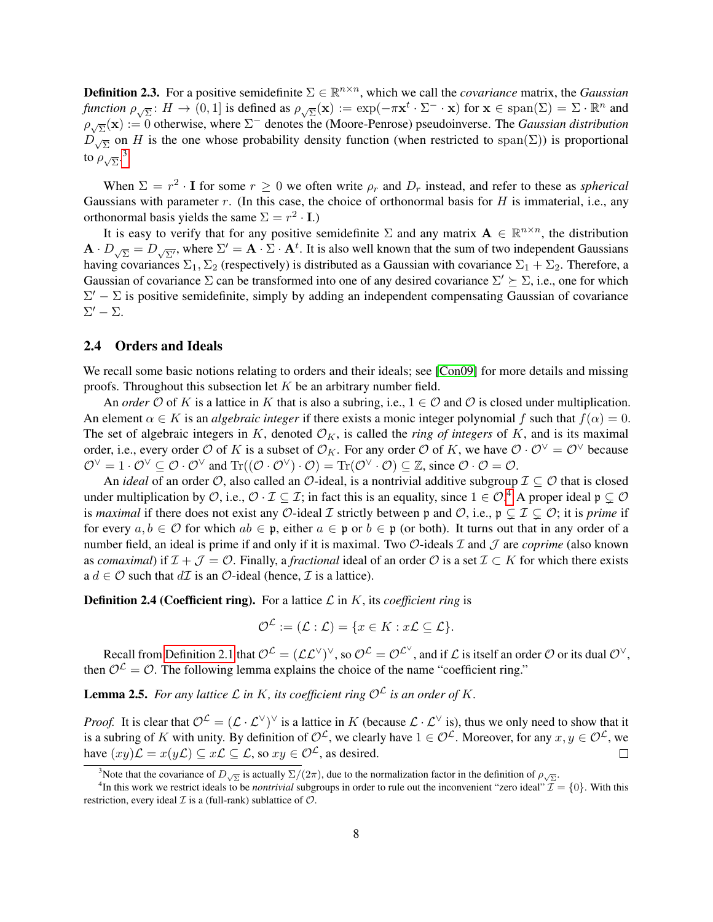**Definition 2.3.** For a positive semidefinite  $\Sigma \in \mathbb{R}^{n \times n}$ , which we call the *covariance* matrix, the *Gaussian function*  $\rho_{\sqrt{\Sigma}}$ :  $H \to (0, 1]$  is defined as  $\rho_{\sqrt{\Sigma}}(\mathbf{x}) := \exp(-\pi \mathbf{x}^t \cdot \Sigma^- \cdot \mathbf{x})$  for  $\mathbf{x} \in \text{span}(\Sigma) = \Sigma \cdot \mathbb{R}^n$  and  $\rho_{\sqrt{\Sigma}}(\mathbf{x}) := 0$  otherwise, where  $\Sigma^-$  denotes the (Moore-Penrose) pseudoinverse. The *Gaussian distribution*  $D_{\sqrt{\Sigma}}$  on H is the one whose probability density function (when restricted to span( $\Sigma$ )) is proportional to  $\rho_{\sqrt{\Sigma}}$ .<sup>[3](#page-8-0)</sup>

When  $\Sigma = r^2 \cdot I$  for some  $r \ge 0$  we often write  $\rho_r$  and  $D_r$  instead, and refer to these as *spherical* Gaussians with parameter r. (In this case, the choice of orthonormal basis for  $H$  is immaterial, i.e., any orthonormal basis yields the same  $\Sigma = r^2 \cdot I$ .)

It is easy to verify that for any positive semidefinite  $\Sigma$  and any matrix  $\mathbf{A} \in \mathbb{R}^{n \times n}$ , the distribution  $\mathbf{A} \cdot D_{\sqrt{\Sigma}} = D_{\sqrt{\Sigma'}}$ , where  $\Sigma' = \mathbf{A} \cdot \Sigma \cdot \mathbf{A}^t$ . It is also well known that the sum of two independent Gaussians having covariances  $\Sigma_1$ ,  $\Sigma_2$  (respectively) is distributed as a Gaussian with covariance  $\Sigma_1 + \Sigma_2$ . Therefore, a Gaussian of covariance  $\Sigma$  can be transformed into one of any desired covariance  $\Sigma' \succeq \Sigma$ , i.e., one for which  $\Sigma' - \Sigma$  is positive semidefinite, simply by adding an independent compensating Gaussian of covariance  $\Sigma'$  –  $\Sigma$ .

### 2.4 Orders and Ideals

We recall some basic notions relating to orders and their ideals; see [\[Con09\]](#page-28-8) for more details and missing proofs. Throughout this subsection let  $K$  be an arbitrary number field.

An *order*  $\mathcal O$  of K is a lattice in K that is also a subring, i.e.,  $1 \in \mathcal O$  and  $\mathcal O$  is closed under multiplication. An element  $\alpha \in K$  is an *algebraic integer* if there exists a monic integer polynomial f such that  $f(\alpha) = 0$ . The set of algebraic integers in K, denoted  $\mathcal{O}_K$ , is called the *ring of integers* of K, and is its maximal order, i.e., every order O of K is a subset of  $\mathcal{O}_K$ . For any order O of K, we have  $\mathcal{O} \cdot \mathcal{O}^{\vee} = \mathcal{O}^{\vee}$  because  $\mathcal{O}^{\vee} = 1 \cdot \mathcal{O}^{\vee} \subseteq \mathcal{O} \cdot \mathcal{O}^{\vee}$  and  $\text{Tr}((\mathcal{O} \cdot \mathcal{O}^{\vee}) \cdot \mathcal{O}) = \text{Tr}(\mathcal{O}^{\vee} \cdot \mathcal{O}) \subseteq \mathbb{Z}$ , since  $\mathcal{O} \cdot \mathcal{O} = \mathcal{O}$ .

An *ideal* of an order  $\mathcal{O}$ , also called an  $\mathcal{O}$ -ideal, is a nontrivial additive subgroup  $\mathcal{I} \subset \mathcal{O}$  that is closed under multiplication by  $\mathcal{O}$ , i.e.,  $\mathcal{O} \cdot \mathcal{I} \subseteq \mathcal{I}$ ; in fact this is an equality, since  $1 \in \mathcal{O}$ .<sup>[4](#page-8-1)</sup> A proper ideal  $\mathfrak{p} \subsetneq \mathcal{O}$ is *maximal* if there does not exist any O-ideal I strictly between p and O, i.e.,  $p \subseteq I \subseteq O$ ; it is *prime* if for every  $a, b \in \mathcal{O}$  for which  $ab \in \mathfrak{p}$ , either  $a \in \mathfrak{p}$  or  $b \in \mathfrak{p}$  (or both). It turns out that in any order of a number field, an ideal is prime if and only if it is maximal. Two O-ideals I and J are *coprime* (also known as *comaximal*) if  $\mathcal{I} + \mathcal{J} = \mathcal{O}$ . Finally, a *fractional* ideal of an order  $\mathcal{O}$  is a set  $\mathcal{I} \subset K$  for which there exists a  $d \in \mathcal{O}$  such that  $d\mathcal{I}$  is an  $\mathcal{O}$ -ideal (hence,  $\mathcal{I}$  is a lattice).

**Definition 2.4 (Coefficient ring).** For a lattice  $\mathcal{L}$  in  $K$ , its *coefficient ring* is

$$
\mathcal{O}^{\mathcal{L}} := (\mathcal{L} : \mathcal{L}) = \{x \in K : x\mathcal{L} \subseteq \mathcal{L}\}.
$$

Recall from [Definition 2.1](#page-7-0) that  $\mathcal{O}^{\mathcal{L}} = (\mathcal{L}\mathcal{L}^{\vee})^{\vee}$ , so  $\mathcal{O}^{\mathcal{L}} = \mathcal{O}^{\mathcal{L}^{\vee}}$ , and if  $\mathcal{L}$  is itself an order  $\mathcal O$  or its dual  $\mathcal{O}^{\vee}$ , then  $\mathcal{O}^{\mathcal{L}} = \mathcal{O}$ . The following lemma explains the choice of the name "coefficient ring."

**Lemma 2.5.** For any lattice  $\mathcal L$  in K, its coefficient ring  $\mathcal O^{\mathcal L}$  is an order of K.

*Proof.* It is clear that  $\mathcal{O}^{\mathcal{L}} = (\mathcal{L} \cdot \mathcal{L}^{\vee})^{\vee}$  is a lattice in K (because  $\mathcal{L} \cdot \mathcal{L}^{\vee}$  is), thus we only need to show that it is a subring of K with unity. By definition of  $\mathcal{O}^{\mathcal{L}}$ , we clearly have  $1 \in \mathcal{O}^{\mathcal{L}}$ . Moreover, for any  $x, y \in \mathcal{O}^{\mathcal{L}}$ , we have  $(xy)\mathcal{L} = x(y\mathcal{L}) \subseteq x\mathcal{L} \subseteq \mathcal{L}$ , so  $xy \in \mathcal{O}^{\mathcal{L}}$ , as desired.  $\Box$ 

<span id="page-8-1"></span><span id="page-8-0"></span><sup>&</sup>lt;sup>3</sup>Note that the covariance of  $D_{\sqrt{\Sigma}}$  is actually  $\Sigma/(2\pi)$ , due to the normalization factor in the definition of  $\rho_{\sqrt{\Sigma}}$ .

<sup>&</sup>lt;sup>4</sup>In this work we restrict ideals to be *nontrivial* subgroups in order to rule out the inconvenient "zero ideal"  $\mathcal{I} = \{0\}$ . With this restriction, every ideal  $\mathcal I$  is a (full-rank) sublattice of  $\mathcal O$ .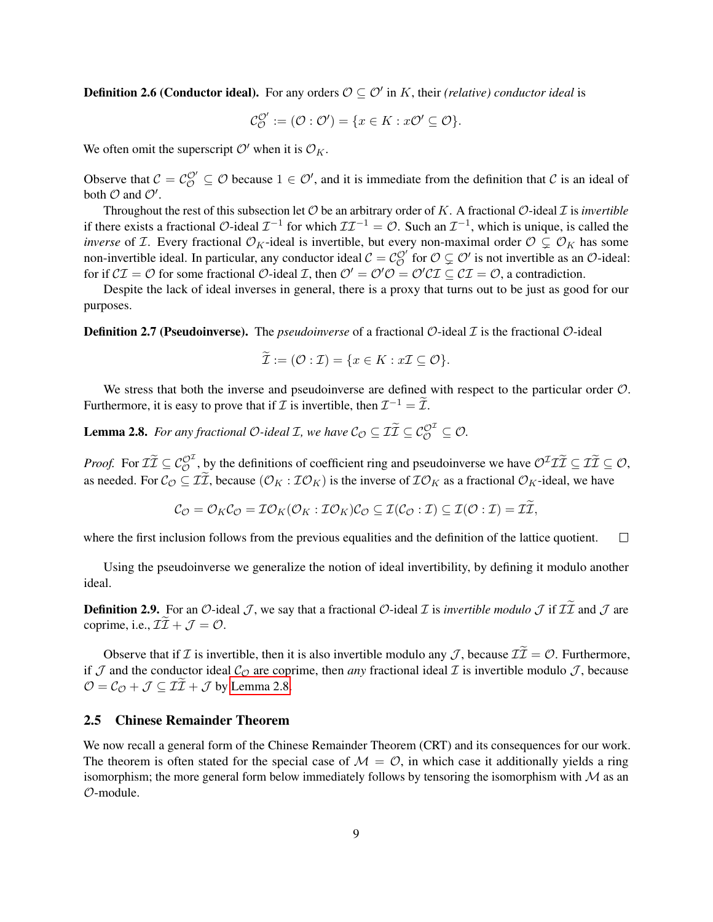**Definition 2.6 (Conductor ideal).** For any orders  $\mathcal{O} \subseteq \mathcal{O}'$  in K, their *(relative) conductor ideal* is

$$
\mathcal{C}_{\mathcal{O}}^{\mathcal{O}'} := (\mathcal{O} : \mathcal{O}') = \{x \in K : x\mathcal{O}' \subseteq \mathcal{O}\}.
$$

We often omit the superscript  $\mathcal{O}'$  when it is  $\mathcal{O}_K$ .

Observe that  $C = C_O^{\mathcal{O}'} \subseteq \mathcal{O}$  because  $1 \in \mathcal{O}'$ , and it is immediate from the definition that C is an ideal of both  $\mathcal O$  and  $\mathcal O'$ .

Throughout the rest of this subsection let  $O$  be an arbitrary order of K. A fractional  $O$ -ideal  $I$  is *invertible* if there exists a fractional  $\mathcal{O}$ -ideal  $\mathcal{I}^{-1}$  for which  $\mathcal{I}\mathcal{I}^{-1} = \mathcal{O}$ . Such an  $\mathcal{I}^{-1}$ , which is unique, is called the *inverse* of *T*. Every fractional  $\mathcal{O}_K$ -ideal is invertible, but every non-maximal order  $\mathcal{O} \subsetneq \mathcal{O}_K$  has some non-invertible ideal. In particular, any conductor ideal  $C = C_C^{O'}$  for  $O \subsetneq O'$  is not invertible as an  $O$ -ideal: for if  $C\mathcal{I} = \mathcal{O}$  for some fractional  $\mathcal{O}$ -ideal  $\mathcal{I}$ , then  $\mathcal{O}' = \mathcal{O}'\mathcal{O} = \mathcal{O}'\mathcal{C}\mathcal{I} \subset \mathcal{C}\mathcal{I} = \mathcal{O}$ , a contradiction.

Despite the lack of ideal inverses in general, there is a proxy that turns out to be just as good for our purposes.

**Definition 2.7 (Pseudoinverse).** The *pseudoinverse* of a fractional  $\mathcal{O}$ -ideal  $\mathcal{I}$  is the fractional  $\mathcal{O}$ -ideal

$$
\mathcal{I} := (\mathcal{O} : \mathcal{I}) = \{x \in K : x\mathcal{I} \subseteq \mathcal{O}\}.
$$

We stress that both the inverse and pseudoinverse are defined with respect to the particular order  $\mathcal{O}$ . Furthermore, it is easy to prove that if  $\mathcal I$  is invertible, then  $\mathcal I^{-1} = \tilde{\mathcal I}$ .

<span id="page-9-0"></span>**Lemma 2.8.** For any fractional  $O$ -ideal  $\mathcal{I}$ , we have  $C_O \subseteq \tilde{\mathcal{II}} \subseteq C_O^{O^{\mathcal{I}}} \subseteq O$ .

*Proof.* For  $\mathcal{I}\tilde{\mathcal{I}} \subseteq \mathcal{C}_{\mathcal{O}}^{\mathcal{O}^{\mathcal{I}}}$ , by the definitions of coefficient ring and pseudoinverse we have  $\mathcal{O}^{\mathcal{I}}\mathcal{I}\tilde{\mathcal{I}} \subseteq \mathcal{I}\tilde{\mathcal{I}} \subseteq \mathcal{O}$ , as needed. For  $\mathcal{C}_{\mathcal{O}} \subseteq \tilde{\mathcal{I}}$ , because  $(\mathcal{O}_K : \mathcal{I}\mathcal{O}_K)$  is the inverse of  $\mathcal{I}\mathcal{O}_K$  as a fractional  $\mathcal{O}_K$ -ideal, we have

$$
\mathcal{C}_{\mathcal{O}}=\mathcal{O}_K\mathcal{C}_{\mathcal{O}}=\mathcal{I}\mathcal{O}_K(\mathcal{O}_K:\mathcal{I}\mathcal{O}_K)\mathcal{C}_{\mathcal{O}}\subseteq\mathcal{I}(\mathcal{C}_{\mathcal{O}}:\mathcal{I})\subseteq\mathcal{I}(\mathcal{O}:\mathcal{I})=\mathcal{I}\mathcal{I},
$$

where the first inclusion follows from the previous equalities and the definition of the lattice quotient.  $\Box$ 

Using the pseudoinverse we generalize the notion of ideal invertibility, by defining it modulo another ideal.

**Definition 2.9.** For an O-ideal J, we say that a fractional O-ideal I is *invertible modulo* J if  $I\tilde{I}$  and J are coprime, i.e.,  $\mathcal{II} + \mathcal{J} = \mathcal{O}$ .

Observe that if  $\mathcal I$  is invertible, then it is also invertible modulo any  $\mathcal J$ , because  $\mathcal I \widetilde{\mathcal I} = \mathcal O$ . Furthermore, if J and the conductor ideal  $\mathcal{C}_{\mathcal{O}}$  are coprime, then *any* fractional ideal I is invertible modulo J, because  $\mathcal{O} = \mathcal{C}_{\mathcal{O}} + \mathcal{J} \subseteq \mathcal{II} + \mathcal{J}$  by [Lemma 2.8.](#page-9-0)

### 2.5 Chinese Remainder Theorem

<span id="page-9-1"></span>We now recall a general form of the Chinese Remainder Theorem (CRT) and its consequences for our work. The theorem is often stated for the special case of  $M = \mathcal{O}$ , in which case it additionally yields a ring isomorphism; the more general form below immediately follows by tensoring the isomorphism with  $\mathcal M$  as an O-module.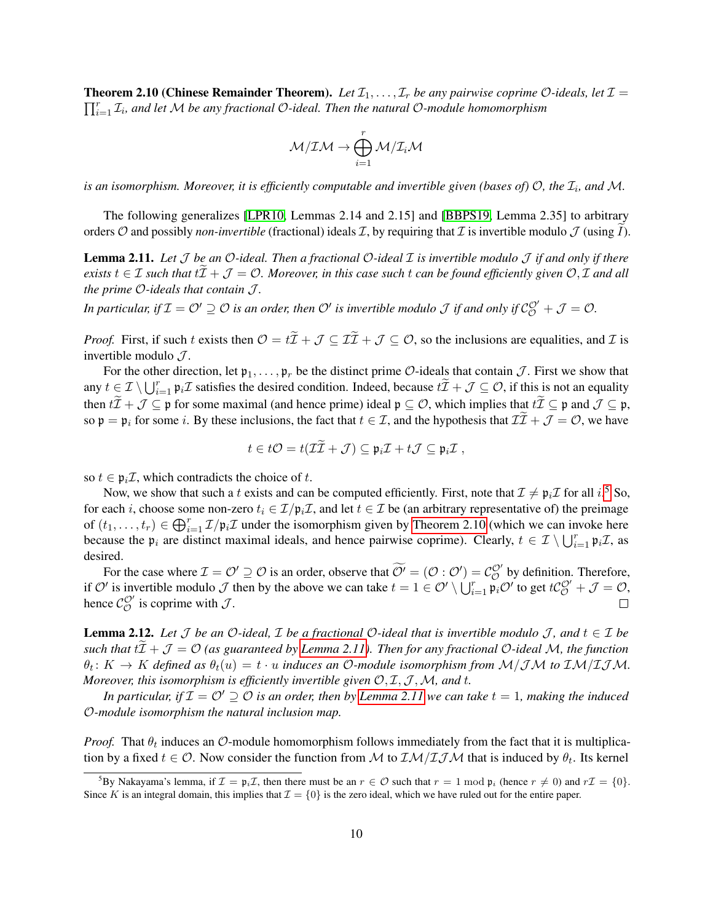**Theorem 2.10 (Chinese Remainder Theorem).** Let  $\mathcal{I}_1, \ldots, \mathcal{I}_r$  be any pairwise coprime O-ideals, let  $\mathcal{I} =$  $\prod_{i=1}^r \mathcal{I}_i$ , and let M be any fractional O-ideal. Then the natural O-module homomorphism

$$
\mathcal{M}/\mathcal{I}\mathcal{M} \to \bigoplus_{i=1}^r \mathcal{M}/\mathcal{I}_i\mathcal{M}
$$

is an isomorphism. Moreover, it is efficiently computable and invertible given (bases of)  $O$ , the  $\mathcal{I}_i$ , and M.

The following generalizes [\[LPR10,](#page-28-2) Lemmas 2.14 and 2.15] and [\[BBPS19,](#page-28-5) Lemma 2.35] to arbitrary orders O and possibly *non-invertible* (fractional) ideals  $\mathcal I$ , by requiring that  $\mathcal I$  is invertible modulo  $\mathcal J$  (using I).

<span id="page-10-1"></span>Lemma 2.11. *Let* J *be an* O*-ideal. Then a fractional* O*-ideal* I *is invertible modulo* J *if and only if there*  $e$ *xists*  $t \in \mathcal{I}$  *such that*  $t\mathcal{I} + \mathcal{J} = \mathcal{O}$ *. Moreover, in this case such t can be found efficiently given*  $\mathcal{O}, \mathcal{I}$  *and all the prime* O*-ideals that contain* J *.*

In particular, if  $\mathcal{I}=\mathcal{O}'\supseteq\mathcal{O}$  is an order, then  $\mathcal{O}'$  is invertible modulo  $\mathcal J$  if and only if  $\mathcal{C}^{\mathcal{O}'}_{\mathcal{O}}+\mathcal{J}=\mathcal{O}.$ 

*Proof.* First, if such t exists then  $\mathcal{O} = t\tilde{\mathcal{I}} + \mathcal{J} \subseteq \mathcal{I}\tilde{\mathcal{I}} + \mathcal{J} \subseteq \mathcal{O}$ , so the inclusions are equalities, and  $\mathcal{I}$  is invertible modulo  $\mathcal{J}$ .

For the other direction, let  $\mathfrak{p}_1, \ldots, \mathfrak{p}_r$  be the distinct prime  $\mathcal{O}$ -ideals that contain  $\mathcal{J}$ . First we show that any  $t \in \mathcal{I} \setminus \bigcup_{i=1}^r \mathfrak{p}_i \mathcal{I}$  satisfies the desired condition. Indeed, because  $\ell \widetilde{\mathcal{I}} + \mathcal{J} \subseteq \mathcal{O}$ , if this is not an equality then  $t\tilde{\mathcal{I}} + \mathcal{J} \subseteq \mathfrak{p}$  for some maximal (and hence prime) ideal  $\mathfrak{p} \subseteq \mathcal{O}$ , which implies that  $t\tilde{\mathcal{I}} \subseteq \mathfrak{p}$  and  $\mathcal{J} \subseteq \mathfrak{p}$ , so  $\mathfrak{p} = \mathfrak{p}_i$  for some *i*. By these inclusions, the fact that  $t \in \mathcal{I}$ , and the hypothesis that  $\mathcal{II} + \mathcal{J} = \mathcal{O}$ , we have

$$
t\in t\mathcal{O}=t(\mathcal{II}+\mathcal{J})\subseteq \mathfrak{p}_i\mathcal{I}+t\mathcal{J}\subseteq \mathfrak{p}_i\mathcal{I},
$$

so  $t \in \mathfrak{p}_i \mathcal{I}$ , which contradicts the choice of t.

Now, we show that such a t exists and can be computed efficiently. First, note that  $\mathcal{I} \neq \mathfrak{p}_i\mathcal{I}$  for all  $i$ .<sup>[5](#page-10-0)</sup> So, for each i, choose some non-zero  $t_i \in \mathcal{I}/\mathfrak{p}_i\mathcal{I}$ , and let  $t \in \mathcal{I}$  be (an arbitrary representative of) the preimage of  $(t_1,\ldots,t_r) \in \bigoplus_{i=1}^r \mathcal{I}/\mathfrak{p}_i\mathcal{I}$  under the isomorphism given by [Theorem 2.10](#page-9-1) (which we can invoke here because the  $\mathfrak{p}_i$  are distinct maximal ideals, and hence pairwise coprime). Clearly,  $t \in \mathcal{I} \setminus \bigcup_{i=1}^r \mathfrak{p}_i \mathcal{I}$ , as desired.

For the case where  $\mathcal{I} = \mathcal{O}' \supseteq \mathcal{O}$  is an order, observe that  $\widetilde{\mathcal{O}}' = (\mathcal{O} : \mathcal{O}') = \mathcal{C}_{\mathcal{O}}^{\mathcal{O}'}$  by definition. Therefore, if O' is invertible modulo J then by the above we can take  $t = 1 \in \mathcal{O}' \setminus \bigcup_{i=1}^r \mathfrak{p}_i \mathcal{O}'$  to get  $t\mathcal{C}^{\mathcal{O}'}_{\mathcal{O}} + \mathcal{J} = \mathcal{O}$ , hence  $\mathcal{C}_{\mathcal{O}}^{\mathcal{O}'}$  is coprime with  $\mathcal{J}$ .

<span id="page-10-2"></span>**Lemma 2.12.** Let  $\mathcal{J}$  be an  $\mathcal{O}$ -ideal,  $\mathcal{I}$  be a fractional  $\mathcal{O}$ -ideal that is invertible modulo  $\mathcal{J}$ , and  $t \in \mathcal{I}$  be *such that*  $tI + J = O$  *(as guaranteed by [Lemma 2.11\)](#page-10-1). Then for any fractional O-ideal M, the function*  $\theta_t \colon K \to K$  defined as  $\theta_t(u) = t \cdot u$  induces an O-module isomorphism from  $\mathcal{M}/\mathcal{IM}$  to  $\mathcal{IM}/\mathcal{I}\mathcal{JM}$ . *Moreover, this isomorphism is efficiently invertible given*  $O, I, J, M$ *, and t.* 

*In particular, if*  $\mathcal{I} = \mathcal{O}' \supseteq \mathcal{O}$  *is an order, then by [Lemma 2.11](#page-10-1) we can take*  $t = 1$ *, making the induced* O*-module isomorphism the natural inclusion map.*

*Proof.* That  $\theta_t$  induces an  $\mathcal{O}\text{-module homomorphism follows immediately from the fact that it is multiplica$ tion by a fixed  $t \in \mathcal{O}$ . Now consider the function from M to  $\mathcal{IM}/\mathcal{I} \mathcal{JM}$  that is induced by  $\theta_t$ . Its kernel

<span id="page-10-0"></span> $^5$ By Nakayama's lemma, if  $\mathcal{I} = \mathfrak{p}_i \mathcal{I}$ , then there must be an  $r \in \mathcal{O}$  such that  $r = 1 \mod \mathfrak{p}_i$  (hence  $r \neq 0$ ) and  $r\mathcal{I} = \{0\}$ . Since K is an integral domain, this implies that  $\mathcal{I} = \{0\}$  is the zero ideal, which we have ruled out for the entire paper.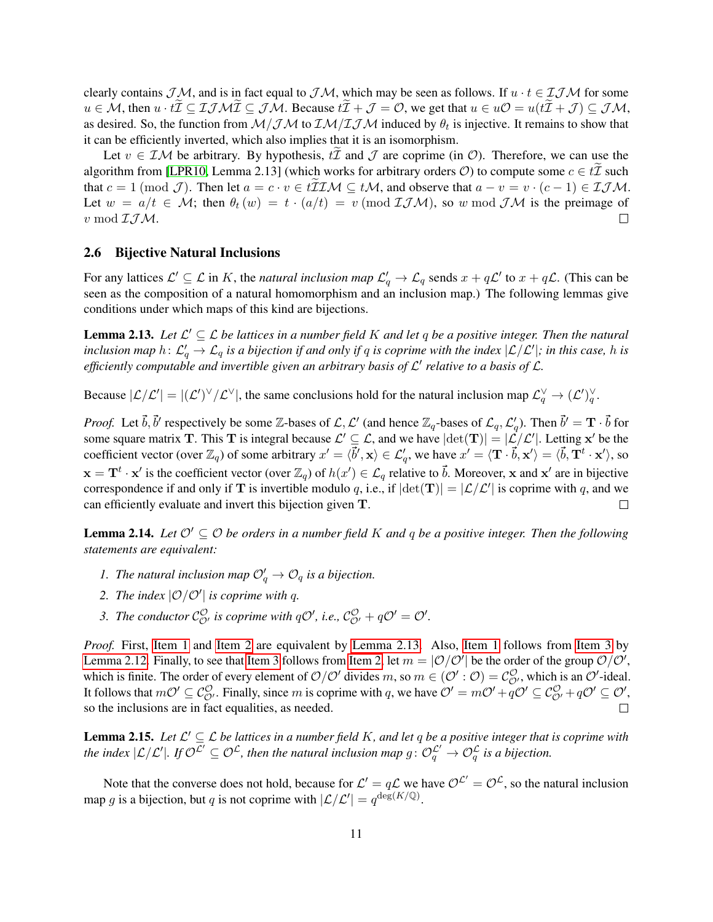clearly contains  $\mathcal{JM}$ , and is in fact equal to  $\mathcal{JM}$ , which may be seen as follows. If  $u \cdot t \in \mathcal{IJM}$  for some  $u \in M$ , then  $u \cdot t\overline{\mathcal{I}} \subseteq \mathcal{I} \mathcal{I} \mathcal{M} \mathcal{I} \subseteq \mathcal{I} \mathcal{M}$ . Because  $t\overline{\mathcal{I}} + \mathcal{J} = \mathcal{O}$ , we get that  $u \in u\mathcal{O} = u(t\overline{\mathcal{I}} + \mathcal{J}) \subseteq \mathcal{J} \mathcal{M}$ , as desired. So, the function from  $M/JM$  to  $\mathcal{IM}/\mathcal{I} \mathcal{J} M$  induced by  $\theta_t$  is injective. It remains to show that it can be efficiently inverted, which also implies that it is an isomorphism.

Let  $v \in \mathcal{IM}$  be arbitrary. By hypothesis,  $t\mathcal{I}$  and  $\mathcal{J}$  are coprime (in  $\mathcal{O}$ ). Therefore, we can use the algorithm from [\[LPR10,](#page-28-2) Lemma 2.13] (which works for arbitrary orders  $\mathcal{O}$ ) to compute some  $c \in \mathcal{U}$  such that  $c = 1 \pmod{\mathcal{J}}$ . Then let  $a = c \cdot v \in t\mathcal{I}\mathcal{I}\mathcal{M} \subset t\mathcal{M}$ , and observe that  $a - v = v \cdot (c - 1) \in \mathcal{I}\mathcal{J}\mathcal{M}$ . Let  $w = a/t \in \mathcal{M}$ ; then  $\theta_t(w) = t \cdot (a/t) = v \pmod{\mathcal{I}\mathcal{M}}$ , so w mod  $\mathcal{J}\mathcal{M}$  is the preimage of  $v \mod \mathcal{I} \mathcal{J} \mathcal{M}.$  $\Box$ 

### <span id="page-11-4"></span>2.6 Bijective Natural Inclusions

For any lattices  $\mathcal{L}' \subseteq \mathcal{L}$  in K, the *natural inclusion map*  $\mathcal{L}'_q \to \mathcal{L}_q$  sends  $x + q\mathcal{L}'$  to  $x + q\mathcal{L}$ . (This can be seen as the composition of a natural homomorphism and an inclusion map.) The following lemmas give conditions under which maps of this kind are bijections.

<span id="page-11-2"></span>**Lemma 2.13.** Let  $\mathcal{L}' \subseteq \mathcal{L}$  be lattices in a number field K and let q be a positive integer. Then the natural inclusion map  $h\colon L'_q\to L_q$  is a bijection if and only if  $q$  is coprime with the index  $|\mathcal L/\mathcal L'|$ ; in this case,  $h$  is *efficiently computable and invertible given an arbitrary basis of* L 0 *relative to a basis of* L*.*

Because  $|\mathcal{L}/\mathcal{L}'| = |(\mathcal{L}')^{\vee}/\mathcal{L}^{\vee}|$ , the same conclusions hold for the natural inclusion map  $\mathcal{L}_q^{\vee} \to (\mathcal{L}')^{\vee}_q$ .

*Proof.* Let  $\vec{b}$ ,  $\vec{b}'$  respectively be some Z-bases of  $\mathcal{L}, \mathcal{L}'$  (and hence  $\mathbb{Z}_q$ -bases of  $\mathcal{L}_q, \mathcal{L}'_q$ ). Then  $\vec{b}' = \mathbf{T} \cdot \vec{b}$  for some square matrix **T**. This **T** is integral because  $\mathcal{L}' \subseteq \mathcal{L}$ , and we have  $|\text{det}(\mathbf{T})| = |\mathcal{L}/\mathcal{L}'|$ . Letting x' be the coefficient vector (over  $\mathbb{Z}_q$ ) of some arbitrary  $x' = \langle \vec{b}', \mathbf{x} \rangle \in \mathcal{L}'_q$ , we have  $x' = \langle \mathbf{T} \cdot \vec{b}, \mathbf{x}' \rangle = \langle \vec{b}, \mathbf{T}^t \cdot \mathbf{x}' \rangle$ , so  $\mathbf{x} = \mathbf{T}^t \cdot \mathbf{x}'$  is the coefficient vector (over  $\mathbb{Z}_q$ ) of  $h(x') \in \mathcal{L}_q$  relative to  $\vec{b}$ . Moreover, x and  $\mathbf{x}'$  are in bijective correspondence if and only if **T** is invertible modulo q, i.e., if  $|\text{det}(\mathbf{T})| = |\mathcal{L}/\mathcal{L}'|$  is coprime with q, and we can efficiently evaluate and invert this bijection given T.

<span id="page-11-5"></span>**Lemma 2.14.** *Let*  $O' \subseteq O$  *be orders in a number field* K *and* q *be a positive integer. Then the following statements are equivalent:*

- <span id="page-11-0"></span>*1. The natural inclusion map*  $\mathcal{O}'_q \to \mathcal{O}_q$  *is a bijection.*
- <span id="page-11-1"></span>2. The index  $\left| \mathcal{O} / \mathcal{O}' \right|$  is coprime with q.
- <span id="page-11-3"></span>3. The conductor  $\mathcal{C}_{\mathcal{O}'}^{\mathcal{O}}$  is coprime with  $q\mathcal{O}'$ , i.e.,  $\mathcal{C}_{\mathcal{O}'}^{\mathcal{O}} + q\mathcal{O}' = \mathcal{O}'$ .

*Proof.* First, [Item 1](#page-11-0) and [Item 2](#page-11-1) are equivalent by [Lemma 2.13.](#page-11-2) Also, Item 1 follows from [Item 3](#page-11-3) by [Lemma 2.12.](#page-10-2) Finally, to see that [Item 3](#page-11-3) follows from [Item 2,](#page-11-1) let  $m = |O/O'|$  be the order of the group  $O/O'$ , which is finite. The order of every element of  $O/O'$  divides m, so  $m \in (O':O) = C_{O'}^{O}$ , which is an  $O'$ -ideal. It follows that  $m\mathcal{O}' \subseteq \mathcal{C}_{\mathcal{O}'}^{\mathcal{O}}$ . Finally, since m is coprime with q, we have  $\mathcal{O}' = m\mathcal{O}' + q\mathcal{O}' \subseteq \mathcal{C}_{\mathcal{O}'}^{\mathcal{O}} + q\mathcal{O}' \subseteq \mathcal{O}'$ , so the inclusions are in fact equalities, as needed.  $\Box$ 

**Lemma 2.15.** Let  $\mathcal{L}' \subseteq \mathcal{L}$  be lattices in a number field K, and let q be a positive integer that is coprime with the index  $|\mathcal{L}/\mathcal{L}'|$ . If  $\mathcal{O}^{\mathcal{L}'} \subseteq \mathcal{O}^{\mathcal{L}}$ , then the natural inclusion map  $g: \mathcal{O}_q^{\mathcal{L}'} \to \mathcal{O}_q^{\mathcal{L}}$  is a bijection.

Note that the converse does not hold, because for  $\mathcal{L}' = q\mathcal{L}$  we have  $\mathcal{O}^{\mathcal{L}'} = \mathcal{O}^{\mathcal{L}}$ , so the natural inclusion map g is a bijection, but q is not coprime with  $|\mathcal{L}/\mathcal{L}'| = q^{\deg(K/\mathbb{Q})}$ .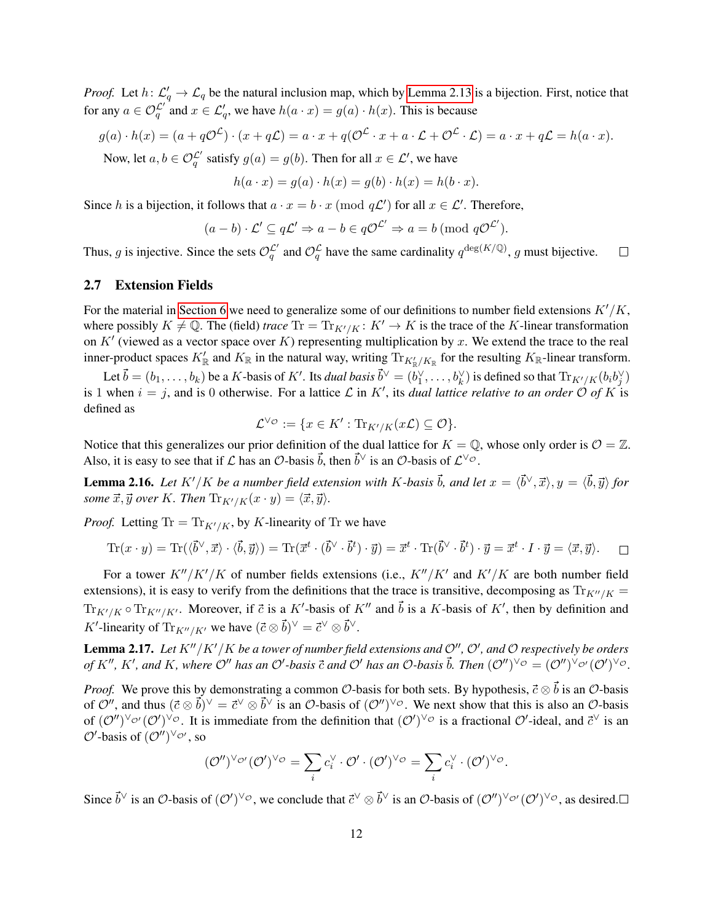*Proof.* Let  $h: \mathcal{L}'_q \to \mathcal{L}_q$  be the natural inclusion map, which by [Lemma 2.13](#page-11-2) is a bijection. First, notice that for any  $a \in \mathcal{O}_q^{\mathcal{L}'}$  and  $x \in \mathcal{L}'_q$ , we have  $h(a \cdot x) = g(a) \cdot h(x)$ . This is because

$$
g(a) \cdot h(x) = (a + q\mathcal{O}^{\mathcal{L}}) \cdot (x + q\mathcal{L}) = a \cdot x + q(\mathcal{O}^{\mathcal{L}} \cdot x + a \cdot \mathcal{L} + \mathcal{O}^{\mathcal{L}} \cdot \mathcal{L}) = a \cdot x + q\mathcal{L} = h(a \cdot x).
$$

Now, let  $a, b \in \mathcal{O}_q^{\mathcal{L}'}$  satisfy  $g(a) = g(b)$ . Then for all  $x \in \mathcal{L}'$ , we have

$$
h(a \cdot x) = g(a) \cdot h(x) = g(b) \cdot h(x) = h(b \cdot x).
$$

Since h is a bijection, it follows that  $a \cdot x = b \cdot x \pmod{q\mathcal{L}}$  for all  $x \in \mathcal{L}'$ . Therefore,

$$
(a - b) \cdot \mathcal{L}' \subseteq q\mathcal{L}' \Rightarrow a - b \in q\mathcal{O}^{\mathcal{L}'} \Rightarrow a = b \pmod{q\mathcal{O}^{\mathcal{L}'}}.
$$

Thus, g is injective. Since the sets  $\mathcal{O}_q^{\mathcal{L}'}$  and  $\mathcal{O}_q^{\mathcal{L}}$  have the same cardinality  $q^{\deg(K/\mathbb{Q})}$ , g must bijective.  $\Box$ 

### 2.7 Extension Fields

For the material in [Section 6](#page-26-0) we need to generalize some of our definitions to number field extensions  $K'/K$ , where possibly  $K \neq \mathbb{Q}$ . The (field) *trace*  $Tr = Tr_{K'/K} : K' \to K$  is the trace of the K-linear transformation on K' (viewed as a vector space over K) representing multiplication by x. We extend the trace to the real inner-product spaces  $K'_\mathbb{R}$  and  $K_\mathbb{R}$  in the natural way, writing  $\text{Tr}_{K'_\mathbb{R}/K_\mathbb{R}}$  for the resulting  $K_\mathbb{R}$ -linear transform.

Let  $\vec{b} = (b_1, \ldots, b_k)$  be a K-basis of K'. Its *dual basis*  $\vec{b}^\vee = (b_1^\vee, \ldots, b_k^\vee)$  is defined so that  $\text{Tr}_{K'/K}(b_i b_j^\vee)$ is 1 when  $i = j$ , and is 0 otherwise. For a lattice  $\mathcal L$  in K', its *dual lattice relative to an order*  $\mathcal O$  *of* K is defined as

$$
\mathcal{L}^{\vee_{\mathcal{O}}} := \{ x \in K' : \text{Tr}_{K'/K}(x\mathcal{L}) \subseteq \mathcal{O} \}.
$$

Notice that this generalizes our prior definition of the dual lattice for  $K = \mathbb{Q}$ , whose only order is  $\mathcal{O} = \mathbb{Z}$ . Also, it is easy to see that if  $\mathcal L$  has an  $\mathcal O$ -basis  $\vec b$ , then  $\vec b^\vee$  is an  $\mathcal O$ -basis of  $\mathcal L^{\vee \circ}$ .

**Lemma 2.16.** Let  $K'/K$  be a number field extension with K-basis  $\vec{b}$ , and let  $x = \langle \vec{b}^\vee, \vec{x} \rangle, y = \langle \vec{b}, \vec{y} \rangle$  for *some*  $\vec{x}, \vec{y}$  *over* K*. Then*  $\text{Tr}_{K'/K}(x \cdot y) = \langle \vec{x}, \vec{y} \rangle$ *.* 

*Proof.* Letting Tr =  $Tr_{K'/K}$ , by K-linearity of Tr we have

$$
\operatorname{Tr}(x \cdot y) = \operatorname{Tr}(\langle \vec{b}^{\vee}, \vec{x} \rangle \cdot \langle \vec{b}, \vec{y} \rangle) = \operatorname{Tr}(\vec{x}^t \cdot (\vec{b}^{\vee} \cdot \vec{b}^t) \cdot \vec{y}) = \vec{x}^t \cdot \operatorname{Tr}(\vec{b}^{\vee} \cdot \vec{b}^t) \cdot \vec{y} = \vec{x}^t \cdot I \cdot \vec{y} = \langle \vec{x}, \vec{y} \rangle. \square
$$

For a tower  $K''/K'/K$  of number fields extensions (i.e.,  $K''/K'$  and  $K'/K$  are both number field extensions), it is easy to verify from the definitions that the trace is transitive, decomposing as  $\text{Tr}_{K''/K}$  =  $\text{Tr}_{K'/K} \circ \text{Tr}_{K''/K'}$ . Moreover, if  $\vec{c}$  is a K'-basis of K'' and  $\vec{b}$  is a K-basis of K', then by definition and K'-linearity of  $\text{Tr}_{K''/K'}$  we have  $(\vec{c} \otimes \vec{b})^{\vee} = \vec{c}^{\vee} \otimes \vec{b}^{\vee}$ .

<span id="page-12-0"></span>**Lemma 2.17.** Let  $K''/K'/K$  be a tower of number field extensions and  $\mathcal{O}''$ ,  $\mathcal{O}'$ , and  $\mathcal{O}$  respectively be orders of  $K''$ ,  $K'$ , and  $K$ , where  $\mathcal{O}''$  has an  $\mathcal{O}'$ -basis  $\vec{c}$  and  $\mathcal{O}'$  has an  $\mathcal{O}$ -basis  $\vec{b}$ . Then  $(\mathcal{O}'')^{\vee} \circ = (\mathcal{O}'')^{\vee} \circ' (\mathcal{O}')^{\vee} \circ$ .

*Proof.* We prove this by demonstrating a common  $\mathcal{O}$ -basis for both sets. By hypothesis,  $\vec{c} \otimes \vec{b}$  is an  $\mathcal{O}$ -basis of  $\mathcal{O}''$ , and thus  $(\vec{c} \otimes \vec{b})^{\vee} = \vec{c}^{\vee} \otimes \vec{b}^{\vee}$  is an  $\mathcal{O}$ -basis of  $(\mathcal{O}'')^{\vee} \circ$ . We next show that this is also an  $\mathcal{O}$ -basis of  $(\mathcal{O}'')^{\vee_{\mathcal{O}'}}(\mathcal{O}')^{\vee_{\mathcal{O}}}$ . It is immediate from the definition that  $(\mathcal{O}')^{\vee_{\mathcal{O}}}$  is a fractional  $\mathcal{O}'$ -ideal, and  $\vec{c}^{\vee}$  is an  $\mathcal{O}'$ -basis of  $(\mathcal{O}'')^{\vee_{\mathcal{O}'}}$ , so

$$
(\mathcal{O}'')^{\vee_{\mathcal{O}'}}(\mathcal{O}')^{\vee_{\mathcal{O}}} = \sum_{i} c_i^{\vee} \cdot \mathcal{O}' \cdot (\mathcal{O}')^{\vee_{\mathcal{O}}} = \sum_{i} c_i^{\vee} \cdot (\mathcal{O}')^{\vee_{\mathcal{O}}}.
$$

Since  $\vec{b}^{\vee}$  is an  $\mathcal{O}$ -basis of  $(\mathcal{O}')^{\vee}\mathcal{O}$ , we conclude that  $\vec{c}^{\vee}\otimes \vec{b}^{\vee}$  is an  $\mathcal{O}$ -basis of  $(\mathcal{O}'')^{\vee}\mathcal{O}'(\mathcal{O}')^{\vee}\mathcal{O}$ , as desired.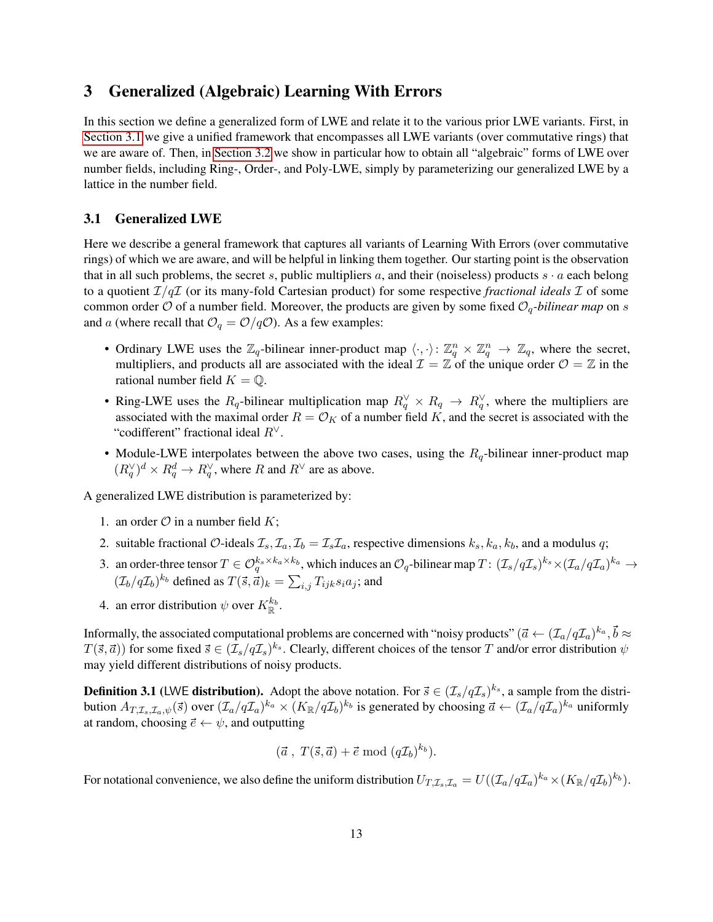# <span id="page-13-0"></span>3 Generalized (Algebraic) Learning With Errors

In this section we define a generalized form of LWE and relate it to the various prior LWE variants. First, in [Section 3.1](#page-13-1) we give a unified framework that encompasses all LWE variants (over commutative rings) that we are aware of. Then, in [Section 3.2](#page-14-0) we show in particular how to obtain all "algebraic" forms of LWE over number fields, including Ring-, Order-, and Poly-LWE, simply by parameterizing our generalized LWE by a lattice in the number field.

### <span id="page-13-1"></span>3.1 Generalized LWE

Here we describe a general framework that captures all variants of Learning With Errors (over commutative rings) of which we are aware, and will be helpful in linking them together. Our starting point is the observation that in all such problems, the secret s, public multipliers a, and their (noiseless) products  $s \cdot a$  each belong to a quotient  $\mathcal{I}/q\mathcal{I}$  (or its many-fold Cartesian product) for some respective *fractional ideals*  $\mathcal{I}$  of some common order  $\mathcal O$  of a number field. Moreover, the products are given by some fixed  $\mathcal O_q$ -bilinear map on s and a (where recall that  $\mathcal{O}_q = \mathcal{O}/q\mathcal{O}$ ). As a few examples:

- Ordinary LWE uses the  $\mathbb{Z}_q$ -bilinear inner-product map  $\langle \cdot, \cdot \rangle : \mathbb{Z}_q^n \times \mathbb{Z}_q^n \to \mathbb{Z}_q$ , where the secret, multipliers, and products all are associated with the ideal  $\mathcal{I} = \mathbb{Z}$  of the unique order  $\mathcal{O} = \mathbb{Z}$  in the rational number field  $K = \mathbb{Q}$ .
- Ring-LWE uses the  $R_q$ -bilinear multiplication map  $R_q^{\vee} \times R_q \to R_q^{\vee}$ , where the multipliers are associated with the maximal order  $R = \mathcal{O}_K$  of a number field K, and the secret is associated with the "codifferent" fractional ideal  $R^{\vee}$ .
- Module-LWE interpolates between the above two cases, using the  $R_q$ -bilinear inner-product map  $(R_q^{\vee})^d \times R_q^d \to R_q^{\vee}$ , where R and  $R^{\vee}$  are as above.

A generalized LWE distribution is parameterized by:

- 1. an order  $\mathcal O$  in a number field K;
- 2. suitable fractional O-ideals  $\mathcal{I}_s$ ,  $\mathcal{I}_a$ ,  $\mathcal{I}_b = \mathcal{I}_s \mathcal{I}_a$ , respective dimensions  $k_s$ ,  $k_a$ ,  $k_b$ , and a modulus q;
- 3. an order-three tensor  $T \in \mathcal{O}_q^{k_s \times k_a \times k_b}$ , which induces an  $\mathcal{O}_q$ -bilinear map  $T: (\mathcal{I}_s/q\mathcal{I}_s)^{k_s} \times (\mathcal{I}_a/q\mathcal{I}_a)^{k_a} \to$  $(\mathcal{I}_b/q\mathcal{I}_b)^{k_b}$  defined as  $T(\vec{s},\vec{a})_k = \sum_{i,j} T_{ijk} s_i a_j$ ; and
- 4. an error distribution  $\psi$  over  $K_{\mathbb{R}}^{k_b}$ .

Informally, the associated computational problems are concerned with "noisy products" (  $\vec{a}\leftarrow(\mathcal{I}_a/q\mathcal{I}_a)^{k_a}, \vec{b}\approx$  $T(\vec{s},\vec{a})$ ) for some fixed  $\vec{s}\in(\mathcal{I}_s/q\mathcal{I}_s)^{k_s}$ . Clearly, different choices of the tensor T and/or error distribution  $\psi$ may yield different distributions of noisy products.

**Definition 3.1** (LWE **distribution).** Adopt the above notation. For  $\vec{s} \in (\mathcal{I}_s/q\mathcal{I}_s)^{k_s}$ , a sample from the distribution  $A_{T,\mathcal{I}_s,\mathcal{I}_a,\psi}(\vec{s})$  over  $(\mathcal{I}_a/q\mathcal{I}_a)^{k_a}\times (K_{\mathbb{R}}/q\mathcal{I}_b)^{k_b}$  is generated by choosing  $\vec{a}\leftarrow (\mathcal{I}_a/q\mathcal{I}_a)^{k_a}$  uniformly at random, choosing  $\vec{e} \leftarrow \psi$ , and outputting

$$
(\vec{a}, T(\vec{s}, \vec{a}) + \vec{e} \bmod (q\mathcal{I}_b)^{k_b}).
$$

For notational convenience, we also define the uniform distribution  $U_{T,\mathcal{I}_s,\mathcal{I}_a}=U((\mathcal{I}_a/q\mathcal{I}_a)^{k_a}\times (K_\mathbb{R}/q\mathcal{I}_b)^{k_b}).$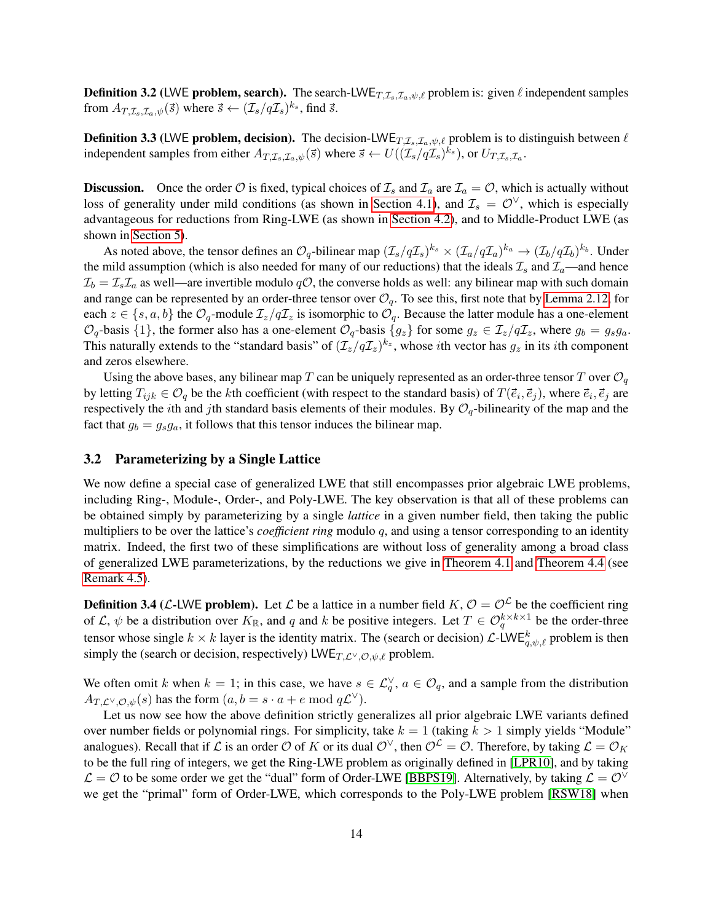**Definition 3.2** (LWE problem, search). The search-LWE $_{T,\mathcal{I}_s,\mathcal{I}_a,\psi,\ell}$  problem is: given  $\ell$  independent samples from  $A_{T,\mathcal{I}_s,\mathcal{I}_a,\psi}(\vec{s})$  where  $\vec{s} \leftarrow (\mathcal{I}_s/q\mathcal{I}_s)^{k_s}$ , find  $\vec{s}$ .

**Definition 3.3** (LWE problem, decision). The decision-LWE<sub>T, $I_s$ , $I_a, \psi, \ell$  problem is to distinguish between  $\ell$ </sub> independent samples from either  $A_{T,\mathcal{I}_s,\mathcal{I}_a,\psi}(\vec{s})$  where  $\vec{s} \leftarrow U((\mathcal{I}_s/q\mathcal{I}_s)^{k_s})$ , or  $U_{T,\mathcal{I}_s,\mathcal{I}_a}$ .

**Discussion.** Once the order  $\mathcal O$  is fixed, typical choices of  $\mathcal I_s$  and  $\mathcal I_a$  are  $\mathcal I_a = \mathcal O$ , which is actually without loss of generality under mild conditions (as shown in [Section 4.1\)](#page-15-1), and  $\mathcal{I}_s = \mathcal{O}^{\vee}$ , which is especially advantageous for reductions from Ring-LWE (as shown in [Section 4.2\)](#page-17-0), and to Middle-Product LWE (as shown in [Section 5\)](#page-22-0).

As noted above, the tensor defines an  $\mathcal{O}_q$ -bilinear map  $(\mathcal{I}_s/q\mathcal{I}_s)^{k_s}\times(\mathcal{I}_a/q\mathcal{I}_a)^{k_a}\to(\mathcal{I}_b/q\mathcal{I}_b)^{k_b}.$  Under the mild assumption (which is also needed for many of our reductions) that the ideals  $\mathcal{I}_s$  and  $\mathcal{I}_a$ —and hence  $\mathcal{I}_b = \mathcal{I}_s \mathcal{I}_a$  as well—are invertible modulo  $q\mathcal{O}$ , the converse holds as well: any bilinear map with such domain and range can be represented by an order-three tensor over  $\mathcal{O}_q$ . To see this, first note that by [Lemma 2.12,](#page-10-2) for each  $z \in \{s, a, b\}$  the  $\mathcal{O}_q$ -module  $\mathcal{I}_z/q\mathcal{I}_z$  is isomorphic to  $\mathcal{O}_q$ . Because the latter module has a one-element  $\mathcal{O}_q$ -basis  $\{1\}$ , the former also has a one-element  $\mathcal{O}_q$ -basis  $\{g_z\}$  for some  $g_z \in \mathcal{I}_z/q\mathcal{I}_z$ , where  $g_b = g_s g_a$ . This naturally extends to the "standard basis" of  $(\mathcal{I}_z/q\mathcal{I}_z)^{k_z}$ , whose *i*th vector has  $g_z$  in its *i*th component and zeros elsewhere.

Using the above bases, any bilinear map T can be uniquely represented as an order-three tensor T over  $\mathcal{O}_q$ by letting  $T_{ijk} \in \mathcal{O}_q$  be the kth coefficient (with respect to the standard basis) of  $T(\vec{e}_i, \vec{e}_j)$ , where  $\vec{e}_i, \vec{e}_j$  are respectively the *i*th and *j*th standard basis elements of their modules. By  $O_q$ -bilinearity of the map and the fact that  $g_b = g_s g_a$ , it follows that this tensor induces the bilinear map.

#### <span id="page-14-0"></span>3.2 Parameterizing by a Single Lattice

We now define a special case of generalized LWE that still encompasses prior algebraic LWE problems, including Ring-, Module-, Order-, and Poly-LWE. The key observation is that all of these problems can be obtained simply by parameterizing by a single *lattice* in a given number field, then taking the public multipliers to be over the lattice's *coefficient ring* modulo q, and using a tensor corresponding to an identity matrix. Indeed, the first two of these simplifications are without loss of generality among a broad class of generalized LWE parameterizations, by the reductions we give in [Theorem 4.1](#page-15-2) and [Theorem 4.4](#page-17-1) (see [Remark 4.5\)](#page-18-1).

<span id="page-14-1"></span>**Definition 3.4** (*L*-LWE problem). Let *L* be a lattice in a number field  $K, \mathcal{O} = \mathcal{O}^{\mathcal{L}}$  be the coefficient ring of  $\mathcal{L}, \psi$  be a distribution over  $K_{\mathbb{R}}$ , and q and k be positive integers. Let  $T \in \mathcal{O}_q^{k \times k \times 1}$  be the order-three tensor whose single  $k \times k$  layer is the identity matrix. The (search or decision)  $\mathcal{L}\text{-LWE}_{q,\psi,\ell}^k$  problem is then simply the (search or decision, respectively) LWE $_{T,\mathcal{L}} \vee_{\mathcal{O},\psi,\ell}$  problem.

We often omit k when  $k = 1$ ; in this case, we have  $s \in \mathcal{L}_q^{\vee}$ ,  $a \in \mathcal{O}_q$ , and a sample from the distribution  $A_{T,\mathcal{L}^{\vee},\mathcal{O},\psi}(s)$  has the form  $(a,b=s\cdot a+e \bmod q\mathcal{L}^{\vee}).$ 

Let us now see how the above definition strictly generalizes all prior algebraic LWE variants defined over number fields or polynomial rings. For simplicity, take  $k = 1$  (taking  $k > 1$  simply yields "Module" analogues). Recall that if L is an order O of K or its dual  $\mathcal{O}^{\vee}$ , then  $\mathcal{O}^{\angle} = \mathcal{O}$ . Therefore, by taking  $\mathcal{L} = \mathcal{O}_K$ to be the full ring of integers, we get the Ring-LWE problem as originally defined in [\[LPR10\]](#page-28-2), and by taking  $\mathcal{L} = \mathcal{O}$  to be some order we get the "dual" form of Order-LWE [\[BBPS19\]](#page-28-5). Alternatively, by taking  $\mathcal{L} = \mathcal{O}^{\vee}$ we get the "primal" form of Order-LWE, which corresponds to the Poly-LWE problem [\[RSW18\]](#page-29-8) when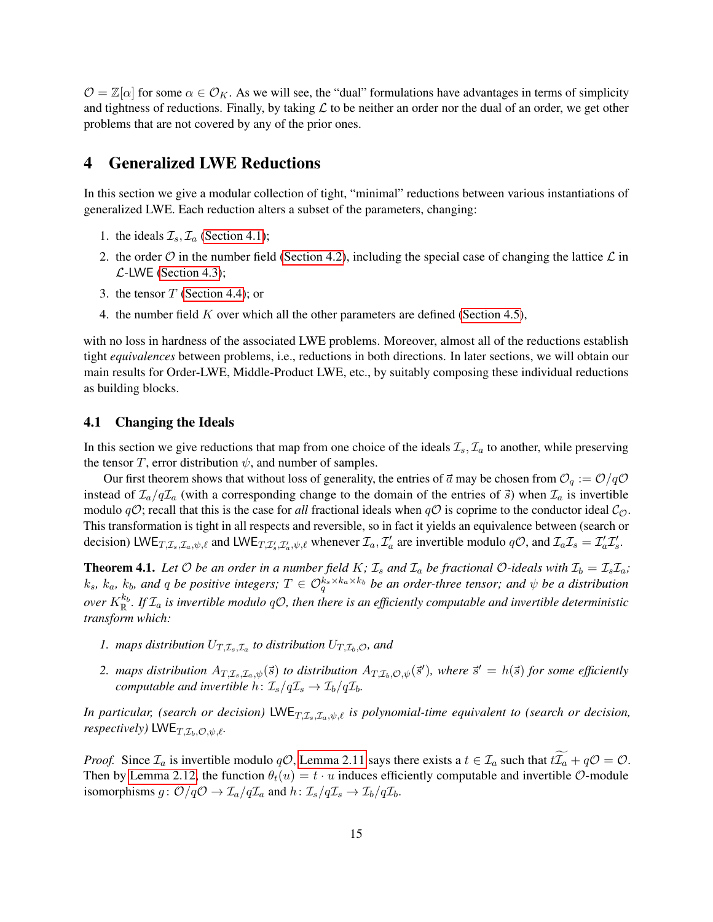$\mathcal{O} = \mathbb{Z}[\alpha]$  for some  $\alpha \in \mathcal{O}_K$ . As we will see, the "dual" formulations have advantages in terms of simplicity and tightness of reductions. Finally, by taking  $\mathcal L$  to be neither an order nor the dual of an order, we get other problems that are not covered by any of the prior ones.

## <span id="page-15-0"></span>4 Generalized LWE Reductions

In this section we give a modular collection of tight, "minimal" reductions between various instantiations of generalized LWE. Each reduction alters a subset of the parameters, changing:

- 1. the ideals  $\mathcal{I}_s$ ,  $\mathcal{I}_a$  [\(Section 4.1\)](#page-15-1);
- 2. the order O in the number field [\(Section 4.2\)](#page-17-0), including the special case of changing the lattice  $\mathcal L$  in  $\mathcal{L}$ -LWE [\(Section 4.3\)](#page-18-2);
- 3. the tensor  $T$  [\(Section 4.4\)](#page-19-0); or
- 4. the number field  $K$  over which all the other parameters are defined [\(Section 4.5\)](#page-20-0),

with no loss in hardness of the associated LWE problems. Moreover, almost all of the reductions establish tight *equivalences* between problems, i.e., reductions in both directions. In later sections, we will obtain our main results for Order-LWE, Middle-Product LWE, etc., by suitably composing these individual reductions as building blocks.

### <span id="page-15-1"></span>4.1 Changing the Ideals

In this section we give reductions that map from one choice of the ideals  $\mathcal{I}_s$ ,  $\mathcal{I}_a$  to another, while preserving the tensor T, error distribution  $\psi$ , and number of samples.

Our first theorem shows that without loss of generality, the entries of  $\vec{a}$  may be chosen from  $\mathcal{O}_q := \mathcal{O}/q\mathcal{O}$ instead of  $\mathcal{I}_a/q\mathcal{I}_a$  (with a corresponding change to the domain of the entries of  $\vec{s}$ ) when  $\mathcal{I}_a$  is invertible modulo  $qO$ ; recall that this is the case for *all* fractional ideals when  $qO$  is coprime to the conductor ideal  $C<sub>O</sub>$ . This transformation is tight in all respects and reversible, so in fact it yields an equivalence between (search or decision) LWE<sub>T, $\mathcal{I}_s$ , $\mathcal{I}_a$ , $\psi$ , $\ell$  and LWE<sub>T, $\mathcal{I}'_s$ , $\mathcal{I}'_a$ , $\psi$ , $\ell$  whenever  $\mathcal{I}_a$ ,  $\mathcal{I}'_a$  are invertible modulo  $q\mathcal{O}$ , and  $\mathcal{I}_a\mathcal{I}_s = \mathcal{I}'_a\mathcal{I}'_s$ .</sub></sub>

<span id="page-15-2"></span>**Theorem 4.1.** Let O be an order in a number field K;  $\mathcal{I}_s$  and  $\mathcal{I}_a$  be fractional O-ideals with  $\mathcal{I}_b = \mathcal{I}_s \mathcal{I}_a$ ;  $k_s$ ,  $k_a$ ,  $k_b$ , and  $q$  be positive integers;  $T \in \mathcal{O}_q^{k_s \times k_a \times k_b}$  be an order-three tensor; and  $\psi$  be a distribution over  $K^{k_b}_{\mathbb R}.$  If  $\mathcal I_a$  is invertible modulo qO, then there is an efficiently computable and invertible deterministic *transform which:*

- 1. maps distribution  $U_{T,\mathcal{I}_s,\mathcal{I}_a}$  to distribution  $U_{T,\mathcal{I}_b,\mathcal{O}}$ , and
- 2. *maps distribution*  $A_{T,\mathcal{I}_s,\mathcal{I}_a,\psi}(\vec{s})$  to distribution  $A_{T,\mathcal{I}_b,\mathcal{O},\psi}(\vec{s}')$ , where  $\vec{s}'=h(\vec{s})$  for some efficiently *computable and invertible*  $h: \mathcal{I}_s/q\mathcal{I}_s \to \mathcal{I}_b/q\mathcal{I}_b$ .

*In particular, (search or decision)* LWE $_{T,\mathcal{I}_s,\mathcal{I}_a,\psi,\ell}$  *is polynomial-time equivalent to (search or decision, respectively)* LWE $_{T,\mathcal{I}_b,\mathcal{O},\psi,\ell}$ .

*Proof.* Since  $\mathcal{I}_a$  is invertible modulo  $q\mathcal{O}$ , [Lemma 2.11](#page-10-1) says there exists a  $t \in \mathcal{I}_a$  such that  $t\widetilde{\mathcal{I}_a} + q\mathcal{O} = \mathcal{O}$ . Then by [Lemma 2.12,](#page-10-2) the function  $\theta_t(u) = t \cdot u$  induces efficiently computable and invertible  $\mathcal{O}$ -module isomorphisms  $g: \mathcal{O}/q\mathcal{O} \to \mathcal{I}_a/q\mathcal{I}_a$  and  $h: \mathcal{I}_s/q\mathcal{I}_s \to \mathcal{I}_b/q\mathcal{I}_b$ .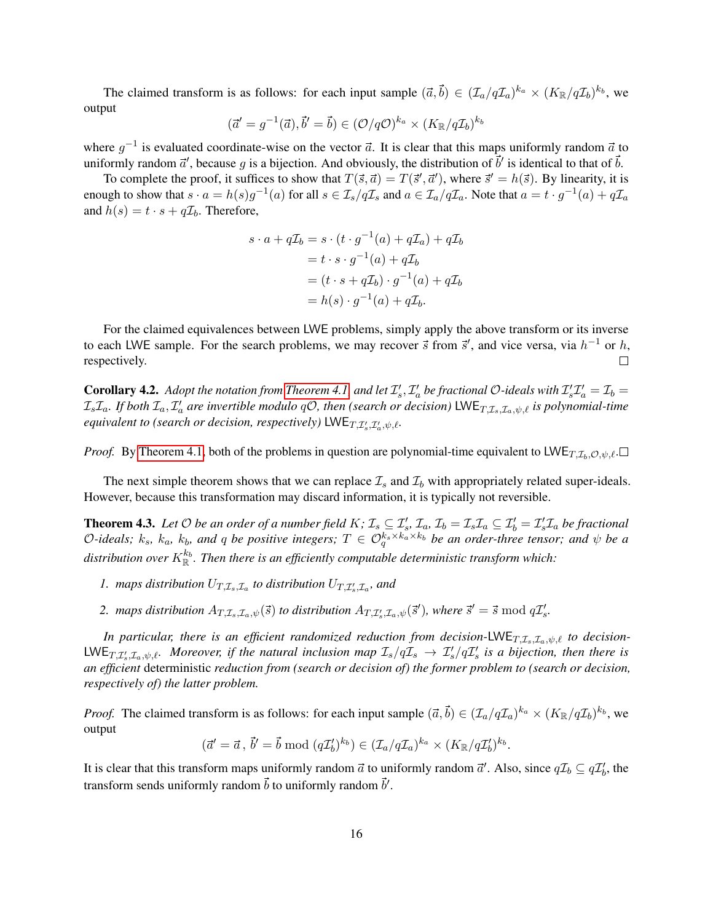The claimed transform is as follows: for each input sample  $(\vec{a}, \vec{b}) \in (\mathcal{I}_a/q\mathcal{I}_a)^{k_a} \times (K_{\mathbb{R}}/q\mathcal{I}_b)^{k_b}$ , we output

$$
(\vec{a}' = g^{-1}(\vec{a}), \vec{b}' = \vec{b}) \in (\mathcal{O}/q\mathcal{O})^{k_a} \times (K_{\mathbb{R}}/q\mathcal{I}_b)^{k_b}
$$

where  $g^{-1}$  is evaluated coordinate-wise on the vector  $\vec{a}$ . It is clear that this maps uniformly random  $\vec{a}$  to uniformly random  $\vec{a}'$ , because g is a bijection. And obviously, the distribution of  $\vec{b}'$  is identical to that of  $\vec{b}$ .

To complete the proof, it suffices to show that  $T(\vec{s}, \vec{a}) = T(\vec{s}', \vec{a}')$ , where  $\vec{s}' = h(\vec{s})$ . By linearity, it is enough to show that  $s \cdot a = h(s)g^{-1}(a)$  for all  $s \in \mathcal{I}_s/q\mathcal{I}_s$  and  $a \in \mathcal{I}_a/q\mathcal{I}_a$ . Note that  $a = t\cdot g^{-1}(a) + q\mathcal{I}_a$ and  $h(s) = t \cdot s + q\mathcal{I}_b$ . Therefore,

$$
s \cdot a + q\mathcal{I}_b = s \cdot (t \cdot g^{-1}(a) + q\mathcal{I}_a) + q\mathcal{I}_b
$$
  

$$
= t \cdot s \cdot g^{-1}(a) + q\mathcal{I}_b
$$
  

$$
= (t \cdot s + q\mathcal{I}_b) \cdot g^{-1}(a) + q\mathcal{I}_b
$$
  

$$
= h(s) \cdot g^{-1}(a) + q\mathcal{I}_b.
$$

For the claimed equivalences between LWE problems, simply apply the above transform or its inverse to each LWE sample. For the search problems, we may recover  $\vec{s}$  from  $\vec{s}'$ , and vice versa, via  $h^{-1}$  or h, respectively.  $\Box$ 

**Corollary 4.2.** Adopt the notation from [Theorem 4.1,](#page-15-2) and let  $\mathcal{I}'_s$ ,  $\mathcal{I}'_a$  be fractional O-ideals with  $\mathcal{I}'_s\mathcal{I}'_a=\mathcal{I}_b=$  $\mathcal{I}_s\mathcal{I}_a$ . If both  $\mathcal{I}_a$ ,  $\mathcal{I}'_a$  are invertible modulo  $q\mathcal{O}$ , then (search or decision)  $\mathsf{LWE}_{T,\mathcal{I}_s,\mathcal{I}_a,\psi,\ell}$  is polynomial-time *equivalent to (search or decision, respectively)*  $\mathsf{LWE}_{T, \mathcal{I}'_s, \mathcal{I}'_a, \psi, \ell}$ .

*Proof.* By [Theorem 4.1,](#page-15-2) both of the problems in question are polynomial-time equivalent to LWE<sub>T, $\mathcal{I}_b$ , $\mathcal{O}, \psi, \ell$ .</sub>

The next simple theorem shows that we can replace  $\mathcal{I}_s$  and  $\mathcal{I}_b$  with appropriately related super-ideals. However, because this transformation may discard information, it is typically not reversible.

<span id="page-16-0"></span>**Theorem 4.3.** Let  $O$  be an order of a number field  $K$ ;  $\mathcal{I}_s \subseteq \mathcal{I}'_s$ ,  $\mathcal{I}_a$ ,  $\mathcal{I}_b = \mathcal{I}_s \mathcal{I}_a \subseteq \mathcal{I}'_b = \mathcal{I}'_s \mathcal{I}_a$  be fractional  $O$ -ideals;  $k_s$ ,  $k_a$ ,  $k_b$ , and  $q$  be positive integers;  $T \in \mathcal{O}_q^{k_s \times k_a \times k_b}$  be an order-three tensor; and  $\psi$  be a distribution over  $K^{k_b}_{\mathbb R}.$  Then there is an efficiently computable deterministic transform which:

- 1. maps distribution  $U_{T,\mathcal{I}_s,\mathcal{I}_a}$  to distribution  $U_{T,\mathcal{I}'_s,\mathcal{I}_a}$ , and
- 2. *maps distribution*  $A_{T,\mathcal{I}_s,\mathcal{I}_a,\psi}(\vec{s})$  *to distribution*  $A_{T,\mathcal{I}'_s,\mathcal{I}_a,\psi}(\vec{s}')$ *, where*  $\vec{s}' = \vec{s} \mod q\mathcal{I}'_s$ *.*

*In particular, there is an efficient randomized reduction from decision-LWE<sub>T,I<sub>s</sub>,I<sub>a</sub>,* $\psi$ *, <i>to decision-*</sub>  $LWE_{T,\mathcal{I}'_s,\mathcal{I}_a,\psi,\ell}$ . Moreover, if the natural inclusion map  $\mathcal{I}_s/q\mathcal{I}_s$   $\to \mathcal{I}'_s/q\mathcal{I}'_s$  is a bijection, then there is *an efficient* deterministic *reduction from (search or decision of) the former problem to (search or decision, respectively of) the latter problem.*

*Proof.* The claimed transform is as follows: for each input sample  $(\vec{a}, \vec{b}) \in (\mathcal{I}_a/q\mathcal{I}_a)^{k_a} \times (K_{\mathbb{R}}/q\mathcal{I}_b)^{k_b}$ , we output

$$
(\vec{a}' = \vec{a}, \vec{b}' = \vec{b} \bmod (q\mathcal{I}'_b)^{k_b}) \in (\mathcal{I}_a/q\mathcal{I}_a)^{k_a} \times (K_{\mathbb{R}}/q\mathcal{I}'_b)^{k_b}.
$$

It is clear that this transform maps uniformly random  $\vec{a}$  to uniformly random  $\vec{a}'$ . Also, since  $q\mathcal{I}_b \subseteq q\mathcal{I}'_b$ , the transform sends uniformly random  $\vec{b}$  to uniformly random  $\vec{b}'$ .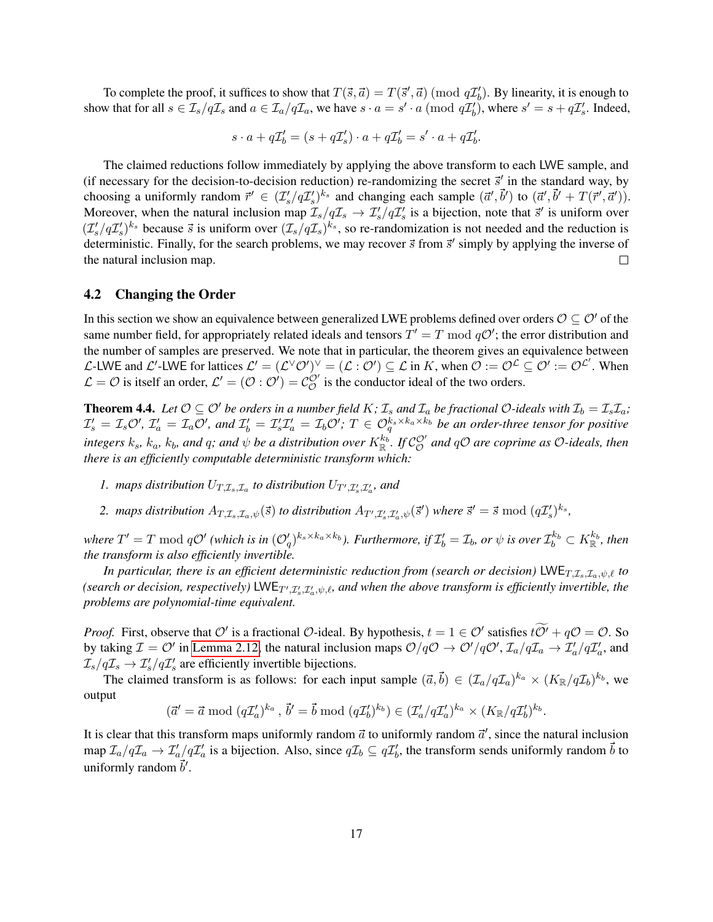To complete the proof, it suffices to show that  $T(\vec{s}, \vec{a}) = T(\vec{s}', \vec{a}) \pmod{q\mathcal{I}'_b}$ . By linearity, it is enough to show that for all  $s \in \mathcal{I}_s/q\mathcal{I}_s$  and  $a \in \mathcal{I}_a/q\mathcal{I}_a$ , we have  $s \cdot a = s' \cdot a \pmod{q\mathcal{I}'_b}$ , where  $s' = s + q\mathcal{I}'_s$ . Indeed,

$$
s \cdot a + q\mathcal{I}'_b = (s + q\mathcal{I}'_s) \cdot a + q\mathcal{I}'_b = s' \cdot a + q\mathcal{I}'_b.
$$

The claimed reductions follow immediately by applying the above transform to each LWE sample, and (if necessary for the decision-to-decision reduction) re-randomizing the secret  $\vec{s}'$  in the standard way, by choosing a uniformly random  $\vec{r}' \in (\mathcal{I}'_s/q\mathcal{I}'_s)^{k_s}$  and changing each sample  $(\vec{a}', \vec{b}')$  to  $(\vec{a}', \vec{b}' + T(\vec{r}', \vec{a}'))$ . Moreover, when the natural inclusion map  $\mathcal{I}_s/q\mathcal{I}_s \to \mathcal{I}'_s/q\mathcal{I}'_s$  is a bijection, note that  $\vec{s}'$  is uniform over  $(\mathcal{I}'_s/q\mathcal{I}'_s)^{k_s}$  because  $\vec{s}$  is uniform over  $(\mathcal{I}_s/q\mathcal{I}_s)^{k_s}$ , so re-randomization is not needed and the reduction is deterministic. Finally, for the search problems, we may recover  $\vec{s}$  from  $\vec{s}'$  simply by applying the inverse of the natural inclusion map.  $\Box$ 

### <span id="page-17-0"></span>4.2 Changing the Order

In this section we show an equivalence between generalized LWE problems defined over orders  $\mathcal{O} \subset \mathcal{O}'$  of the same number field, for appropriately related ideals and tensors  $T' = T \mod qO'$ ; the error distribution and the number of samples are preserved. We note that in particular, the theorem gives an equivalence between L-LWE and L'-LWE for lattices  $\mathcal{L}' = (\mathcal{L}^{\vee}\mathcal{O}')^{\vee} = (\mathcal{L} : \mathcal{O}') \subseteq \mathcal{L}$  in K, when  $\mathcal{O} := \mathcal{O}^{\mathcal{L}} \subseteq \mathcal{O}' := \mathcal{O}^{\mathcal{L}'}$ . When  $\mathcal{L} = \mathcal{O}$  is itself an order,  $\mathcal{L}' = (\mathcal{O} : \mathcal{O}') = \mathcal{C}_{\mathcal{O}}^{\mathcal{O}'}$  is the conductor ideal of the two orders.

<span id="page-17-1"></span>**Theorem 4.4.** Let  $\mathcal{O} \subseteq \mathcal{O}'$  be orders in a number field K;  $\mathcal{I}_s$  and  $\mathcal{I}_a$  be fractional  $\mathcal{O}$ -ideals with  $\mathcal{I}_b = \mathcal{I}_s \mathcal{I}_a$ ;  $\mathcal{I}'_s = \mathcal{I}_s \mathcal{O}'$ ,  $\mathcal{I}'_a = \mathcal{I}_a \mathcal{O}'$ , and  $\mathcal{I}'_b = \mathcal{I}'_s \mathcal{I}'_a = \mathcal{I}_b \mathcal{O}'$ ;  $T \in \mathcal{O}_q^{k_s \times k_a \times k_b}$  be an order-three tensor for positive integers  $k_s$ ,  $k_a$ ,  $k_b$ , and  $q$ ; and  $\psi$  be a distribution over  $K_{\R}^{k_b}$ . If  $\mathcal{C}_\mathcal{O}^\vee$  and  $q\mathcal{O}$  are coprime as  $\mathcal{O}$ -ideals, then *there is an efficiently computable deterministic transform which:*

- 1. maps distribution  $U_{T,\mathcal{I}_s,\mathcal{I}_a}$  to distribution  $U_{T',\mathcal{I}'_s,\mathcal{I}'_a}$ , and
- 2. *maps distribution*  $A_{T,\mathcal{I}_s,\mathcal{I}_a,\psi}(\vec{s})$  *to distribution*  $A_{T',\mathcal{I}'_s,\mathcal{I}'_a,\psi}(\vec{s}')$  where  $\vec{s}'=\vec{s} \bmod (q\mathcal{I}'_s)^{k_s}$ ,

where  $T'=T \bmod q\mathcal{O}'$  (which is in  $(\mathcal{O}'_q)^{k_s\times k_a\times k_b}$ ). Furthermore, if  $\mathcal{I}'_b=\mathcal{I}_b$ , or  $\psi$  is over  $\mathcal{I}_b^{k_b}\subset K^{k_b}_{\mathbb{R}}$ , then *the transform is also efficiently invertible.*

*In particular, there is an efficient deterministic reduction from (search or decision)* LWE $_{T,\mathcal{I}_s,\mathcal{I}_a,\psi,\ell}$  *to* (search or decision, respectively)  $\mathsf{LWE}_{T',\mathcal{I}'_s,\mathcal{I}'_a,\psi,\ell}$ , and when the above transform is efficiently invertible, the *problems are polynomial-time equivalent.*

*Proof.* First, observe that O' is a fractional O-ideal. By hypothesis,  $t = 1 \in \mathcal{O}'$  satisfies  $t\tilde{\mathcal{O}}' + q\mathcal{O} = \mathcal{O}$ . So by taking  $\mathcal{I} = \mathcal{O}'$  in [Lemma 2.12,](#page-10-2) the natural inclusion maps  $\mathcal{O}/q\mathcal{O} \to \mathcal{O}'/q\mathcal{O}', \mathcal{I}_a/q\mathcal{I}_a \to \mathcal{I}'_a/q\mathcal{I}'_a$ , and  $\mathcal{I}_s/q\mathcal{I}_s \to \mathcal{I}'_s/q\mathcal{I}'_s$  are efficiently invertible bijections.

The claimed transform is as follows: for each input sample  $(\vec{a}, \vec{b}) \in (\mathcal{I}_a/q\mathcal{I}_a)^{k_a} \times (K_{\mathbb{R}}/q\mathcal{I}_b)^{k_b}$ , we output

$$
(\vec{a}' = \vec{a} \bmod (q\mathcal{I}'_a)^{k_a}, \vec{b}' = \vec{b} \bmod (q\mathcal{I}'_b)^{k_b}) \in (\mathcal{I}'_a/q\mathcal{I}'_a)^{k_a} \times (K_{\mathbb{R}}/q\mathcal{I}'_b)^{k_b}.
$$

It is clear that this transform maps uniformly random  $\vec{a}$  to uniformly random  $\vec{a}'$ , since the natural inclusion map  $\mathcal{I}_a/q\mathcal{I}_a\to \mathcal{I}'_a/q\mathcal{I}'_a$  is a bijection. Also, since  $q\mathcal{I}_b\subseteq q\mathcal{I}'_b$ , the transform sends uniformly random  $\vec{b}$  to uniformly random  $\vec{b}'$ .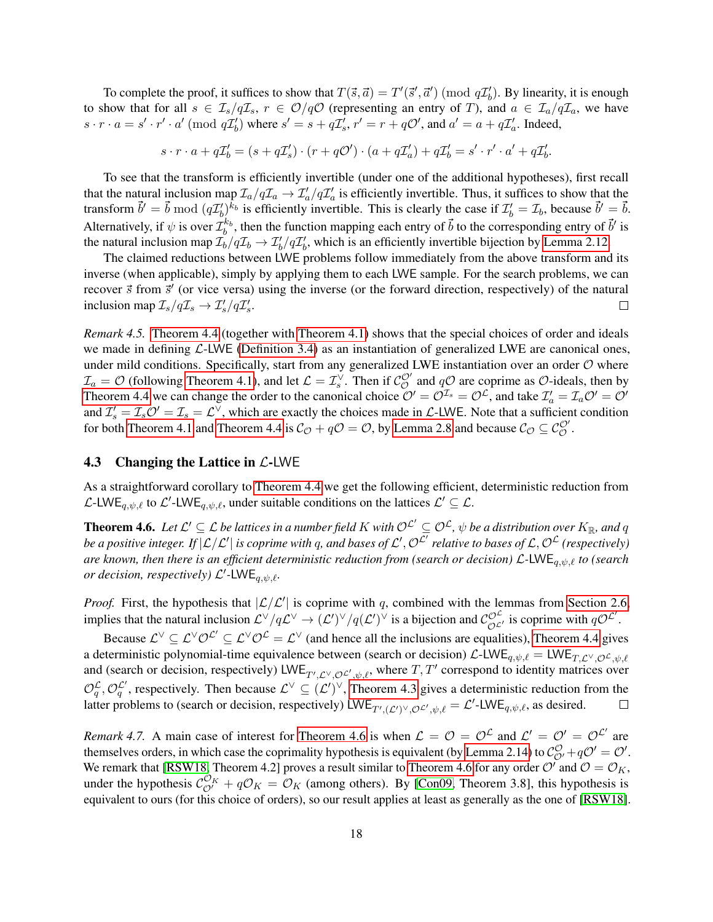To complete the proof, it suffices to show that  $T(\vec{s}, \vec{a}) = T'(\vec{s}', \vec{a}') \pmod{q\mathcal{I}'_b}$ . By linearity, it is enough to show that for all  $s \in \mathcal{I}_s/q\mathcal{I}_s$ ,  $r \in \mathcal{O}/q\mathcal{O}$  (representing an entry of T), and  $a \in \mathcal{I}_a/q\mathcal{I}_a$ , we have  $s \cdot r \cdot a = s' \cdot r' \cdot a' \pmod{q\mathcal{I}'_b}$  where  $s' = s + q\mathcal{I}'_s$ ,  $r' = r + q\mathcal{O}'$ , and  $a' = a + q\mathcal{I}'_a$ . Indeed,

 $s \cdot r \cdot a + q\mathcal{I}'_b = (s + q\mathcal{I}'_s) \cdot (r + q\mathcal{O}') \cdot (a + q\mathcal{I}'_a) + q\mathcal{I}'_b = s' \cdot r' \cdot a' + q\mathcal{I}'_b.$ 

To see that the transform is efficiently invertible (under one of the additional hypotheses), first recall that the natural inclusion map  $\mathcal{I}_a/q\mathcal{I}_a \to \mathcal{I}'_a/q\mathcal{I}'_a$  is efficiently invertible. Thus, it suffices to show that the transform  $\vec{b}' = \vec{b} \bmod (q\mathcal{I}'_b)^{k_b}$  is efficiently invertible. This is clearly the case if  $\mathcal{I}'_b = \mathcal{I}_b$ , because  $\vec{b}' = \vec{b}$ . Alternatively, if  $\psi$  is over  $\mathcal{I}_b^{k_b}$ , then the function mapping each entry of  $\vec{b}$  to the corresponding entry of  $\vec{b}'$  is the natural inclusion map  $\mathcal{I}_b/q\mathcal{I}_b \to \mathcal{I}'_b/q\mathcal{I}'_b$ , which is an efficiently invertible bijection by [Lemma 2.12.](#page-10-2)

The claimed reductions between LWE problems follow immediately from the above transform and its inverse (when applicable), simply by applying them to each LWE sample. For the search problems, we can recover  $\vec{s}$  from  $\vec{s}'$  (or vice versa) using the inverse (or the forward direction, respectively) of the natural inclusion map  $\mathcal{I}_s/q\mathcal{I}_s \to \mathcal{I}'_s/q\mathcal{I}'_s$ .  $\Box$ 

<span id="page-18-1"></span>*Remark 4.5.* [Theorem 4.4](#page-17-1) (together with [Theorem 4.1\)](#page-15-2) shows that the special choices of order and ideals we made in defining  $\mathcal{L}\text{-LWE}$  [\(Definition 3.4\)](#page-14-1) as an instantiation of generalized LWE are canonical ones, under mild conditions. Specifically, start from any generalized LWE instantiation over an order  $O$  where  $\mathcal{I}_a = \mathcal{O}$  (following [Theorem 4.1\)](#page-15-2), and let  $\mathcal{L} = \mathcal{I}_s^{\vee}$ . Then if  $\mathcal{C}_{\mathcal{O}}^{\mathcal{O}'}$  and  $q\mathcal{O}$  are coprime as  $\mathcal{O}\text{-ideals}$ , then by [Theorem 4.4](#page-17-1) we can change the order to the canonical choice  $\mathcal{O}' = \mathcal{O}^{\mathcal{I}_s} = \mathcal{O}^{\mathcal{L}}$ , and take  $\mathcal{I}'_a = \mathcal{I}_a \mathcal{O}' = \mathcal{O}'$ and  $\mathcal{I}'_s = \mathcal{I}_s O' = \mathcal{I}_s = \mathcal{L}^{\vee}$ , which are exactly the choices made in  $\mathcal{L}\text{-LWE}$ . Note that a sufficient condition for both [Theorem 4.1](#page-15-2) and [Theorem 4.4](#page-17-1) is  $C_{\mathcal{O}} + q\mathcal{O} = \mathcal{O}$ , by [Lemma 2.8](#page-9-0) and because  $C_{\mathcal{O}} \subseteq C_{\mathcal{O}}^{\mathcal{O}}$ .

### <span id="page-18-2"></span>4.3 Changing the Lattice in  $\mathcal{L}\text{-LWE}$

As a straightforward corollary to [Theorem 4.4](#page-17-1) we get the following efficient, deterministic reduction from L-LWE<sub>q, $\psi$ , $\ell$  to L'-LWE<sub>q, $\psi$ </sub>, $\ell$ , under suitable conditions on the lattices  $\mathcal{L}' \subseteq \mathcal{L}$ .</sub>

<span id="page-18-0"></span>**Theorem 4.6.** Let  $\mathcal{L}'\subseteq\mathcal{L}$  be lattices in a number field  $K$  with  $\mathcal{O}^{\mathcal{L}'}\subseteq\mathcal{O}^{\mathcal{L}}$ ,  $\psi$  be a distribution over  $K_{\mathbb{R}}$ , and  $q$ be a positive integer. If  $|\mathcal{L}/\mathcal{L}'|$  is coprime with q, and bases of  $\mathcal{L}',\mathcal{O}^{\mathcal{L}'}$  relative to bases of  $\mathcal{L},\mathcal{O}^{\mathcal{L}}$  (respectively) *are known, then there is an efficient deterministic reduction from (search or decision)* L*-*LWEq,ψ,` *to (search or decision, respectively)*  $\mathcal{L}'$ -LWE<sub>q, $\psi$ , $\ell$ .</sub>

*Proof.* First, the hypothesis that  $|\mathcal{L}/\mathcal{L}'|$  is coprime with q, combined with the lemmas from [Section 2.6,](#page-11-4) implies that the natural inclusion  $\mathcal{L}^{\vee}/q\mathcal{L}^{\vee} \to (\mathcal{L}')^{\vee}/q(\mathcal{L}')^{\vee}$  is a bijection and  $\mathcal{C}^{\mathcal{O}^{\mathcal{L}}}_{\mathcal{O}^{\mathcal{L}'}}$  is coprime with  $q\mathcal{O}^{\mathcal{L}'}$ .

Because  $\mathcal{L}^{\vee} \subseteq \mathcal{L}^{\vee}\mathcal{O}^{\mathcal{L}} \subseteq \mathcal{L}^{\vee}\mathcal{O}^{\mathcal{L}} = \mathcal{L}^{\vee}$  (and hence all the inclusions are equalities), [Theorem 4.4](#page-17-1) gives a deterministic polynomial-time equivalence between (search or decision)  $\mathcal{L}\text{-LWE}_{q,\psi,\ell} = \text{LWE}_{T,\mathcal{L}^{\vee},\mathcal{O}^{\mathcal{L}},\psi,\ell}$ and (search or decision, respectively) LWE<sub>T', C</sub> $\vee$ ,  $\mathcal{O}$  c'<sub>, $\psi$ </sub>, where T, T' correspond to identity matrices over  $\mathcal{O}_q^{\mathcal{L}}, \mathcal{O}_q^{\mathcal{L}'},$  respectively. Then because  $\mathcal{L}^{\vee} \subseteq (\mathcal{L}')^{\vee}$ , [Theorem 4.3](#page-16-0) gives a deterministic reduction from the latter problems to (search or decision, respectively) LWE<sub>T', $(\mathcal{L}')^\vee$ , $\varphi \mathcal{L}'$ , $\psi$ , $\ell = \mathcal{L}'$ -LWE<sub>q, $\psi$ </sub>, $\ell$ , as desired.</sub>  $\Box$ 

*Remark 4.7.* A main case of interest for [Theorem 4.6](#page-18-0) is when  $\mathcal{L} = \mathcal{O} = \mathcal{O}^{\mathcal{L}}$  and  $\mathcal{L}' = \mathcal{O}' = \mathcal{O}^{\mathcal{L}'}$  are themselves orders, in which case the coprimality hypothesis is equivalent (by [Lemma 2.14\)](#page-11-5) to  $\mathcal{C}_{\mathcal{O}'}^{\mathcal{O}} + q\mathcal{O}' = \mathcal{O}'$ . We remark that [\[RSW18,](#page-29-8) Theorem 4.2] proves a result similar to [Theorem 4.6](#page-18-0) for any order  $O'$  and  $O = O_K$ , under the hypothesis  $C_{\mathcal{O}'}^{\mathcal{O}_K} + q\mathcal{O}_K = O_K$  (among others). By [\[Con09,](#page-28-8) Theorem 3.8], this hypothesis is equivalent to ours (for this choice of orders), so our result applies at least as generally as the one of [\[RSW18\]](#page-29-8).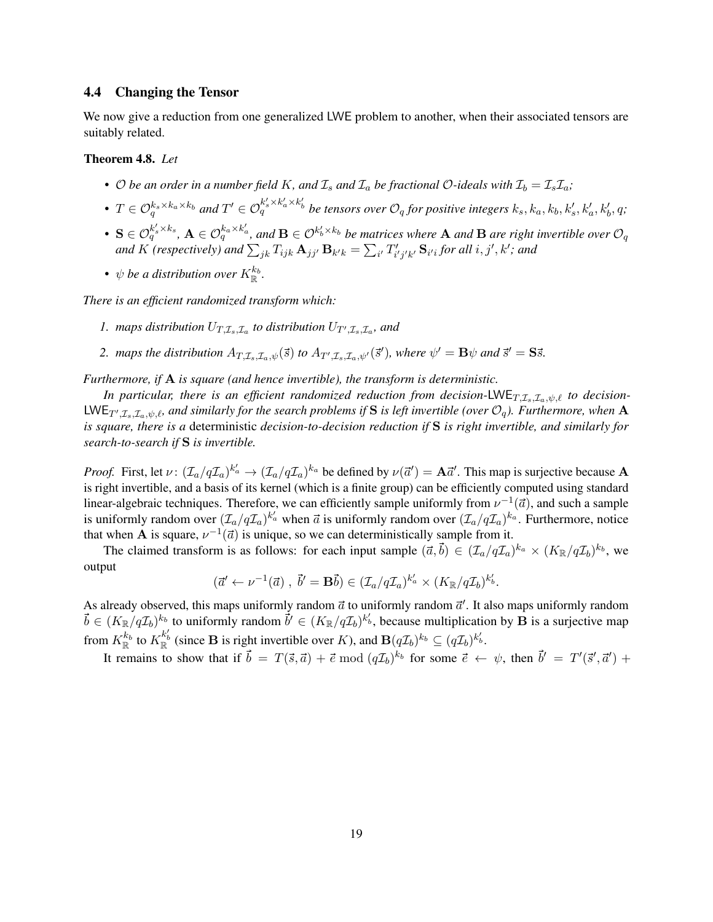### <span id="page-19-0"></span>4.4 Changing the Tensor

We now give a reduction from one generalized LWE problem to another, when their associated tensors are suitably related.

### <span id="page-19-1"></span>Theorem 4.8. *Let*

- O be an order in a number field K, and  $\mathcal{I}_s$  and  $\mathcal{I}_a$  be fractional O-ideals with  $\mathcal{I}_b = \mathcal{I}_s \mathcal{I}_a$ ;
- $T \in \mathcal{O}_q^{k_s \times k_a \times k_b}$  and  $T' \in \mathcal{O}_q^{k'_s \times k'_a \times k'_b}$  be tensors over  $\mathcal{O}_q$  for positive integers  $k_s, k_a, k_b, k'_s, k'_a, k'_b, q;$
- $\mathbf{S} \in \mathcal{O}_q^{k'_s \times k_s}$ ,  $\mathbf{A} \in \mathcal{O}_q^{k_a \times k'_a}$ , and  $\mathbf{B} \in \mathcal{O}^{k'_b \times k_b}$  be matrices where  $\mathbf{A}$  and  $\mathbf{B}$  are right invertible over  $\mathcal{O}_q$ and  $K$  (respectively) and  $\sum_{jk} T_{ijk} \mathbf{A}_{jj'} \mathbf{B}_{k'k} = \sum_{i'} T'_{i'j'k'} \mathbf{S}_{i'i}$  for all  $i, j', k'$ ; and
- $\psi$  *be a distribution over*  $K_{\mathbb{R}}^{k_b}$ .

*There is an efficient randomized transform which:*

- 1. maps distribution  $U_{T,\mathcal{I}_s,\mathcal{I}_a}$  to distribution  $U_{T',\mathcal{I}_s,\mathcal{I}_a}$ , and
- 2. *maps the distribution*  $A_{T,\mathcal{I}_s,\mathcal{I}_a,\psi}(\vec{s})$  *to*  $A_{T',\mathcal{I}_s,\mathcal{I}_a,\psi}(\vec{s}')$ *, where*  $\psi' = \mathbf{B}\psi$  *and*  $\vec{s}' = \mathbf{S}\vec{s}$ *.*

*Furthermore, if* A *is square (and hence invertible), the transform is deterministic.*

*In particular, there is an efficient randomized reduction from decision-LWE<sub>T,Is,Ia</sub>,* $\psi$ *, <i>to decision-* $LWE_{T',\mathcal{I}_s,\mathcal{I}_a,\psi,\ell}$ , and similarly for the search problems if S is left invertible (over  $\mathcal{O}_q$ ). Furthermore, when A *is square, there is a* deterministic *decision-to-decision reduction if* S *is right invertible, and similarly for search-to-search if* S *is invertible.*

*Proof.* First, let  $\nu: (\mathcal{I}_a/q\mathcal{I}_a)^{k'_a} \to (\mathcal{I}_a/q\mathcal{I}_a)^{k_a}$  be defined by  $\nu(\vec{a}') = \mathbf{A}\vec{a}'$ . This map is surjective because  $\mathbf{A}$ is right invertible, and a basis of its kernel (which is a finite group) can be efficiently computed using standard linear-algebraic techniques. Therefore, we can efficiently sample uniformly from  $\nu^{-1}(\vec{a})$ , and such a sample is uniformly random over  $(\mathcal{I}_a/q\mathcal{I}_a)^{k'_a}$  when  $\vec{a}$  is uniformly random over  $(\mathcal{I}_a/q\mathcal{I}_a)^{k_a}$ . Furthermore, notice that when **A** is square,  $\nu^{-1}(\vec{a})$  is unique, so we can deterministically sample from it.

The claimed transform is as follows: for each input sample  $(\vec{a}, \vec{b}) \in (\mathcal{I}_a/q\mathcal{I}_a)^{k_a} \times (K_{\mathbb{R}}/q\mathcal{I}_b)^{k_b}$ , we output

$$
(\vec{a}' \leftarrow \nu^{-1}(\vec{a}), \ \vec{b}' = \mathbf{B}\vec{b}) \in (\mathcal{I}_a/q\mathcal{I}_a)^{k'_a} \times (K_{\mathbb{R}}/q\mathcal{I}_b)^{k'_b}.
$$

As already observed, this maps uniformly random  $\vec{a}$  to uniformly random  $\vec{a}'$ . It also maps uniformly random  $\vec{b} \in (K_{\mathbb{R}}/q\mathcal{I}_b)^{k_b}$  to uniformly random  $\vec{b}' \in (K_{\mathbb{R}}/q\mathcal{I}_b)^{k'_b}$ , because multiplication by  $\vec{B}$  is a surjective map from  $K_{\mathbb{R}}^{k_b}$  to  $K_{\mathbb{R}}^{k'_b}$  (since **B** is right invertible over K), and  $\mathbf{B}(q\mathcal{I}_b)^{k_b} \subseteq (q\mathcal{I}_b)^{k'_b}$ .

It remains to show that if  $\vec{b} = T(\vec{s}, \vec{a}) + \vec{e} \bmod (q\mathcal{I}_b)^{k_b}$  for some  $\vec{e} \leftarrow \psi$ , then  $\vec{b}' = T'(\vec{s}', \vec{a}') +$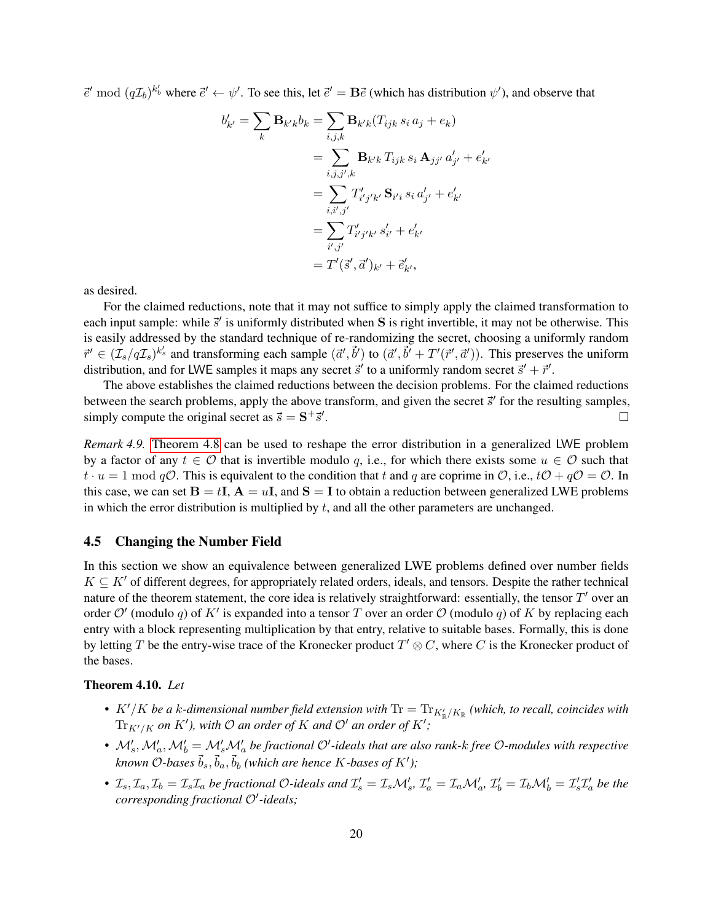$\vec{e}'$  mod  $(q\mathcal{I}_b)^{k_b'}$  where  $\vec{e}' \leftarrow \psi'$ . To see this, let  $\vec{e}' = \mathbf{B}\vec{e}$  (which has distribution  $\psi'$ ), and observe that

$$
b'_{k'} = \sum_{k} \mathbf{B}_{k'k} b_{k} = \sum_{i,j,k} \mathbf{B}_{k'k} (T_{ijk} s_{i} a_{j} + e_{k})
$$
  

$$
= \sum_{i,j,j',k} \mathbf{B}_{k'k} T_{ijk} s_{i} \mathbf{A}_{jj'} a'_{j'} + e'_{k'}
$$
  

$$
= \sum_{i,i',j'} T'_{i'j'k'} \mathbf{S}_{i'i} s_{i} a'_{j'} + e'_{k'}
$$
  

$$
= \sum_{i',j'} T'_{i'j'k'} s'_{i'} + e'_{k'}
$$
  

$$
= T'(\vec{s}', \vec{a}')_{k'} + \vec{e}'_{k'},
$$

as desired.

For the claimed reductions, note that it may not suffice to simply apply the claimed transformation to each input sample: while  $\vec{s}'$  is uniformly distributed when S is right invertible, it may not be otherwise. This is easily addressed by the standard technique of re-randomizing the secret, choosing a uniformly random  $\vec{r}' \in (\mathcal{I}_s/q\mathcal{I}_s)^{k'_s}$  and transforming each sample  $(\vec{a}', \vec{b}')$  to  $(\vec{a}', \vec{b}' + T'(\vec{r}', \vec{a}'))$ . This preserves the uniform distribution, and for LWE samples it maps any secret  $\vec{s}'$  to a uniformly random secret  $\vec{s}' + \vec{r}'$ .

The above establishes the claimed reductions between the decision problems. For the claimed reductions between the search problems, apply the above transform, and given the secret  $\vec{s}'$  for the resulting samples, simply compute the original secret as  $\vec{s} = S^+ \vec{s}'$ .  $\Box$ 

*Remark 4.9.* [Theorem 4.8](#page-19-1) can be used to reshape the error distribution in a generalized LWE problem by a factor of any  $t \in \mathcal{O}$  that is invertible modulo q, i.e., for which there exists some  $u \in \mathcal{O}$  such that  $t \cdot u = 1 \text{ mod } q\mathcal{O}$ . This is equivalent to the condition that t and q are coprime in  $\mathcal{O}$ , i.e.,  $t\mathcal{O} + q\mathcal{O} = \mathcal{O}$ . In this case, we can set  $B = tI$ ,  $A = uI$ , and  $S = I$  to obtain a reduction between generalized LWE problems in which the error distribution is multiplied by  $t$ , and all the other parameters are unchanged.

### <span id="page-20-0"></span>4.5 Changing the Number Field

In this section we show an equivalence between generalized LWE problems defined over number fields  $K \subseteq K'$  of different degrees, for appropriately related orders, ideals, and tensors. Despite the rather technical nature of the theorem statement, the core idea is relatively straightforward: essentially, the tensor  $T'$  over an order  $\mathcal{O}'$  (modulo q) of K' is expanded into a tensor T over an order  $\mathcal{O}$  (modulo q) of K by replacing each entry with a block representing multiplication by that entry, relative to suitable bases. Formally, this is done by letting T be the entry-wise trace of the Kronecker product  $T' \otimes C$ , where C is the Kronecker product of the bases.

### <span id="page-20-1"></span>Theorem 4.10. *Let*

- $K'/K$  be a k-dimensional number field extension with  $\text{Tr} = \text{Tr}_{K'_{\mathbb{R}}/K_{\mathbb{R}}}$  (which, to recall, coincides with  $\text{Tr}_{K'/K}$  on  $K'$ ), with  $\mathcal O$  an order of  $K$  and  $\mathcal O'$  an order of  $K'$ ;
- $M'_s, M'_a, M'_b = M'_s M'_a$  be fractional  $O'$ -ideals that are also rank-k free  $O$ -modules with respective known O-bases  $\vec{b}_s, \vec{b}_a, \vec{b}_b$  (which are hence  $K$ -bases of  $K'$ );
- $\mathcal{I}_s, \mathcal{I}_a, \mathcal{I}_b = \mathcal{I}_s \mathcal{I}_a$  be fractional O-ideals and  $\mathcal{I}'_s = \mathcal{I}_s \mathcal{M}'_s$ ,  $\mathcal{I}'_a = \mathcal{I}_a \mathcal{M}'_a$ ,  $\mathcal{I}'_b = \mathcal{I}_b \mathcal{M}'_b = \mathcal{I}'_s \mathcal{I}'_a$  be the corresponding fractional O'-ideals;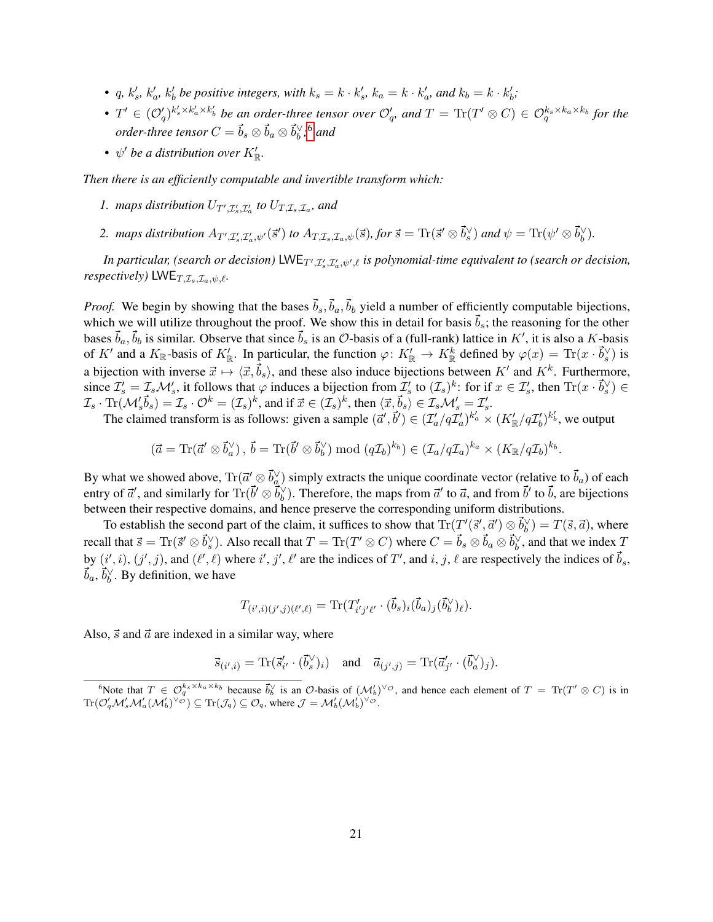- *q, k'<sub>s</sub>, k'<sub>a</sub>, k'<sub>b</sub> be positive integers, with*  $k_s = k \cdot k'_s$ *,*  $k_a = k \cdot k'_a$ *, and*  $k_b = k \cdot k'_b$ *;*
- $T' \in (\mathcal{O}'_q)^{k'_s \times k'_a \times k'_b}$  be an order-three tensor over  $\mathcal{O}'_q$ , and  $T = \text{Tr}(T' \otimes C) \in \mathcal{O}_q^{k_s \times k_a \times k_b}$  for the *order-three tensor*  $C = \vec{b}_s \otimes \vec{b}_a \otimes \vec{b}_b^{\vee,6}$  $C = \vec{b}_s \otimes \vec{b}_a \otimes \vec{b}_b^{\vee,6}$  $C = \vec{b}_s \otimes \vec{b}_a \otimes \vec{b}_b^{\vee,6}$  and
- $\psi'$  be a distribution over  $K'_\mathbb{R}$ .

*Then there is an efficiently computable and invertible transform which:*

- *1.* maps distribution  $U_{T',\mathcal{I}'_s,\mathcal{I}'_a}$  to  $U_{T,\mathcal{I}_s,\mathcal{I}_a}$ , and
- 2. maps distribution  $A_{T',\mathcal{I}'_s,\mathcal{I}'_a,\psi'}(\vec{s}')$  to  $A_{T,\mathcal{I}_s,\mathcal{I}_a,\psi}(\vec{s})$ , for  $\vec{s} = \text{Tr}(\vec{s}' \otimes \vec{b}_s^{\vee})$  and  $\psi = \text{Tr}(\psi' \otimes \vec{b}_b^{\vee})$ .

In particular, (search or decision)  $\mathsf{LWE}_{T',\mathcal{I}'_s,\mathcal{I}'_a,\psi',\ell}$  is polynomial-time equivalent to (search or decision, *respectively*) LWE $_{T,\mathcal{I}_s,\mathcal{I}_a,\psi,\ell}$ .

*Proof.* We begin by showing that the bases  $\vec{b}_s$ ,  $\vec{b}_a$ ,  $\vec{b}_b$  yield a number of efficiently computable bijections, which we will utilize throughout the proof. We show this in detail for basis  $\vec{b}_s$ ; the reasoning for the other bases  $\vec{b}_a, \vec{b}_b$  is similar. Observe that since  $\vec{b}_s$  is an  $\mathcal{O}$ -basis of a (full-rank) lattice in  $K'$ , it is also a  $K$ -basis of K' and a  $K_{\mathbb{R}}$ -basis of  $K'_{\mathbb{R}}$ . In particular, the function  $\varphi: K'_{\mathbb{R}} \to K'_{\mathbb{R}}$  defined by  $\varphi(x) = \text{Tr}(x \cdot \vec{b}_s^{\vee})$  is a bijection with inverse  $\vec{x} \mapsto \langle \vec{x}, \vec{b}_s \rangle$ , and these also induce bijections between  $K'$  and  $K^k$ . Furthermore, since  $\mathcal{I}'_s = \mathcal{I}_s \mathcal{M}'_s$ , it follows that  $\varphi$  induces a bijection from  $\mathcal{I}'_s$  to  $(\mathcal{I}_s)^k$ : for if  $x \in \mathcal{I}'_s$ , then  $\text{Tr}(x \cdot \vec{b}_s^{\vee}) \in$  $\mathcal{I}_s \cdot \text{Tr}(\mathcal{M}'_s \vec{b}_s) = \mathcal{I}_s \cdot \mathcal{O}^k = (\mathcal{I}_s)^k$ , and if  $\vec{x} \in (\mathcal{I}_s)^k$ , then  $\langle \vec{x}, \vec{b}_s \rangle \in \mathcal{I}_s \mathcal{M}'_s = \mathcal{I}'_s$ .

The claimed transform is as follows: given a sample  $(\vec{a}', \vec{b}') \in (\mathcal{I}'_a/q\mathcal{I}'_a)^{k'_a} \times (K'_{\mathbb{R}}/q\mathcal{I}'_b)^{k'_b}$ , we output

$$
(\vec{a}=\mathrm{Tr}(\vec{a}'\otimes\vec{b}_a^{\vee}),\,\vec{b}=\mathrm{Tr}(\vec{b}'\otimes\vec{b}_b^{\vee})\bmod{(q\mathcal{I}_b)^{k_b}}\in(\mathcal{I}_a/q\mathcal{I}_a)^{k_a}\times(K_{\mathbb{R}}/q\mathcal{I}_b)^{k_b}.
$$

By what we showed above,  $\text{Tr}(\vec{a}' \otimes \vec{b}_\alpha^\vee)$  simply extracts the unique coordinate vector (relative to  $\vec{b}_a$ ) of each entry of  $\vec{a}'$ , and similarly for  $\text{Tr}(\vec{b}' \otimes \vec{b}_b^{\vee})$ . Therefore, the maps from  $\vec{a}'$  to  $\vec{a}$ , and from  $\vec{b}'$  to  $\vec{b}$ , are bijections between their respective domains, and hence preserve the corresponding uniform distributions.

To establish the second part of the claim, it suffices to show that  $\text{Tr}(T'(\vec{s}', \vec{a}') \otimes \vec{b}_b^{\vee}) = T(\vec{s}, \vec{a})$ , where recall that  $\vec{s} = \text{Tr}(\vec{s}' \otimes \vec{b}_s')$ . Also recall that  $T = \text{Tr}(T' \otimes C)$  where  $C = \vec{b}_s \otimes \vec{b}_a \otimes \vec{b}_b'$ , and that we index  $T$ by  $(i', i)$ ,  $(j', j)$ , and  $(\ell', \ell)$  where  $i', j', \ell'$  are the indices of T', and i, j,  $\ell$  are respectively the indices of  $\vec{b}_s$ ,  $\vec{b}_a, \vec{b}_b^{\vee}$ . By definition, we have

$$
T_{(i',i)(j',j)(\ell',\ell)} = \text{Tr}(T'_{i'j'\ell'} \cdot (\vec{b}_s)_i (\vec{b}_a)_j (\vec{b}_b^{\vee})_{\ell}).
$$

Also,  $\vec{s}$  and  $\vec{a}$  are indexed in a similar way, where

$$
\vec{s}_{(i',i)} = \text{Tr}(\vec{s}_{i'}' \cdot (\vec{b}_s^{\vee})_i) \quad \text{and} \quad \vec{a}_{(j',j)} = \text{Tr}(\vec{a}_{j'}' \cdot (\vec{b}_a^{\vee})_j).
$$

<span id="page-21-0"></span>Where that  $T \in \mathcal{O}_q^{k_s \times k_a \times k_b}$  because  $\vec{b}_b^{\vee}$  is an  $\mathcal{O}$ -basis of  $(\mathcal{M}'_b)^{\vee \circ}$ , and hence each element of  $T = \text{Tr}(T' \otimes C)$  is in  $\text{Tr}(\mathcal{O}_q'\mathcal{M}'_s\mathcal{M}'_a(\mathcal{M}'_b)^{\vee\varnothing})\subseteq \text{Tr}(\mathcal{J}_q)\subseteq \mathcal{O}_q$ , where  $\mathcal{J}=\mathcal{M}'_b(\mathcal{M}'_b)^{\vee\varnothing}$ .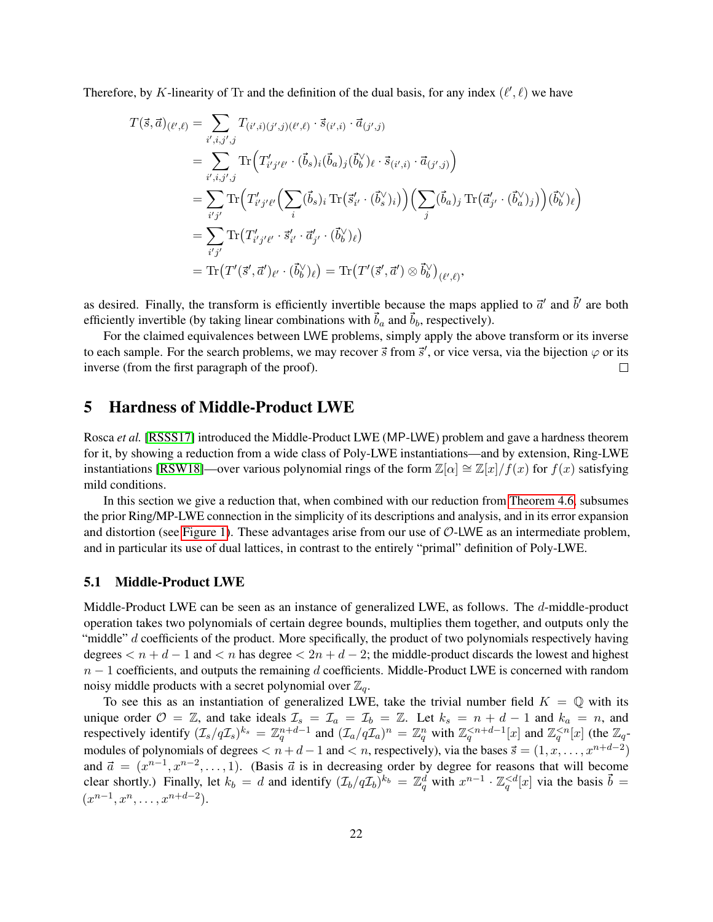Therefore, by K-linearity of Tr and the definition of the dual basis, for any index  $(\ell', \ell)$  we have

$$
T(\vec{s},\vec{a})_{(\ell',\ell)} = \sum_{i',i,j',j} T_{(i',i)(j',j)(\ell',\ell)} \cdot \vec{s}_{(i',i)} \cdot \vec{a}_{(j',j)}
$$
  
\n
$$
= \sum_{i',i,j',j} \text{Tr}\Big(T'_{i'j'\ell'} \cdot (\vec{b}_s)_i(\vec{b}_a)_j(\vec{b}_b')_{\ell} \cdot \vec{s}_{(i',i)} \cdot \vec{a}_{(j',j)}\Big)
$$
  
\n
$$
= \sum_{i'j'} \text{Tr}\Big(T'_{i'j'\ell'} \Big(\sum_i (\vec{b}_s)_i \text{Tr}\big(\vec{s}'_{i'} \cdot (\vec{b}_s')_i\big)\Big) \Big(\sum_j (\vec{b}_a)_j \text{Tr}\big(\vec{a}'_{j'} \cdot (\vec{b}'_a)_j\big)\Big) (\vec{b}_b')_{\ell}\Big)
$$
  
\n
$$
= \sum_{i'j'} \text{Tr}\big(T'_{i'j'\ell'} \cdot \vec{s}'_{i'} \cdot \vec{a}'_{j'} \cdot (\vec{b}_b')_{\ell}\big)
$$
  
\n
$$
= \text{Tr}\big(T'(\vec{s}',\vec{a}')_{\ell'} \cdot (\vec{b}_b')_{\ell}\big) = \text{Tr}\big(T'(\vec{s}',\vec{a}') \otimes \vec{b}_b' \big)_{(\ell',\ell)},
$$

as desired. Finally, the transform is efficiently invertible because the maps applied to  $\vec{a}'$  and  $\vec{b}'$  are both efficiently invertible (by taking linear combinations with  $\vec{b}_a$  and  $\vec{b}_b$ , respectively).

For the claimed equivalences between LWE problems, simply apply the above transform or its inverse to each sample. For the search problems, we may recover  $\vec{s}$  from  $\vec{s}'$ , or vice versa, via the bijection  $\varphi$  or its inverse (from the first paragraph of the proof).  $\Box$ 

### <span id="page-22-0"></span>5 Hardness of Middle-Product LWE

Rosca *et al.* [\[RSSS17\]](#page-29-9) introduced the Middle-Product LWE (MP-LWE) problem and gave a hardness theorem for it, by showing a reduction from a wide class of Poly-LWE instantiations—and by extension, Ring-LWE instantiations [\[RSW18\]](#page-29-8)—over various polynomial rings of the form  $\mathbb{Z}[\alpha] \cong \mathbb{Z}[x]/f(x)$  for  $f(x)$  satisfying mild conditions.

In this section we give a reduction that, when combined with our reduction from [Theorem 4.6,](#page-18-0) subsumes the prior Ring/MP-LWE connection in the simplicity of its descriptions and analysis, and in its error expansion and distortion (see [Figure 1\)](#page-4-0). These advantages arise from our use of  $O$ -LWE as an intermediate problem, and in particular its use of dual lattices, in contrast to the entirely "primal" definition of Poly-LWE.

### <span id="page-22-1"></span>5.1 Middle-Product LWE

Middle-Product LWE can be seen as an instance of generalized LWE, as follows. The d-middle-product operation takes two polynomials of certain degree bounds, multiplies them together, and outputs only the "middle"  $d$  coefficients of the product. More specifically, the product of two polynomials respectively having degrees  $\lt n + d - 1$  and  $\lt n$  has degree  $\lt 2n + d - 2$ ; the middle-product discards the lowest and highest  $n-1$  coefficients, and outputs the remaining d coefficients. Middle-Product LWE is concerned with random noisy middle products with a secret polynomial over  $\mathbb{Z}_q$ .

To see this as an instantiation of generalized LWE, take the trivial number field  $K = \mathbb{Q}$  with its unique order  $\mathcal{O} = \mathbb{Z}$ , and take ideals  $\mathcal{I}_s = \mathcal{I}_a = \mathcal{I}_b = \mathbb{Z}$ . Let  $k_s = n + d - 1$  and  $k_a = n$ , and respectively identify  $(\mathcal{I}_s/q\mathcal{I}_s)^{k_s} = \mathbb{Z}_q^{n+d-1}$  and  $(\mathcal{I}_a/q\mathcal{I}_a)^n = \mathbb{Z}_q^n$  with  $\mathbb{Z}_q^{< n+d-1}[x]$  and  $\mathbb{Z}_q^{< n}[x]$  (the  $\mathbb{Z}_q$ modules of polynomials of degrees  $\lt n+d-1$  and  $\lt n$ , respectively), via the bases  $\vec{s} = (1, x, \ldots, x^{n+d-2})$ and  $\vec{a} = (x^{n-1}, x^{n-2}, \dots, 1)$ . (Basis  $\vec{a}$  is in decreasing order by degree for reasons that will become clear shortly.) Finally, let  $k_b = d$  and identify  $(\mathcal{I}_b/q\mathcal{I}_b)^{k_b} = \mathbb{Z}_q^d$  with  $x^{n-1} \cdot \mathbb{Z}_q^{\lt d}[x]$  via the basis  $\vec{b} =$  $(x^{n-1}, x^n, \ldots, x^{n+d-2}).$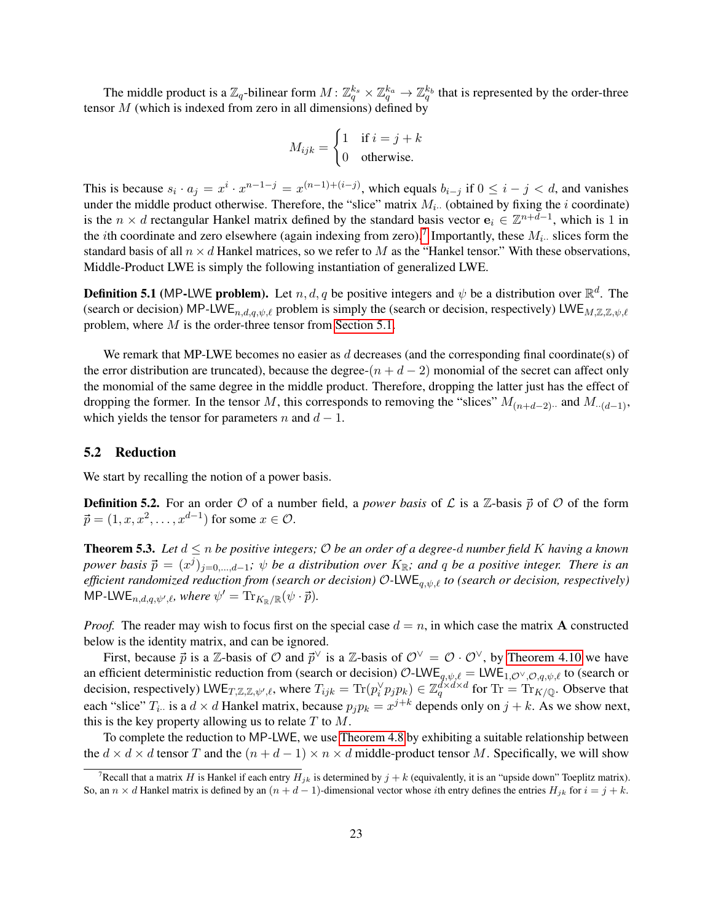The middle product is a  $\mathbb{Z}_q$ -bilinear form  $M: \mathbb{Z}_q^{k_s} \times \mathbb{Z}_q^{k_a} \to \mathbb{Z}_q^{k_b}$  that is represented by the order-three tensor  $M$  (which is indexed from zero in all dimensions) defined by

$$
M_{ijk} = \begin{cases} 1 & \text{if } i = j + k \\ 0 & \text{otherwise.} \end{cases}
$$

This is because  $s_i \cdot a_j = x^i \cdot x^{n-1-j} = x^{(n-1)+(i-j)}$ , which equals  $b_{i-j}$  if  $0 \le i - j < d$ , and vanishes under the middle product otherwise. Therefore, the "slice" matrix  $M_i$ . (obtained by fixing the i coordinate) is the  $n \times d$  rectangular Hankel matrix defined by the standard basis vector  $e_i \in \mathbb{Z}^{n+d-1}$ , which is 1 in the *i*th coordinate and zero elsewhere (again indexing from zero).<sup>[7](#page-23-0)</sup> Importantly, these  $M_i$ . slices form the standard basis of all  $n \times d$  Hankel matrices, so we refer to M as the "Hankel tensor." With these observations, Middle-Product LWE is simply the following instantiation of generalized LWE.

**Definition 5.1** (MP-LWE problem). Let  $n, d, q$  be positive integers and  $\psi$  be a distribution over  $\mathbb{R}^d$ . The (search or decision) MP-LWE<sub>n,d,q, $\psi$ , $\ell$  problem is simply the (search or decision, respectively) LWE<sub>M,Z,Z, $\psi$ , $\ell$ </sub></sub> problem, where M is the order-three tensor from [Section 5.1.](#page-22-1)

We remark that MP-LWE becomes no easier as  $d$  decreases (and the corresponding final coordinate(s) of the error distribution are truncated), because the degree- $(n + d - 2)$  monomial of the secret can affect only the monomial of the same degree in the middle product. Therefore, dropping the latter just has the effect of dropping the former. In the tensor M, this corresponds to removing the "slices"  $M_{(n+d-2)}$  and  $M_{\cdot (d-1)}$ , which yields the tensor for parameters n and  $d - 1$ .

### 5.2 Reduction

We start by recalling the notion of a power basis.

**Definition 5.2.** For an order  $\mathcal O$  of a number field, a *power basis* of  $\mathcal L$  is a  $\mathbb Z$ -basis  $\vec p$  of  $\mathcal O$  of the form  $\vec{p} = (1, x, x^2, \dots, x^{d-1})$  for some  $x \in \mathcal{O}$ .

<span id="page-23-2"></span>**Theorem 5.3.** Let  $d \leq n$  be positive integers;  $\mathcal O$  be an order of a degree-d number field K having a known  $power$  basis  $\vec{p} = (x^j)_{j=0,\dots,d-1}$ ;  $\psi$  be a distribution over  $K_{\mathbb{R}}$ ; and q be a positive integer. There is an *efficient randomized reduction from (search or decision)*  $O$ -LWE<sub>q, $\psi$ , *to (search or decision, respectively)*</sub>  $\mathsf{MP\text{-}LWE}_{n,d,q,\psi',\ell}$ *, where*  $\psi' = \mathrm{Tr}_{K_{\mathbb{R}}/\mathbb{R}}(\psi \cdot \vec{p}).$ 

<span id="page-23-1"></span>*Proof.* The reader may wish to focus first on the special case  $d = n$ , in which case the matrix **A** constructed below is the identity matrix, and can be ignored.

First, because  $\vec{p}$  is a Z-basis of  $\mathcal{O}$  and  $\vec{p}^\vee$  is a Z-basis of  $\mathcal{O}^\vee = \mathcal{O} \cdot \mathcal{O}^\vee$ , by [Theorem 4.10](#page-20-1) we have an efficient deterministic reduction from (search or decision)  $\mathcal{O}\text{-LWE}_{q,\psi,\ell} = \text{LWE}_{1,\mathcal{O}(\vee,\mathcal{O},q,\psi,\ell)}$  to (search or decision, respectively) LWE<sub>T,Z,Z, $\psi'$ , where  $T_{ijk} = \text{Tr}(p_i^{\vee} p_j p_k) \in \mathbb{Z}_q^{d \times d \times d}$  for  $\text{Tr} = \text{Tr}_{K/\mathbb{Q}}$ . Observe that</sub> each "slice"  $T_i$ . is a  $d \times d$  Hankel matrix, because  $p_j p_k = x^{j+k}$  depends only on  $j+k$ . As we show next, this is the key property allowing us to relate  $T$  to  $M$ .

To complete the reduction to MP-LWE, we use [Theorem 4.8](#page-19-1) by exhibiting a suitable relationship between the  $d \times d \times d$  tensor T and the  $(n + d - 1) \times n \times d$  middle-product tensor M. Specifically, we will show

<span id="page-23-0"></span><sup>&</sup>lt;sup>7</sup>Recall that a matrix H is Hankel if each entry  $H_{jk}$  is determined by  $j + k$  (equivalently, it is an "upside down" Toeplitz matrix). So, an  $n \times d$  Hankel matrix is defined by an  $(n + d - 1)$ -dimensional vector whose *i*th entry defines the entries  $H_{ik}$  for  $i = j + k$ .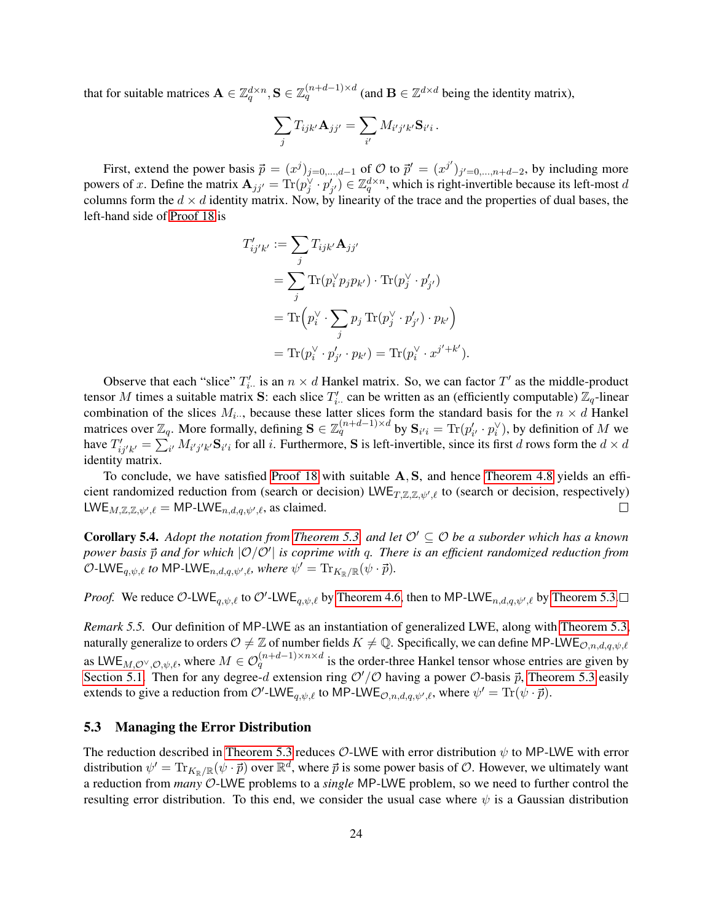that for suitable matrices  $\mathbf{A} \in \mathbb{Z}_q^{d \times n}, \mathbf{S} \in \mathbb{Z}_q^{(n+d-1) \times d}$  (and  $\mathbf{B} \in \mathbb{Z}^{d \times d}$  being the identity matrix),

$$
\sum_j T_{ijk'} \mathbf{A}_{jj'} = \sum_{i'} M_{i'j'k'} \mathbf{S}_{i'i}.
$$

First, extend the power basis  $\vec{p} = (x^j)_{j=0,\dots,d-1}$  of  $\mathcal O$  to  $\vec{p}' = (x^{j'})_{j'=0,\dots,n+d-2}$ , by including more powers of x. Define the matrix  $\mathbf{A}_{jj'} = \text{Tr}(p_j^{\vee} \cdot p_{j'}') \in \mathbb{Z}_q^{d \times n}$ , which is right-invertible because its left-most d columns form the  $d \times d$  identity matrix. Now, by linearity of the trace and the properties of dual bases, the left-hand side of [Proof 18](#page-23-1) is

$$
T'_{ij'k'} := \sum_j T_{ijk'} \mathbf{A}_{jj'}
$$
  
= 
$$
\sum_j \text{Tr}(p_i^{\vee} p_j p_{k'}) \cdot \text{Tr}(p_j^{\vee} \cdot p_{j'}')
$$
  
= 
$$
\text{Tr}(p_i^{\vee} \cdot \sum_j p_j \text{Tr}(p_j^{\vee} \cdot p_{j'}') \cdot p_{k'})
$$
  
= 
$$
\text{Tr}(p_i^{\vee} \cdot p_{j'}' \cdot p_{k'}) = \text{Tr}(p_i^{\vee} \cdot x^{j' + k'}).
$$

Observe that each "slice"  $T'_{i\cdot}$  is an  $n \times d$  Hankel matrix. So, we can factor  $T'$  as the middle-product tensor M times a suitable matrix S: each slice  $T'_{i\cdot}$  can be written as an (efficiently computable)  $\mathbb{Z}_q$ -linear combination of the slices  $M_{i\cdots}$ , because these latter slices form the standard basis for the  $n \times d$  Hankel matrices over  $\mathbb{Z}_q$ . More formally, defining  $\mathbf{S} \in \mathbb{Z}_q^{(n+d-1)\times d}$  by  $\mathbf{S}_{i'i} = \text{Tr}(p'_{i'} \cdot p_i^{\vee})$ , by definition of  $M$  we have  $T'_{ij'k'} = \sum_{i'} M_{i'j'k'}$  S<sub>i'i</sub> for all i. Furthermore, S is left-invertible, since its first d rows form the  $d \times d$ identity matrix.

To conclude, we have satisfied [Proof 18](#page-23-1) with suitable A, S, and hence [Theorem 4.8](#page-19-1) yields an efficient randomized reduction from (search or decision)  $LWE_{T,\mathbb{Z},\mathbb{Z},\psi',\ell}$  to (search or decision, respectively) LWE<sub>M,Z,Z, $\psi'$ , $\ell$  = MP-LWE<sub>n,d,q, $\psi'$ , $\ell$ , as claimed.</sub></sub> П

**Corollary 5.4.** *Adopt the notation from [Theorem 5.3,](#page-23-2) and let*  $\mathcal{O}' \subseteq \mathcal{O}$  *be a suborder which has a known* power basis  $\vec{p}$  and for which  $|O/O'|$  is coprime with q. There is an efficient randomized reduction from  $\mathcal{O}\text{-LWE}_{q,\psi,\ell}$  to MP-LWE<sub>n,d,q, $\psi',\ell$ , where  $\psi' = \text{Tr}_{K_{\mathbb{R}}/\mathbb{R}}(\psi \cdot \vec{p}).$ </sub>

*Proof.* We reduce O-LWE<sub>q, $\psi$ , $\ell$  to O'-LWE<sub>q, $\psi$ </sub>, $\ell$  by [Theorem 4.6,](#page-18-0) then to MP-LWE<sub>n,d,q, $\psi'$ , $\ell$  by [Theorem 5.3.](#page-23-2)</sub></sub>

*Remark 5.5.* Our definition of MP-LWE as an instantiation of generalized LWE, along with [Theorem 5.3,](#page-23-2) naturally generalize to orders  $\mathcal{O} \neq \mathbb{Z}$  of number fields  $K \neq \mathbb{Q}$ . Specifically, we can define MP-LWE $_{\mathcal{O},n,d,q,\psi,\ell}$ as LWE<sub>M,O</sub> $\vee$ ,O, $\psi$ , $\ell$ , where  $M \in \mathcal{O}_q^{(n+d-1)\times n \times d}$  is the order-three Hankel tensor whose entries are given by [Section 5.1.](#page-22-1) Then for any degree-d extension ring  $O'/O$  having a power  $O$ -basis  $\vec{p}$ , [Theorem 5.3](#page-23-2) easily extends to give a reduction from  $\mathcal{O}'$ -LWE<sub>q, $\psi$ </sub>, $\ell$  to MP-LWE<sub> $\mathcal{O},n,d,q,\psi',\ell$ , where  $\psi' = \text{Tr}(\psi \cdot \vec{p})$ .</sub>

### <span id="page-24-0"></span>5.3 Managing the Error Distribution

The reduction described in [Theorem 5.3](#page-23-2) reduces  $\mathcal{O}\text{-LWE}$  with error distribution  $\psi$  to MP-LWE with error distribution  $\psi' = \text{Tr}_{K_\mathbb{R}/\mathbb{R}}(\psi \cdot \vec{p})$  over  $\mathbb{R}^d$ , where  $\vec{p}$  is some power basis of  $\mathcal{O}$ . However, we ultimately want a reduction from *many* O-LWE problems to a *single* MP-LWE problem, so we need to further control the resulting error distribution. To this end, we consider the usual case where  $\psi$  is a Gaussian distribution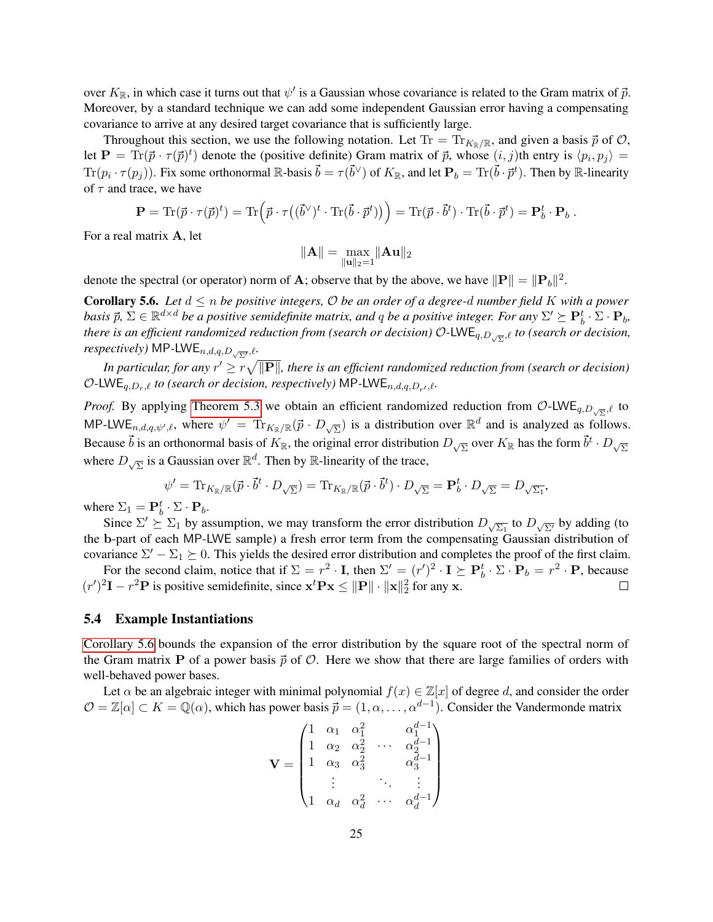over  $K_{\mathbb{R}}$ , in which case it turns out that  $\psi'$  is a Gaussian whose covariance is related to the Gram matrix of  $\vec{p}$ . Moreover, by a standard technique we can add some independent Gaussian error having a compensating covariance to arrive at any desired target covariance that is sufficiently large.

Throughout this section, we use the following notation. Let  $Tr = Tr_{K_R/\mathbb{R}}$ , and given a basis  $\vec{p}$  of  $\mathcal{O}$ , let  $\mathbf{P} = \text{Tr}(\vec{p} \cdot \tau(\vec{p})^t)$  denote the (positive definite) Gram matrix of  $\vec{p}$ , whose  $(i, j)$ th entry is  $\langle p_i, p_j \rangle =$  $\text{Tr}(p_i \cdot \tau(p_j))$ . Fix some orthonormal R-basis  $\vec{b} = \tau(\vec{b}^{\vee})$  of  $K_{\mathbb{R}}$ , and let  $\mathbf{P}_b = \text{Tr}(\vec{b} \cdot \vec{p}^t)$ . Then by R-linearity of  $\tau$  and trace, we have

$$
\mathbf{P} = \text{Tr}(\vec{p} \cdot \tau(\vec{p})^t) = \text{Tr}\Big(\vec{p} \cdot \tau((\vec{b}^{\vee})^t \cdot \text{Tr}(\vec{b} \cdot \vec{p}^t))\Big) = \text{Tr}(\vec{p} \cdot \vec{b}^t) \cdot \text{Tr}(\vec{b} \cdot \vec{p}^t) = \mathbf{P}_b^t \cdot \mathbf{P}_b.
$$

For a real matrix A, let

$$
\|\mathbf{A}\|=\max_{\|\mathbf{u}\|_2=1}\|\mathbf{A}\mathbf{u}\|_2
$$

denote the spectral (or operator) norm of **A**; observe that by the above, we have  $\|\mathbf{P}\| = \|\mathbf{P}_b\|^2$ .

<span id="page-25-0"></span>**Corollary 5.6.** Let  $d \le n$  be positive integers,  $\mathcal O$  be an order of a degree-d number field K with a power *basis*  $\vec{p}$ ,  $\Sigma \in \mathbb{R}^{d \times d}$  *be a positive semidefinite matrix, and q be a positive integer. For any*  $\Sigma' \succeq \mathbf{P}_b^t \cdot \Sigma \cdot \mathbf{P}_b$ , *there is an efficient randomized reduction from (search or decision)* O*-*LWEq,D<sup>√</sup> Σ ,` *to (search or decision, respectively)* MP-LWE $_{n,d,q,D_{\sqrt{\Sigma'}}},\ell$ .

In particular, for any  $r'\geq r\sqrt{\|{\bf P}\|}$ , there is an efficient randomized reduction from (search or decision)  $O$ -LWE<sub>q,Dr,</sub> *to* (search or decision, respectively) MP-LWE<sub>n,d,q,D<sub>r</sub>, *i*.</sub>

*Proof.* By applying [Theorem 5.3](#page-23-2) we obtain an efficient randomized reduction from  $\mathcal{O}\text{-LWE}_{q,D_{\sqrt{\Sigma}}},\ell$  to MP-LWE<sub>n,d,q, $\psi'$ , $\ell$ , where  $\psi' = \text{Tr}_{K_{\mathbb{R}}/\mathbb{R}}(\vec{p} \cdot D_{\sqrt{\Sigma}})$  is a distribution over  $\mathbb{R}^d$  and is analyzed as follows.</sub> Because  $\vec{b}$  is an orthonormal basis of  $K_{\mathbb{R}}$ , the original error distribution  $D_{\sqrt{\Sigma}}$  over  $K_{\mathbb{R}}$  has the form  $\vec{b}^t \cdot D_{\sqrt{\Sigma}}$ where  $D_{\sqrt{\Sigma}}$  is a Gaussian over  $\mathbb{R}^d$ . Then by  $\mathbb{R}$ -linearity of the trace,

$$
\psi' = \text{Tr}_{K_{\mathbb{R}}/\mathbb{R}}(\vec{p} \cdot \vec{b}^t \cdot D_{\sqrt{\Sigma}}) = \text{Tr}_{K_{\mathbb{R}}/\mathbb{R}}(\vec{p} \cdot \vec{b}^t) \cdot D_{\sqrt{\Sigma}} = \mathbf{P}_b^t \cdot D_{\sqrt{\Sigma}} = D_{\sqrt{\Sigma_1}},
$$

where  $\Sigma_1 = \mathbf{P}_b^t \cdot \Sigma \cdot \mathbf{P}_b$ .

Since  $\Sigma' \succeq \Sigma_1$  by assumption, we may transform the error distribution  $D_{\sqrt{\Sigma_1}}$  to  $D_{\sqrt{\Sigma'}}$  by adding (to the b-part of each MP-LWE sample) a fresh error term from the compensating Gaussian distribution of covariance  $\Sigma' - \Sigma_1 \succeq 0$ . This yields the desired error distribution and completes the proof of the first claim.

For the second claim, notice that if  $\Sigma = r^2 \cdot I$ , then  $\Sigma' = (r')^2 \cdot I \succeq P_b^t \cdot \Sigma \cdot P_b = r^2 \cdot I$ , because  $(r')^2 \mathbf{I} - r^2 \mathbf{P}$  is positive semidefinite, since  $\mathbf{x}^t \mathbf{P} \mathbf{x} \le ||\mathbf{P}|| \cdot ||\mathbf{x}||_2^2$  for any x.  $\Box$ 

#### 5.4 Example Instantiations

[Corollary 5.6](#page-25-0) bounds the expansion of the error distribution by the square root of the spectral norm of the Gram matrix **P** of a power basis  $\vec{p}$  of  $\mathcal{O}$ . Here we show that there are large families of orders with well-behaved power bases.

Let  $\alpha$  be an algebraic integer with minimal polynomial  $f(x) \in \mathbb{Z}[x]$  of degree d, and consider the order  $\mathcal{O} = \mathbb{Z}[\alpha] \subset K = \mathbb{Q}(\alpha)$ , which has power basis  $\vec{p} = (1, \alpha, \dots, \alpha^{d-1})$ . Consider the Vandermonde matrix

$$
\mathbf{V} = \begin{pmatrix} 1 & \alpha_1 & \alpha_1^2 & \alpha_1^{d-1} \\ 1 & \alpha_2 & \alpha_2^2 & \cdots & \alpha_2^{d-1} \\ 1 & \alpha_3 & \alpha_3^2 & \alpha_3^{d-1} \\ \vdots & \vdots & \ddots & \vdots \\ 1 & \alpha_d & \alpha_d^2 & \cdots & \alpha_d^{d-1} \end{pmatrix}
$$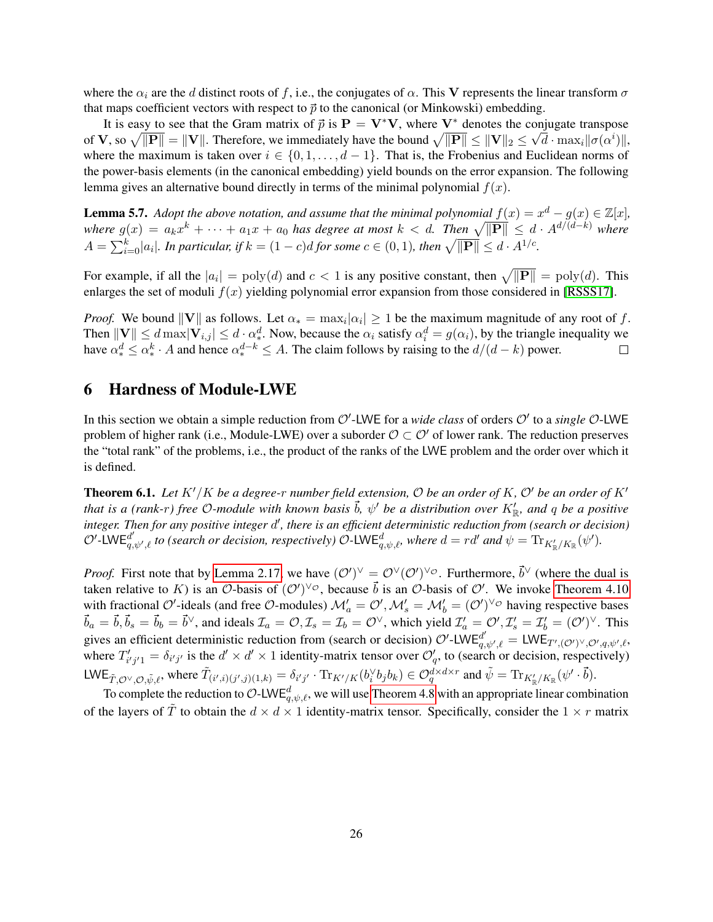where the  $\alpha_i$  are the d distinct roots of f, i.e., the conjugates of  $\alpha$ . This V represents the linear transform  $\sigma$ that maps coefficient vectors with respect to  $\vec{p}$  to the canonical (or Minkowski) embedding.

It is easy to see that the Gram matrix of  $\vec{p}$  is  $\mathbf{P} = \mathbf{V}^* \mathbf{V}$ , where  $\mathbf{V}^*$  denotes the conjugate transpose of  ${\bf V}$ , so  $\sqrt{\|{\bf P}\|}=\|{\bf V}\|$ . Therefore, we immediately have the bound  $\sqrt{\|{\bf P}\|}\leq \|{\bf V}\|_2\leq \sqrt{d}\cdot\max_i\|\sigma(\alpha^i)\|,$ where the maximum is taken over  $i \in \{0, 1, \ldots, d-1\}$ . That is, the Frobenius and Euclidean norms of the power-basis elements (in the canonical embedding) yield bounds on the error expansion. The following lemma gives an alternative bound directly in terms of the minimal polynomial  $f(x)$ .

**Lemma 5.7.** Adopt the above notation, and assume that the minimal polynomial  $f(x) = x^d - g(x) \in \mathbb{Z}[x]$ , where  $g(x) = a_k x^k + \cdots + a_1 x + a_0$  has degree at most  $k < d$ . Then  $\sqrt{\Vert \mathbf{P} \Vert} \leq d \cdot A^{d/(d-k)}$  where  $A = \sum_{i=0}^{k} |a_i|$ . In particular, if  $k = (1 - c)d$  for some  $c \in (0, 1)$ , then  $\sqrt{\|\mathbf{P}\|} \leq d \cdot A^{1/c}$ .

For example, if all the  $|a_i| = poly(d)$  and  $c < 1$  is any positive constant, then  $\sqrt{\|\mathbf{P}\|} = poly(d)$ . This enlarges the set of moduli  $f(x)$  yielding polynomial error expansion from those considered in [\[RSSS17\]](#page-29-9).

*Proof.* We bound  $||V||$  as follows. Let  $\alpha_* = \max_i |\alpha_i| \geq 1$  be the maximum magnitude of any root of f. Then  $||V|| \le d$  max $|V_{i,j}| \le d \cdot \alpha_*^d$ . Now, because the  $\alpha_i$  satisfy  $\alpha_i^d = g(\alpha_i)$ , by the triangle inequality we have  $\alpha_*^d \le \alpha_*^k \cdot A$  and hence  $\alpha_*^{d-k} \le A$ . The claim follows by raising to the  $d/(d-k)$  power.  $\Box$ 

## <span id="page-26-0"></span>6 Hardness of Module-LWE

In this section we obtain a simple reduction from  $O'$ -LWE for a *wide class* of orders  $O'$  to a *single*  $O$ -LWE problem of higher rank (i.e., Module-LWE) over a suborder  $\mathcal{O} \subset \mathcal{O}'$  of lower rank. The reduction preserves the "total rank" of the problems, i.e., the product of the ranks of the LWE problem and the order over which it is defined.

<span id="page-26-1"></span>**Theorem 6.1.** Let  $K'/K$  be a degree-r number field extension, O be an order of K, O' be an order of  $K'$ that is a (rank-r) free O-module with known basis  $\vec{b}$ ,  $\psi'$  be a distribution over  $K'_{\mathbb{R}}$ , and  $q$  be a positive integer. Then for any positive integer d<sup>'</sup>, there is an efficient deterministic reduction from (search or decision)  $\mathcal{O}'$ -LWE $_{q,\psi',\ell}^{d'}$  to (search or decision, respectively)  $\mathcal{O}$ -LWE $_{q,\psi,\ell}^{d}$ , where  $d = rd'$  and  $\psi = \text{Tr}_{K'_{\mathbb{R}}/K_{\mathbb{R}}}(\psi').$ 

*Proof.* First note that by [Lemma 2.17,](#page-12-0) we have  $(O')^{\vee} = O^{\vee}(O')^{\vee} \circ$ . Furthermore,  $\vec{b}^{\vee}$  (where the dual is taken relative to K) is an  $\mathcal{O}\text{-basis of } (\mathcal{O}')^{\vee}\mathcal{O}$ , because  $\vec{b}$  is an  $\mathcal{O}\text{-basis of } \mathcal{O}'$ . We invoke [Theorem 4.10](#page-20-1) with fractional O'-ideals (and free O-modules)  $\mathcal{M}'_a = \mathcal{O}'$ ,  $\mathcal{M}'_s = \mathcal{M}'_b = (\mathcal{O}')^{\vee \circ}$  having respective bases  $\vec{b}_a = \vec{b}, \vec{b}_s = \vec{b}^\vee$ , and ideals  $\mathcal{I}_a = \mathcal{O}, \mathcal{I}_s = \mathcal{I}_b = \mathcal{O}^\vee$ , which yield  $\mathcal{I}'_a = \mathcal{O}', \mathcal{I}'_s = \mathcal{I}'_b = (\mathcal{O}')^\vee$ . This gives an efficient deterministic reduction from (search or decision)  $\mathcal{O}'$ -LWE $_{q,\psi',\ell}^d = LWE_{T',(\mathcal{O}')^\vee,\mathcal{O}',q,\psi',\ell}$ , where  $T'_{i'j'1} = \delta_{i'j'}$  is the  $d' \times d' \times 1$  identity-matrix tensor over  $\mathcal{O}'_q$ , to (search or decision, respectively) LWE<sub>T,O</sub> $\sqrt{Q}$ , $\tilde{\psi}, \ell$ , where  $\tilde{T}_{(i',i)(j',j)(1,k)} = \delta_{i'j'} \cdot \text{Tr}_{K'/K}(b_i^{\vee} b_j b_k) \in \mathcal{O}_q^{d \times d \times r}$  and  $\tilde{\psi} = \text{Tr}_{K'_{\mathbb{R}}/K_{\mathbb{R}}}(\psi' \cdot \vec{b})$ .

To complete the reduction to O-LWE $_{q,\psi,\ell}^d$ , we will use [Theorem 4.8](#page-19-1) with an appropriate linear combination of the layers of  $\hat{T}$  to obtain the  $d \times d \times 1$  identity-matrix tensor. Specifically, consider the  $1 \times r$  matrix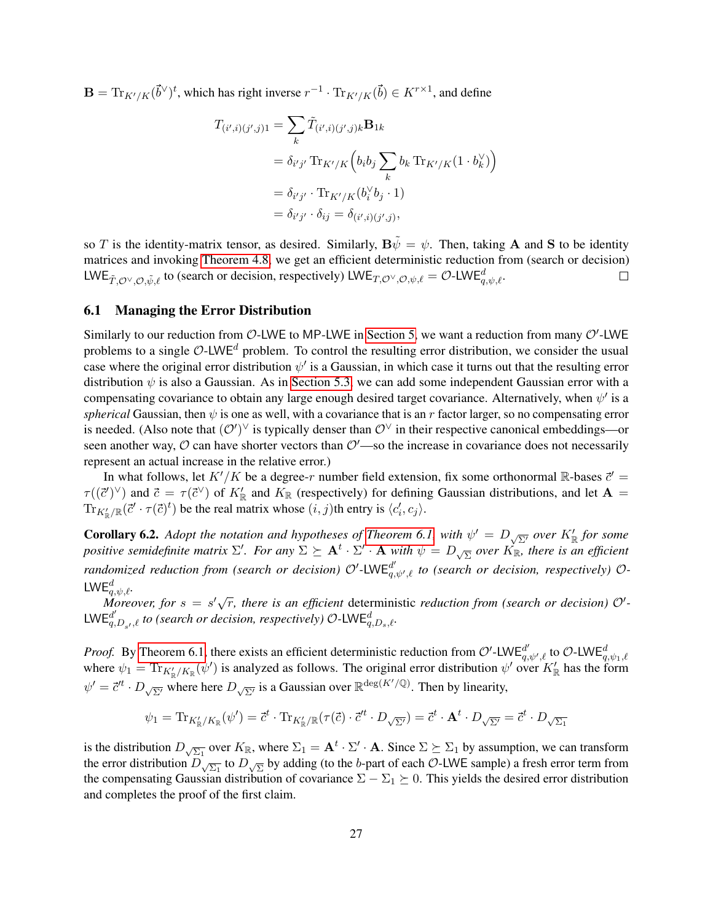$\mathbf{B} = \text{Tr}_{K'/K}(\vec{b}^{\vee})^t$ , which has right inverse  $r^{-1} \cdot \text{Tr}_{K'/K}(\vec{b}) \in K^{r \times 1}$ , and define

$$
T_{(i',i)(j',j)1} = \sum_{k} \tilde{T}_{(i',i)(j',j)k} \mathbf{B}_{1k}
$$
  
=  $\delta_{i'j'} \operatorname{Tr}_{K'/K} (b_i b_j \sum_{k} b_k \operatorname{Tr}_{K'/K} (1 \cdot b_k^{\vee}) )$   
=  $\delta_{i'j'} \cdot \operatorname{Tr}_{K'/K} (b_i^{\vee} b_j \cdot 1 )$   
=  $\delta_{i'j'} \cdot \delta_{ij} = \delta_{(i',i)(j',j)},$ 

so T is the identity-matrix tensor, as desired. Similarly,  $\mathbf{B}\tilde{\psi} = \psi$ . Then, taking A and S to be identity matrices and invoking [Theorem 4.8,](#page-19-1) we get an efficient deterministic reduction from (search or decision) LWE $_{\tilde{T},\mathcal{O}^{\vee},\mathcal{O},\tilde{\psi},\ell}$  to (search or decision, respectively) LWE $_{T,\mathcal{O}^{\vee},\mathcal{O},\psi,\ell}=\mathcal{O}$ -LWE $_{q,\psi,\ell}^{d}$ .  $\Box$ 

### 6.1 Managing the Error Distribution

Similarly to our reduction from  $O$ -LWE to MP-LWE in [Section 5,](#page-22-0) we want a reduction from many  $O'$ -LWE problems to a single  $\mathcal{O}\text{-LWE}^d$  problem. To control the resulting error distribution, we consider the usual case where the original error distribution  $\psi'$  is a Gaussian, in which case it turns out that the resulting error distribution  $\psi$  is also a Gaussian. As in [Section 5.3,](#page-24-0) we can add some independent Gaussian error with a compensating covariance to obtain any large enough desired target covariance. Alternatively, when  $\psi'$  is a *spherical* Gaussian, then  $\psi$  is one as well, with a covariance that is an r factor larger, so no compensating error is needed. (Also note that  $(O')^{\vee}$  is typically denser than  $O^{\vee}$  in their respective canonical embeddings—or seen another way,  $\mathcal O$  can have shorter vectors than  $\mathcal O'$ —so the increase in covariance does not necessarily represent an actual increase in the relative error.)

In what follows, let  $K'/K$  be a degree-r number field extension, fix some orthonormal R-bases  $\vec{c}'$  =  $\tau((\vec{c}')^{\vee})$  and  $\vec{c} = \tau(\vec{c}^{\vee})$  of  $K'_{\mathbb{R}}$  and  $K_{\mathbb{R}}$  (respectively) for defining Gaussian distributions, and let  $\mathbf{A} =$  $\text{Tr}_{K_{\mathbb{R}}^{\prime}/\mathbb{R}}(\vec{c}' \cdot \tau(\vec{c})^t)$  be the real matrix whose  $(i, j)$ th entry is  $\langle c'_i, c_j \rangle$ .

<span id="page-27-0"></span>**Corollary 6.2.** Adopt the notation and hypotheses of [Theorem 6.1,](#page-26-1) with  $\psi' = D_{\sqrt{\Sigma'}}$  over  $K'_\mathbb{R}$  for some *positive semidefinite matrix*  $\Sigma'$ *. For any*  $\Sigma \succeq \mathbf{A}^t \cdot \Sigma' \cdot \mathbf{A}$  with  $\psi = D_{\sqrt{\Sigma}}$  over  $K_{\mathbb{R}}$ *, there is an efficient*  $r$ andomized reduction from (search or decision)  $\mathcal{O}'$ -LWE $_{q,\psi',\ell}^{d'}$  to (search or decision, respectively)  $\mathcal{O}$ -LWE $_{q,\psi,\ell}^d.$ 

*+q.*ψ.ℓ·<br>Moreover, for s = s'√r, there is an efficient deterministic reduction from (search or decision) Ø'- $LWE_{q,D_{s'},\ell}^{d'}$  to (search or decision, respectively)  $\mathcal{O}\text{-}LWE_{q,D_s,\ell}^d$ .

*Proof.* By [Theorem 6.1,](#page-26-1) there exists an efficient deterministic reduction from  $\mathcal{O}'$ -LWE $_{q,\psi',\ell}^d$  to  $\mathcal{O}$ -LWE $_{q,\psi_1,\ell}^d$ where  $\psi_1 = \text{Tr}_{K'_\mathbb{R}/K_\mathbb{R}}(\psi')$  is analyzed as follows. The original error distribution  $\psi'$  over  $K'_\mathbb{R}$  has the form  $\psi' = \vec{c}^{t} \cdot D_{\sqrt{\Sigma'}}$  where here  $D_{\sqrt{\Sigma'}}$  is a Gaussian over  $\mathbb{R}^{\deg(K'(\mathbb{Q})})$ . Then by linearity,

$$
\psi_1 = \text{Tr}_{K'_{\mathbb{R}}/K_{\mathbb{R}}}(\psi') = \vec{c}^t \cdot \text{Tr}_{K'_{\mathbb{R}}/\mathbb{R}}(\tau(\vec{c}) \cdot \vec{c}'^t \cdot D_{\sqrt{\Sigma'}}) = \vec{c}^t \cdot \mathbf{A}^t \cdot D_{\sqrt{\Sigma'}} = \vec{c}^t \cdot D_{\sqrt{\Sigma_1}}
$$

is the distribution  $D_{\sqrt{\Sigma_1}}$  over  $K_{\mathbb{R}}$ , where  $\Sigma_1 = \mathbf{A}^t \cdot \Sigma' \cdot \mathbf{A}$ . Since  $\Sigma \succeq \Sigma_1$  by assumption, we can transform the error distribution  $D_{\sqrt{\Sigma_1}}$  to  $D_{\sqrt{\Sigma}}$  by adding (to the b-part of each  $O$ -LWE sample) a fresh error term from the compensating Gaussian distribution of covariance  $\Sigma - \Sigma_1 \succeq 0$ . This yields the desired error distribution and completes the proof of the first claim.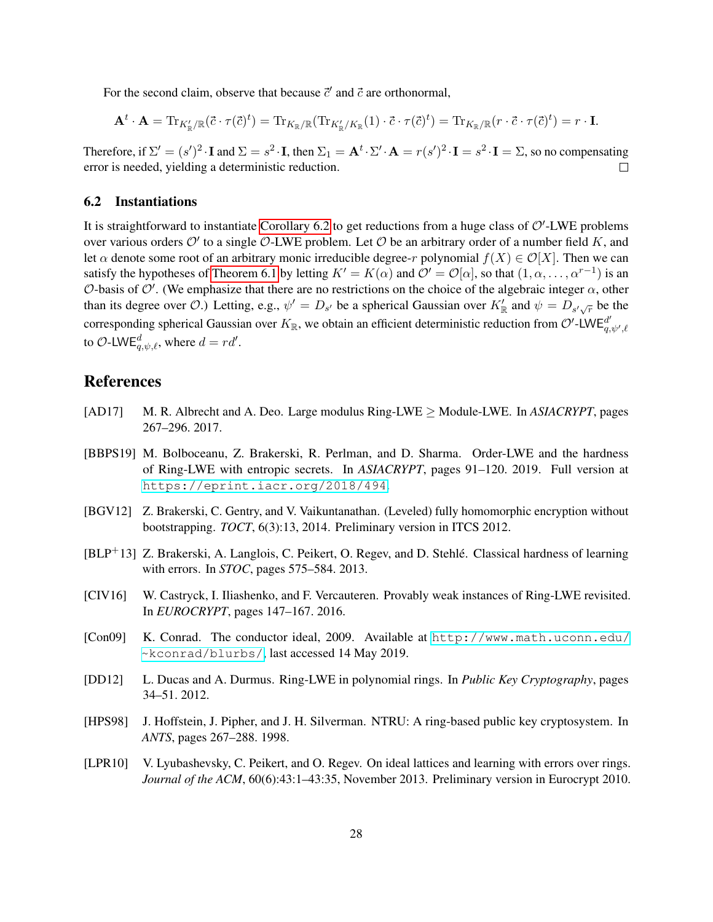For the second claim, observe that because  $\vec{c}'$  and  $\vec{c}$  are orthonormal,

$$
\mathbf{A}^t \cdot \mathbf{A} = \text{Tr}_{K'_{\mathbb{R}}/\mathbb{R}}(\vec{c} \cdot \tau(\vec{c}))^t = \text{Tr}_{K_{\mathbb{R}}/\mathbb{R}}(\text{Tr}_{K'_{\mathbb{R}}/K_{\mathbb{R}}}(1) \cdot \vec{c} \cdot \tau(\vec{c})^t) = \text{Tr}_{K_{\mathbb{R}}/\mathbb{R}}(r \cdot \vec{c} \cdot \tau(\vec{c})^t) = r \cdot \mathbf{I}.
$$

Therefore, if  $\Sigma' = (s')^2 \cdot I$  and  $\Sigma = s^2 \cdot I$ , then  $\Sigma_1 = A^t \cdot \Sigma' \cdot A = r(s')^2 \cdot I = s^2 \cdot I = \Sigma$ , so no compensating error is needed, yielding a deterministic reduction.  $\Box$ 

### 6.2 Instantiations

It is straightforward to instantiate [Corollary 6.2](#page-27-0) to get reductions from a huge class of  $O'$ -LWE problems over various orders  $\mathcal{O}'$  to a single  $\mathcal{O}\text{-LWE}$  problem. Let  $\mathcal O$  be an arbitrary order of a number field K, and let  $\alpha$  denote some root of an arbitrary monic irreducible degree-r polynomial  $f(X) \in \mathcal{O}[X]$ . Then we can satisfy the hypotheses of [Theorem 6.1](#page-26-1) by letting  $K' = K(\alpha)$  and  $\mathcal{O}' = \mathcal{O}[\alpha]$ , so that  $(1, \alpha, \dots, \alpha^{r-1})$  is an O-basis of O'. (We emphasize that there are no restrictions on the choice of the algebraic integer  $\alpha$ , other than its degree over O.) Letting, e.g.,  $\psi' = D_{s'}$  be a spherical Gaussian over  $K'_{\mathbb{R}}$  and  $\psi = D_{s'\sqrt{r}}$  be the corresponding spherical Gaussian over  $K_{\mathbb{R}}$ , we obtain an efficient deterministic reduction from  $\mathcal{O}'$ -LWE $_{q,\psi',\ell}^{d'}$ to  $\mathcal{O}\text{-LWE}_{q,\psi,\ell}^d$ , where  $d = rd'$ .

# References

- <span id="page-28-4"></span>[AD17] M. R. Albrecht and A. Deo. Large modulus Ring-LWE ≥ Module-LWE. In *ASIACRYPT*, pages 267–296. 2017.
- <span id="page-28-5"></span>[BBPS19] M. Bolboceanu, Z. Brakerski, R. Perlman, and D. Sharma. Order-LWE and the hardness of Ring-LWE with entropic secrets. In *ASIACRYPT*, pages 91–120. 2019. Full version at <https://eprint.iacr.org/2018/494>.
- <span id="page-28-3"></span>[BGV12] Z. Brakerski, C. Gentry, and V. Vaikuntanathan. (Leveled) fully homomorphic encryption without bootstrapping. *TOCT*, 6(3):13, 2014. Preliminary version in ITCS 2012.
- <span id="page-28-0"></span>[BLP+13] Z. Brakerski, A. Langlois, C. Peikert, O. Regev, and D. Stehlé. Classical hardness of learning with errors. In *STOC*, pages 575–584. 2013.
- <span id="page-28-6"></span>[CIV16] W. Castryck, I. Iliashenko, and F. Vercauteren. Provably weak instances of Ring-LWE revisited. In *EUROCRYPT*, pages 147–167. 2016.
- <span id="page-28-8"></span>[Con09] K. Conrad. The conductor ideal, 2009. Available at [http://www.math.uconn.edu/](http://www.math.uconn.edu/~kconrad/blurbs/) [~kconrad/blurbs/](http://www.math.uconn.edu/~kconrad/blurbs/), last accessed 14 May 2019.
- <span id="page-28-7"></span>[DD12] L. Ducas and A. Durmus. Ring-LWE in polynomial rings. In *Public Key Cryptography*, pages 34–51. 2012.
- <span id="page-28-1"></span>[HPS98] J. Hoffstein, J. Pipher, and J. H. Silverman. NTRU: A ring-based public key cryptosystem. In *ANTS*, pages 267–288. 1998.
- <span id="page-28-2"></span>[LPR10] V. Lyubashevsky, C. Peikert, and O. Regev. On ideal lattices and learning with errors over rings. *Journal of the ACM*, 60(6):43:1–43:35, November 2013. Preliminary version in Eurocrypt 2010.